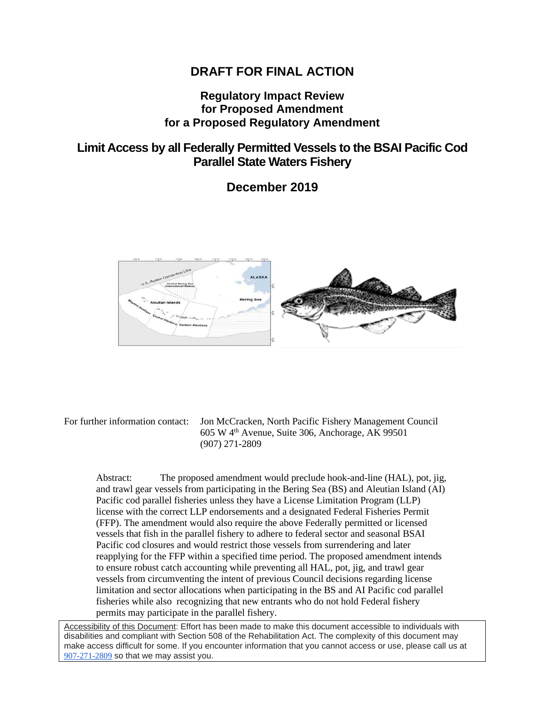### **DRAFT FOR FINAL ACTION**

### **Regulatory Impact Review for Proposed Amendment for a Proposed Regulatory Amendment**

## **Limit Access by all Federally Permitted Vessels to the BSAI Pacific Cod Parallel State Waters Fishery**

**December 2019**



For further information contact: Jon McCracken, North Pacific Fishery Management Council  $605 \text{ W } 4^{\text{th}}$  Avenue, Suite 306, Anchorage, AK 99501 (907) 271-2809

Abstract: The proposed amendment would preclude hook-and-line (HAL), pot, jig, and trawl gear vessels from participating in the Bering Sea (BS) and Aleutian Island (AI) Pacific cod parallel fisheries unless they have a License Limitation Program (LLP) license with the correct LLP endorsements and a designated Federal Fisheries Permit (FFP). The amendment would also require the above Federally permitted or licensed vessels that fish in the parallel fishery to adhere to federal sector and seasonal BSAI Pacific cod closures and would restrict those vessels from surrendering and later reapplying for the FFP within a specified time period. The proposed amendment intends to ensure robust catch accounting while preventing all HAL, pot, jig, and trawl gear vessels from circumventing the intent of previous Council decisions regarding license limitation and sector allocations when participating in the BS and AI Pacific cod parallel fisheries while also recognizing that new entrants who do not hold Federal fishery permits may participate in the parallel fishery.

Accessibility of this Document: Effort has been made to make this document accessible to individuals with disabilities and compliant with Section 508 of the Rehabilitation Act. The complexity of this document may make access difficult for some. If you encounter information that you cannot access or use, please call us at [907-271-2809](tel:%28907%29%20586-7228) so that we may assist you.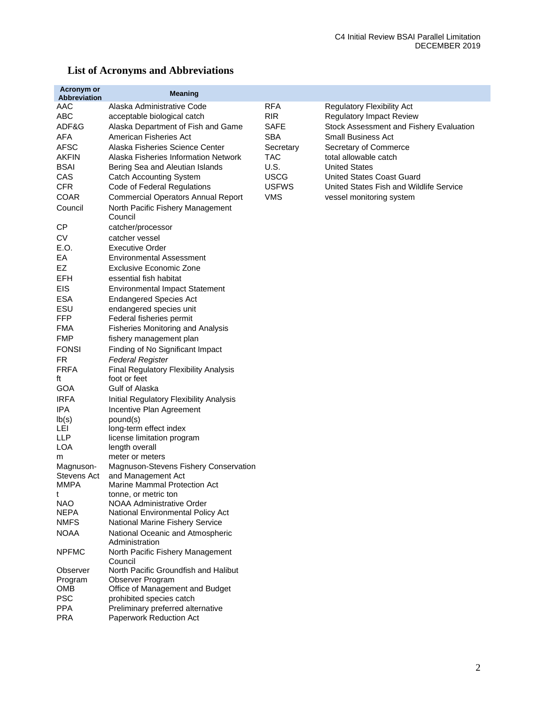| <b>Acronym or</b><br>Abbreviation | <b>Meaning</b>                                     |              |                                         |
|-----------------------------------|----------------------------------------------------|--------------|-----------------------------------------|
| AAC                               | Alaska Administrative Code                         | <b>RFA</b>   | <b>Regulatory Flexibility Act</b>       |
| ABC                               | acceptable biological catch                        | <b>RIR</b>   | <b>Regulatory Impact Review</b>         |
| ADF&G                             | Alaska Department of Fish and Game                 | <b>SAFE</b>  | Stock Assessment and Fishery Evaluation |
| AFA                               | American Fisheries Act                             | <b>SBA</b>   | <b>Small Business Act</b>               |
| <b>AFSC</b>                       | Alaska Fisheries Science Center                    | Secretary    | Secretary of Commerce                   |
| <b>AKFIN</b>                      | Alaska Fisheries Information Network               | <b>TAC</b>   | total allowable catch                   |
| <b>BSAI</b>                       | Bering Sea and Aleutian Islands                    | U.S.         | <b>United States</b>                    |
| CAS                               | <b>Catch Accounting System</b>                     | <b>USCG</b>  | <b>United States Coast Guard</b>        |
| <b>CFR</b>                        | Code of Federal Regulations                        | <b>USFWS</b> | United States Fish and Wildlife Service |
| <b>COAR</b>                       | <b>Commercial Operators Annual Report</b>          | <b>VMS</b>   | vessel monitoring system                |
| Council                           | North Pacific Fishery Management                   |              |                                         |
|                                   | Council                                            |              |                                         |
| СP                                | catcher/processor                                  |              |                                         |
| СV                                | catcher vessel                                     |              |                                         |
| E.O.                              | <b>Executive Order</b>                             |              |                                         |
| EА                                | Environmental Assessment                           |              |                                         |
| EZ                                | <b>Exclusive Economic Zone</b>                     |              |                                         |
| EFH                               | essential fish habitat                             |              |                                         |
| <b>EIS</b>                        | <b>Environmental Impact Statement</b>              |              |                                         |
| <b>ESA</b>                        | <b>Endangered Species Act</b>                      |              |                                         |
| ESU                               | endangered species unit                            |              |                                         |
| FFP                               | Federal fisheries permit                           |              |                                         |
| <b>FMA</b>                        | <b>Fisheries Monitoring and Analysis</b>           |              |                                         |
| <b>FMP</b>                        | fishery management plan                            |              |                                         |
| <b>FONSI</b>                      | Finding of No Significant Impact                   |              |                                         |
| FR                                | <b>Federal Register</b>                            |              |                                         |
| <b>FRFA</b>                       | Final Regulatory Flexibility Analysis              |              |                                         |
| ft                                | foot or feet                                       |              |                                         |
| <b>GOA</b>                        | Gulf of Alaska                                     |              |                                         |
| <b>IRFA</b>                       | Initial Regulatory Flexibility Analysis            |              |                                         |
| IPA                               | Incentive Plan Agreement                           |              |                                         |
| lb(s)                             | pound(s)                                           |              |                                         |
| LEI<br>LLP                        | long-term effect index                             |              |                                         |
| LOA                               | license limitation program<br>length overall       |              |                                         |
| m                                 | meter or meters                                    |              |                                         |
| Magnuson-                         | Magnuson-Stevens Fishery Conservation              |              |                                         |
| <b>Stevens Act</b>                | and Management Act                                 |              |                                         |
| MMPA                              | Marine Mammal Protection Act                       |              |                                         |
| t                                 | tonne, or metric ton                               |              |                                         |
| <b>NAO</b>                        | <b>NOAA Administrative Order</b>                   |              |                                         |
| <b>NEPA</b>                       | National Environmental Policy Act                  |              |                                         |
| <b>NMFS</b>                       | National Marine Fishery Service                    |              |                                         |
| <b>NOAA</b>                       | National Oceanic and Atmospheric                   |              |                                         |
| <b>NPFMC</b>                      | Administration<br>North Pacific Fishery Management |              |                                         |
|                                   | Council                                            |              |                                         |
| Observer                          | North Pacific Groundfish and Halibut               |              |                                         |
| Program                           | Observer Program                                   |              |                                         |
| OMB                               | Office of Management and Budget                    |              |                                         |
| <b>PSC</b>                        | prohibited species catch                           |              |                                         |
| <b>PPA</b>                        | Preliminary preferred alternative                  |              |                                         |
| <b>PRA</b>                        | Paperwork Reduction Act                            |              |                                         |

## **List of Acronyms and Abbreviations**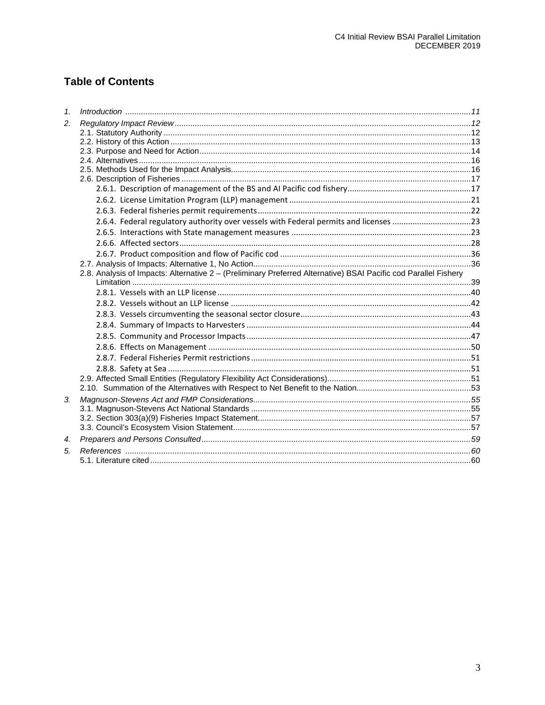## **Table of Contents**

| 1 <sup>1</sup> |                                                                                                                 |  |
|----------------|-----------------------------------------------------------------------------------------------------------------|--|
| 2.             |                                                                                                                 |  |
|                |                                                                                                                 |  |
|                |                                                                                                                 |  |
|                |                                                                                                                 |  |
|                |                                                                                                                 |  |
|                |                                                                                                                 |  |
|                |                                                                                                                 |  |
|                |                                                                                                                 |  |
|                |                                                                                                                 |  |
|                |                                                                                                                 |  |
|                | 2.6.4. Federal regulatory authority over vessels with Federal permits and licenses 23                           |  |
|                |                                                                                                                 |  |
|                |                                                                                                                 |  |
|                |                                                                                                                 |  |
|                |                                                                                                                 |  |
|                | 2.8. Analysis of Impacts: Alternative 2 - (Preliminary Preferred Alternative) BSAI Pacific cod Parallel Fishery |  |
|                |                                                                                                                 |  |
|                |                                                                                                                 |  |
|                |                                                                                                                 |  |
|                |                                                                                                                 |  |
|                |                                                                                                                 |  |
|                |                                                                                                                 |  |
|                |                                                                                                                 |  |
|                |                                                                                                                 |  |
|                |                                                                                                                 |  |
|                |                                                                                                                 |  |
|                |                                                                                                                 |  |
| 3.             |                                                                                                                 |  |
|                |                                                                                                                 |  |
|                |                                                                                                                 |  |
|                |                                                                                                                 |  |
| 4.             |                                                                                                                 |  |
| 5.             |                                                                                                                 |  |
|                |                                                                                                                 |  |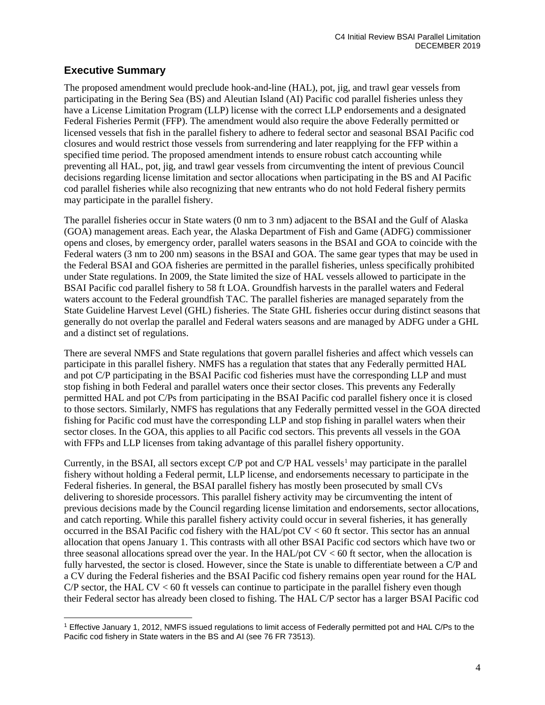### **Executive Summary**

The proposed amendment would preclude hook-and-line (HAL), pot, jig, and trawl gear vessels from participating in the Bering Sea (BS) and Aleutian Island (AI) Pacific cod parallel fisheries unless they have a License Limitation Program (LLP) license with the correct LLP endorsements and a designated Federal Fisheries Permit (FFP). The amendment would also require the above Federally permitted or licensed vessels that fish in the parallel fishery to adhere to federal sector and seasonal BSAI Pacific cod closures and would restrict those vessels from surrendering and later reapplying for the FFP within a specified time period. The proposed amendment intends to ensure robust catch accounting while preventing all HAL, pot, jig, and trawl gear vessels from circumventing the intent of previous Council decisions regarding license limitation and sector allocations when participating in the BS and AI Pacific cod parallel fisheries while also recognizing that new entrants who do not hold Federal fishery permits may participate in the parallel fishery.

The parallel fisheries occur in State waters (0 nm to 3 nm) adjacent to the BSAI and the Gulf of Alaska (GOA) management areas. Each year, the Alaska Department of Fish and Game (ADFG) commissioner opens and closes, by emergency order, parallel waters seasons in the BSAI and GOA to coincide with the Federal waters (3 nm to 200 nm) seasons in the BSAI and GOA. The same gear types that may be used in the Federal BSAI and GOA fisheries are permitted in the parallel fisheries, unless specifically prohibited under State regulations. In 2009, the State limited the size of HAL vessels allowed to participate in the BSAI Pacific cod parallel fishery to 58 ft LOA. Groundfish harvests in the parallel waters and Federal waters account to the Federal groundfish TAC. The parallel fisheries are managed separately from the State Guideline Harvest Level (GHL) fisheries. The State GHL fisheries occur during distinct seasons that generally do not overlap the parallel and Federal waters seasons and are managed by ADFG under a GHL and a distinct set of regulations.

There are several NMFS and State regulations that govern parallel fisheries and affect which vessels can participate in this parallel fishery. NMFS has a regulation that states that any Federally permitted HAL and pot C/P participating in the BSAI Pacific cod fisheries must have the corresponding LLP and must stop fishing in both Federal and parallel waters once their sector closes. This prevents any Federally permitted HAL and pot C/Ps from participating in the BSAI Pacific cod parallel fishery once it is closed to those sectors. Similarly, NMFS has regulations that any Federally permitted vessel in the GOA directed fishing for Pacific cod must have the corresponding LLP and stop fishing in parallel waters when their sector closes. In the GOA, this applies to all Pacific cod sectors. This prevents all vessels in the GOA with FFPs and LLP licenses from taking advantage of this parallel fishery opportunity.

Currently, in the BSAI, all sectors except C/P pot and C/P HAL vessels<sup>[1](#page-3-0)</sup> may participate in the parallel fishery without holding a Federal permit, LLP license, and endorsements necessary to participate in the Federal fisheries. In general, the BSAI parallel fishery has mostly been prosecuted by small CVs delivering to shoreside processors. This parallel fishery activity may be circumventing the intent of previous decisions made by the Council regarding license limitation and endorsements, sector allocations, and catch reporting. While this parallel fishery activity could occur in several fisheries, it has generally occurred in the BSAI Pacific cod fishery with the HAL/pot CV < 60 ft sector. This sector has an annual allocation that opens January 1. This contrasts with all other BSAI Pacific cod sectors which have two or three seasonal allocations spread over the year. In the HAL/pot  $CV < 60$  ft sector, when the allocation is fully harvested, the sector is closed. However, since the State is unable to differentiate between a C/P and a CV during the Federal fisheries and the BSAI Pacific cod fishery remains open year round for the HAL  $C/P$  sector, the HAL  $CV < 60$  ft vessels can continue to participate in the parallel fishery even though their Federal sector has already been closed to fishing. The HAL C/P sector has a larger BSAI Pacific cod

<span id="page-3-0"></span><sup>1</sup> Effective January 1, 2012, NMFS issued regulations to limit access of Federally permitted pot and HAL C/Ps to the Pacific cod fishery in State waters in the BS and AI (see 76 FR 73513).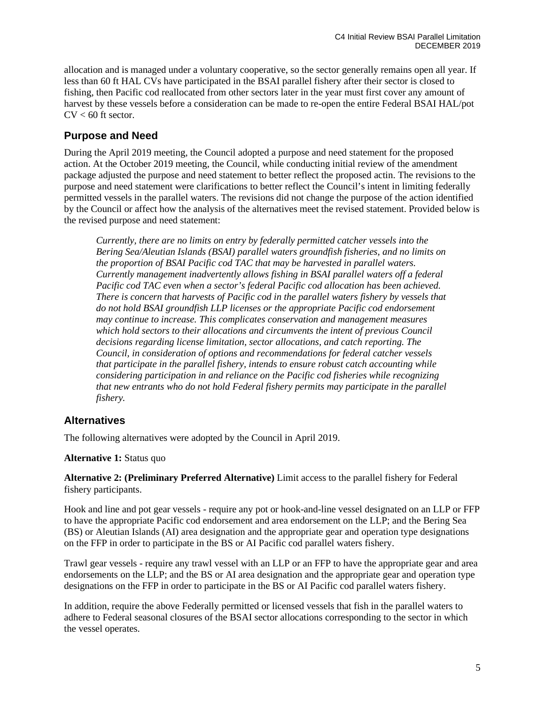allocation and is managed under a voluntary cooperative, so the sector generally remains open all year. If less than 60 ft HAL CVs have participated in the BSAI parallel fishery after their sector is closed to fishing, then Pacific cod reallocated from other sectors later in the year must first cover any amount of harvest by these vessels before a consideration can be made to re-open the entire Federal BSAI HAL/pot  $CV < 60$  ft sector.

### **Purpose and Need**

During the April 2019 meeting, the Council adopted a purpose and need statement for the proposed action. At the October 2019 meeting, the Council, while conducting initial review of the amendment package adjusted the purpose and need statement to better reflect the proposed actin. The revisions to the purpose and need statement were clarifications to better reflect the Council's intent in limiting federally permitted vessels in the parallel waters. The revisions did not change the purpose of the action identified by the Council or affect how the analysis of the alternatives meet the revised statement. Provided below is the revised purpose and need statement:

*Currently, there are no limits on entry by federally permitted catcher vessels into the Bering Sea/Aleutian Islands (BSAI) parallel waters groundfish fisheries, and no limits on the proportion of BSAI Pacific cod TAC that may be harvested in parallel waters. Currently management inadvertently allows fishing in BSAI parallel waters off a federal Pacific cod TAC even when a sector's federal Pacific cod allocation has been achieved. There is concern that harvests of Pacific cod in the parallel waters fishery by vessels that do not hold BSAI groundfish LLP licenses or the appropriate Pacific cod endorsement may continue to increase. This complicates conservation and management measures which hold sectors to their allocations and circumvents the intent of previous Council decisions regarding license limitation, sector allocations, and catch reporting. The Council, in consideration of options and recommendations for federal catcher vessels that participate in the parallel fishery, intends to ensure robust catch accounting while considering participation in and reliance on the Pacific cod fisheries while recognizing that new entrants who do not hold Federal fishery permits may participate in the parallel fishery.* 

### **Alternatives**

The following alternatives were adopted by the Council in April 2019.

#### **Alternative 1:** Status quo

**Alternative 2: (Preliminary Preferred Alternative)** Limit access to the parallel fishery for Federal fishery participants.

Hook and line and pot gear vessels - require any pot or hook-and-line vessel designated on an LLP or FFP to have the appropriate Pacific cod endorsement and area endorsement on the LLP; and the Bering Sea (BS) or Aleutian Islands (AI) area designation and the appropriate gear and operation type designations on the FFP in order to participate in the BS or AI Pacific cod parallel waters fishery.

Trawl gear vessels - require any trawl vessel with an LLP or an FFP to have the appropriate gear and area endorsements on the LLP; and the BS or AI area designation and the appropriate gear and operation type designations on the FFP in order to participate in the BS or AI Pacific cod parallel waters fishery.

In addition, require the above Federally permitted or licensed vessels that fish in the parallel waters to adhere to Federal seasonal closures of the BSAI sector allocations corresponding to the sector in which the vessel operates.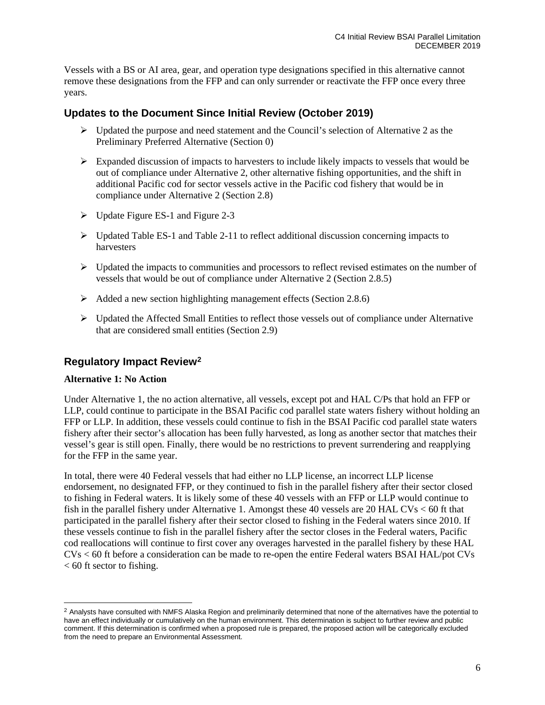Vessels with a BS or AI area, gear, and operation type designations specified in this alternative cannot remove these designations from the FFP and can only surrender or reactivate the FFP once every three years.

### **Updates to the Document Since Initial Review (October 2019)**

- $\triangleright$  Updated the purpose and need statement and the Council's selection of Alternative 2 as the Preliminary Preferred Alternative (Section [0\)](#page-14-0)
- $\triangleright$  Expanded discussion of impacts to harvesters to include likely impacts to vessels that would be out of compliance under Alternative 2, other alternative fishing opportunities, and the shift in additional Pacific cod for sector vessels active in the Pacific cod fishery that would be in compliance under Alternative 2 (Section [2.8\)](#page-38-0)
- $\triangleright$  Update Figure ES-1 and [Figure 2-3](#page-39-1)
- $\triangleright$  Updated Table ES-1 and [Table 2-11](#page-45-0) to reflect additional discussion concerning impacts to harvesters
- $\triangleright$  Updated the impacts to communities and processors to reflect revised estimates on the number of vessels that would be out of compliance under Alternative 2 (Section [2.8.5\)](#page-46-0)
- $\triangleright$  Added a new section highlighting management effects (Sectio[n 2.8.6\)](#page-49-0)
- $\triangleright$  Updated the Affected Small Entities to reflect those vessels out of compliance under Alternative that are considered small entities (Section [2.9\)](#page-50-2)

### **Regulatory Impact Review[2](#page-5-0)**

#### **Alternative 1: No Action**

Under Alternative 1, the no action alternative, all vessels, except pot and HAL C/Ps that hold an FFP or LLP, could continue to participate in the BSAI Pacific cod parallel state waters fishery without holding an FFP or LLP. In addition, these vessels could continue to fish in the BSAI Pacific cod parallel state waters fishery after their sector's allocation has been fully harvested, as long as another sector that matches their vessel's gear is still open. Finally, there would be no restrictions to prevent surrendering and reapplying for the FFP in the same year.

In total, there were 40 Federal vessels that had either no LLP license, an incorrect LLP license endorsement, no designated FFP, or they continued to fish in the parallel fishery after their sector closed to fishing in Federal waters. It is likely some of these 40 vessels with an FFP or LLP would continue to fish in the parallel fishery under Alternative 1. Amongst these 40 vessels are 20 HAL CVs < 60 ft that participated in the parallel fishery after their sector closed to fishing in the Federal waters since 2010. If these vessels continue to fish in the parallel fishery after the sector closes in the Federal waters, Pacific cod reallocations will continue to first cover any overages harvested in the parallel fishery by these HAL CVs < 60 ft before a consideration can be made to re-open the entire Federal waters BSAI HAL/pot CVs  $< 60$  ft sector to fishing.

<span id="page-5-0"></span><sup>&</sup>lt;sup>2</sup> Analysts have consulted with NMFS Alaska Region and preliminarily determined that none of the alternatives have the potential to have an effect individually or cumulatively on the human environment. This determination is subject to further review and public comment. If this determination is confirmed when a proposed rule is prepared, the proposed action will be categorically excluded from the need to prepare an Environmental Assessment.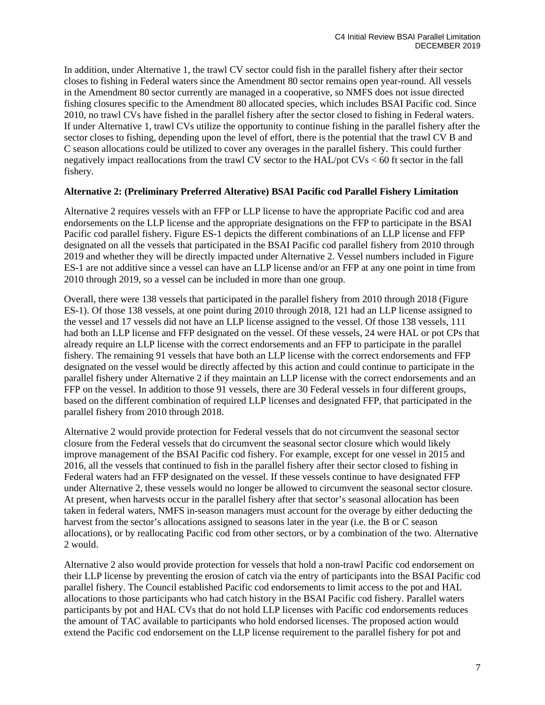In addition, under Alternative 1, the trawl CV sector could fish in the parallel fishery after their sector closes to fishing in Federal waters since the Amendment 80 sector remains open year-round. All vessels in the Amendment 80 sector currently are managed in a cooperative, so NMFS does not issue directed fishing closures specific to the Amendment 80 allocated species, which includes BSAI Pacific cod. Since 2010, no trawl CVs have fished in the parallel fishery after the sector closed to fishing in Federal waters. If under Alternative 1, trawl CVs utilize the opportunity to continue fishing in the parallel fishery after the sector closes to fishing, depending upon the level of effort, there is the potential that the trawl CV B and C season allocations could be utilized to cover any overages in the parallel fishery. This could further negatively impact reallocations from the trawl CV sector to the HAL/pot CVs < 60 ft sector in the fall fishery.

#### **Alternative 2: (Preliminary Preferred Alterative) BSAI Pacific cod Parallel Fishery Limitation**

Alternative 2 requires vessels with an FFP or LLP license to have the appropriate Pacific cod and area endorsements on the LLP license and the appropriate designations on the FFP to participate in the BSAI Pacific cod parallel fishery. Figure ES-1 depicts the different combinations of an LLP license and FFP designated on all the vessels that participated in the BSAI Pacific cod parallel fishery from 2010 through 2019 and whether they will be directly impacted under Alternative 2. Vessel numbers included in Figure ES-1 are not additive since a vessel can have an LLP license and/or an FFP at any one point in time from 2010 through 2019, so a vessel can be included in more than one group.

Overall, there were 138 vessels that participated in the parallel fishery from 2010 through 2018 (Figure ES-1). Of those 138 vessels, at one point during 2010 through 2018, 121 had an LLP license assigned to the vessel and 17 vessels did not have an LLP license assigned to the vessel. Of those 138 vessels, 111 had both an LLP license and FFP designated on the vessel. Of these vessels, 24 were HAL or pot CPs that already require an LLP license with the correct endorsements and an FFP to participate in the parallel fishery. The remaining 91 vessels that have both an LLP license with the correct endorsements and FFP designated on the vessel would be directly affected by this action and could continue to participate in the parallel fishery under Alternative 2 if they maintain an LLP license with the correct endorsements and an FFP on the vessel. In addition to those 91 vessels, there are 30 Federal vessels in four different groups, based on the different combination of required LLP licenses and designated FFP, that participated in the parallel fishery from 2010 through 2018.

Alternative 2 would provide protection for Federal vessels that do not circumvent the seasonal sector closure from the Federal vessels that do circumvent the seasonal sector closure which would likely improve management of the BSAI Pacific cod fishery. For example, except for one vessel in 2015 and 2016, all the vessels that continued to fish in the parallel fishery after their sector closed to fishing in Federal waters had an FFP designated on the vessel. If these vessels continue to have designated FFP under Alternative 2, these vessels would no longer be allowed to circumvent the seasonal sector closure. At present, when harvests occur in the parallel fishery after that sector's seasonal allocation has been taken in federal waters, NMFS in-season managers must account for the overage by either deducting the harvest from the sector's allocations assigned to seasons later in the year (i.e. the B or C season allocations), or by reallocating Pacific cod from other sectors, or by a combination of the two. Alternative 2 would.

Alternative 2 also would provide protection for vessels that hold a non-trawl Pacific cod endorsement on their LLP license by preventing the erosion of catch via the entry of participants into the BSAI Pacific cod parallel fishery. The Council established Pacific cod endorsements to limit access to the pot and HAL allocations to those participants who had catch history in the BSAI Pacific cod fishery. Parallel waters participants by pot and HAL CVs that do not hold LLP licenses with Pacific cod endorsements reduces the amount of TAC available to participants who hold endorsed licenses. The proposed action would extend the Pacific cod endorsement on the LLP license requirement to the parallel fishery for pot and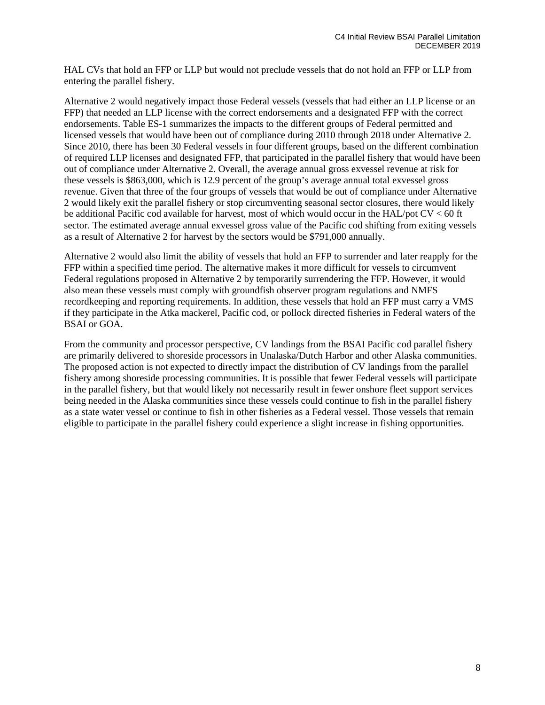HAL CVs that hold an FFP or LLP but would not preclude vessels that do not hold an FFP or LLP from entering the parallel fishery.

Alternative 2 would negatively impact those Federal vessels (vessels that had either an LLP license or an FFP) that needed an LLP license with the correct endorsements and a designated FFP with the correct endorsements. Table ES-1 summarizes the impacts to the different groups of Federal permitted and licensed vessels that would have been out of compliance during 2010 through 2018 under Alternative 2. Since 2010, there has been 30 Federal vessels in four different groups, based on the different combination of required LLP licenses and designated FFP, that participated in the parallel fishery that would have been out of compliance under Alternative 2. Overall, the average annual gross exvessel revenue at risk for these vessels is \$863,000, which is 12.9 percent of the group's average annual total exvessel gross revenue. Given that three of the four groups of vessels that would be out of compliance under Alternative 2 would likely exit the parallel fishery or stop circumventing seasonal sector closures, there would likely be additional Pacific cod available for harvest, most of which would occur in the HAL/pot CV < 60 ft sector. The estimated average annual exvessel gross value of the Pacific cod shifting from exiting vessels as a result of Alternative 2 for harvest by the sectors would be \$791,000 annually.

Alternative 2 would also limit the ability of vessels that hold an FFP to surrender and later reapply for the FFP within a specified time period. The alternative makes it more difficult for vessels to circumvent Federal regulations proposed in Alternative 2 by temporarily surrendering the FFP. However, it would also mean these vessels must comply with groundfish observer program regulations and NMFS recordkeeping and reporting requirements. In addition, these vessels that hold an FFP must carry a VMS if they participate in the Atka mackerel, Pacific cod, or pollock directed fisheries in Federal waters of the BSAI or GOA.

From the community and processor perspective, CV landings from the BSAI Pacific cod parallel fishery are primarily delivered to shoreside processors in Unalaska/Dutch Harbor and other Alaska communities. The proposed action is not expected to directly impact the distribution of CV landings from the parallel fishery among shoreside processing communities. It is possible that fewer Federal vessels will participate in the parallel fishery, but that would likely not necessarily result in fewer onshore fleet support services being needed in the Alaska communities since these vessels could continue to fish in the parallel fishery as a state water vessel or continue to fish in other fisheries as a Federal vessel. Those vessels that remain eligible to participate in the parallel fishery could experience a slight increase in fishing opportunities.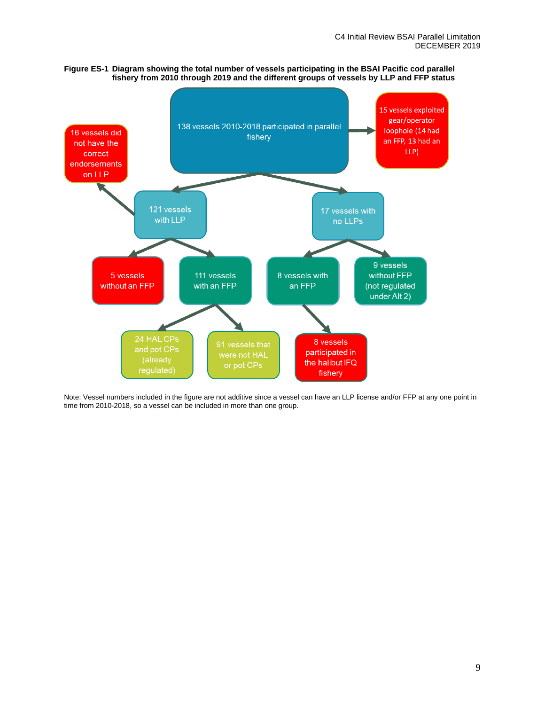



Note: Vessel numbers included in the figure are not additive since a vessel can have an LLP license and/or FFP at any one point in time from 2010-2018, so a vessel can be included in more than one group.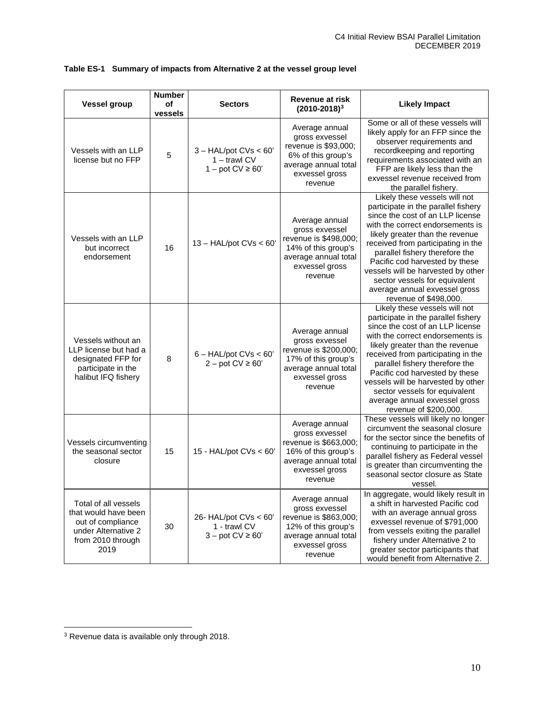| <b>Vessel group</b>                                                                                                   | <b>Number</b><br>οf<br>vessels | <b>Sectors</b>                                                     | <b>Revenue at risk</b><br>$(2010 - 2018)^3$                                                                                           | <b>Likely Impact</b>                                                                                                                                                                                                                                                                                                                                                                                                       |
|-----------------------------------------------------------------------------------------------------------------------|--------------------------------|--------------------------------------------------------------------|---------------------------------------------------------------------------------------------------------------------------------------|----------------------------------------------------------------------------------------------------------------------------------------------------------------------------------------------------------------------------------------------------------------------------------------------------------------------------------------------------------------------------------------------------------------------------|
| Vessels with an LLP<br>license but no FFP                                                                             | 5                              | $3 - HAL$ /pot CVs < 60'<br>$1 -$ trawl CV<br>$1 - pot CV \ge 60'$ | Average annual<br>gross exvessel<br>revenue is \$93,000;<br>6% of this group's<br>average annual total<br>exvessel gross<br>revenue   | Some or all of these vessels will<br>likely apply for an FFP since the<br>observer requirements and<br>recordkeeping and reporting<br>requirements associated with an<br>FFP are likely less than the<br>exvessel revenue received from<br>the parallel fishery.                                                                                                                                                           |
| Vessels with an LLP<br>but incorrect<br>endorsement                                                                   | 16                             | $13 - HAL$ /pot CVs < 60'                                          | Average annual<br>gross exvessel<br>revenue is \$498,000;<br>14% of this group's<br>average annual total<br>exvessel gross<br>revenue | Likely these vessels will not<br>participate in the parallel fishery<br>since the cost of an LLP license<br>with the correct endorsements is<br>likely greater than the revenue<br>received from participating in the<br>parallel fishery therefore the<br>Pacific cod harvested by these<br>vessels will be harvested by other<br>sector vessels for equivalent<br>average annual exvessel gross<br>revenue of \$498,000. |
| Vessels without an<br>LLP license but had a<br>designated FFP for<br>participate in the<br>halibut IFQ fishery        | 8                              | $6 - HAL/pot CVs < 60'$<br>$2 - pot CV \ge 60'$                    | Average annual<br>gross exvessel<br>revenue is \$200,000;<br>17% of this group's<br>average annual total<br>exvessel gross<br>revenue | Likely these vessels will not<br>participate in the parallel fishery<br>since the cost of an LLP license<br>with the correct endorsements is<br>likely greater than the revenue<br>received from participating in the<br>parallel fishery therefore the<br>Pacific cod harvested by these<br>vessels will be harvested by other<br>sector vessels for equivalent<br>average annual exvessel gross<br>revenue of \$200,000. |
| Vessels circumventing<br>the seasonal sector<br>closure                                                               | 15                             | 15 - $HAL/pot$ CVs < 60'                                           | Average annual<br>gross exvessel<br>revenue is \$663,000;<br>16% of this group's<br>average annual total<br>exvessel gross<br>revenue | These vessels will likely no longer<br>circumvent the seasonal closure<br>for the sector since the benefits of<br>continuing to participate in the<br>parallel fishery as Federal vessel<br>is greater than circumventing the<br>seasonal sector closure as State<br>vessel.                                                                                                                                               |
| Total of all vessels<br>that would have been<br>out of compliance<br>under Alternative 2<br>from 2010 through<br>2019 | 30                             | 26- HAL/pot $CVs < 60'$<br>1 - trawl CV<br>$3 - pot CV \ge 60'$    | Average annual<br>gross exvessel<br>revenue is \$863,000;<br>12% of this group's<br>average annual total<br>exvessel gross<br>revenue | In aggregate, would likely result in<br>a shift in harvested Pacific cod<br>with an average annual gross<br>exvessel revenue of \$791,000<br>from vessels exiting the parallel<br>fishery under Alternative 2 to<br>greater sector participants that<br>would benefit from Alternative 2.                                                                                                                                  |

### **Table ES-1 Summary of impacts from Alternative 2 at the vessel group level**

<span id="page-9-0"></span><sup>3</sup> Revenue data is available only through 2018.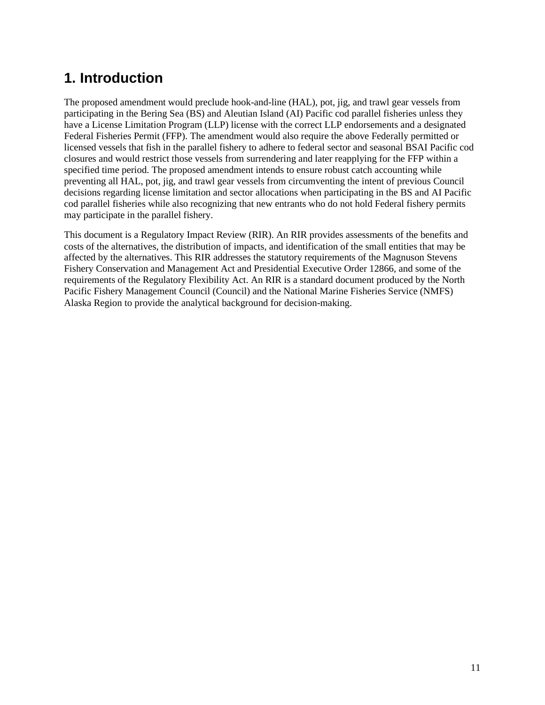# <span id="page-10-0"></span>**1. Introduction**

The proposed amendment would preclude hook-and-line (HAL), pot, jig, and trawl gear vessels from participating in the Bering Sea (BS) and Aleutian Island (AI) Pacific cod parallel fisheries unless they have a License Limitation Program (LLP) license with the correct LLP endorsements and a designated Federal Fisheries Permit (FFP). The amendment would also require the above Federally permitted or licensed vessels that fish in the parallel fishery to adhere to federal sector and seasonal BSAI Pacific cod closures and would restrict those vessels from surrendering and later reapplying for the FFP within a specified time period. The proposed amendment intends to ensure robust catch accounting while preventing all HAL, pot, jig, and trawl gear vessels from circumventing the intent of previous Council decisions regarding license limitation and sector allocations when participating in the BS and AI Pacific cod parallel fisheries while also recognizing that new entrants who do not hold Federal fishery permits may participate in the parallel fishery.

This document is a Regulatory Impact Review (RIR). An RIR provides assessments of the benefits and costs of the alternatives, the distribution of impacts, and identification of the small entities that may be affected by the alternatives. This RIR addresses the statutory requirements of the Magnuson Stevens Fishery Conservation and Management Act and Presidential Executive Order 12866, and some of the requirements of the Regulatory Flexibility Act. An RIR is a standard document produced by the North Pacific Fishery Management Council (Council) and the National Marine Fisheries Service (NMFS) Alaska Region to provide the analytical background for decision-making.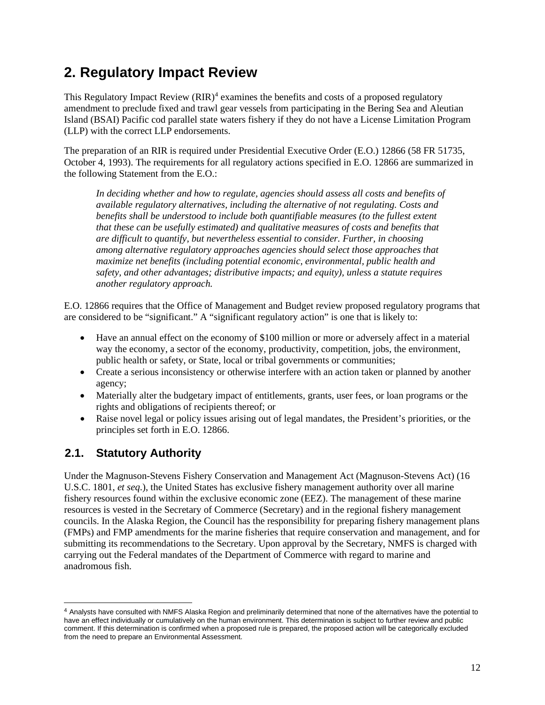# <span id="page-11-0"></span>**2. Regulatory Impact Review**

This Regulatory Impact Review  $(RIR)^4$  $(RIR)^4$  examines the benefits and costs of a proposed regulatory amendment to preclude fixed and trawl gear vessels from participating in the Bering Sea and Aleutian Island (BSAI) Pacific cod parallel state waters fishery if they do not have a License Limitation Program (LLP) with the correct LLP endorsements.

The preparation of an RIR is required under Presidential Executive Order (E.O.) 12866 (58 FR 51735, October 4, 1993). The requirements for all regulatory actions specified in E.O. 12866 are summarized in the following Statement from the E.O.:

In deciding whether and how to regulate, agencies should assess all costs and benefits of *available regulatory alternatives, including the alternative of not regulating. Costs and benefits shall be understood to include both quantifiable measures (to the fullest extent that these can be usefully estimated) and qualitative measures of costs and benefits that are difficult to quantify, but nevertheless essential to consider. Further, in choosing among alternative regulatory approaches agencies should select those approaches that maximize net benefits (including potential economic, environmental, public health and safety, and other advantages; distributive impacts; and equity), unless a statute requires another regulatory approach.*

E.O. 12866 requires that the Office of Management and Budget review proposed regulatory programs that are considered to be "significant." A "significant regulatory action" is one that is likely to:

- Have an annual effect on the economy of \$100 million or more or adversely affect in a material way the economy, a sector of the economy, productivity, competition, jobs, the environment, public health or safety, or State, local or tribal governments or communities;
- Create a serious inconsistency or otherwise interfere with an action taken or planned by another agency;
- Materially alter the budgetary impact of entitlements, grants, user fees, or loan programs or the rights and obligations of recipients thereof; or
- Raise novel legal or policy issues arising out of legal mandates, the President's priorities, or the principles set forth in E.O. 12866.

## <span id="page-11-1"></span>**2.1. Statutory Authority**

Under the Magnuson-Stevens Fishery Conservation and Management Act (Magnuson-Stevens Act) (16 U.S.C. 1801, *et seq*.), the United States has exclusive fishery management authority over all marine fishery resources found within the exclusive economic zone (EEZ). The management of these marine resources is vested in the Secretary of Commerce (Secretary) and in the regional fishery management councils. In the Alaska Region, the Council has the responsibility for preparing fishery management plans (FMPs) and FMP amendments for the marine fisheries that require conservation and management, and for submitting its recommendations to the Secretary. Upon approval by the Secretary, NMFS is charged with carrying out the Federal mandates of the Department of Commerce with regard to marine and anadromous fish.

<span id="page-11-2"></span><sup>4</sup> Analysts have consulted with NMFS Alaska Region and preliminarily determined that none of the alternatives have the potential to have an effect individually or cumulatively on the human environment. This determination is subject to further review and public comment. If this determination is confirmed when a proposed rule is prepared, the proposed action will be categorically excluded from the need to prepare an Environmental Assessment.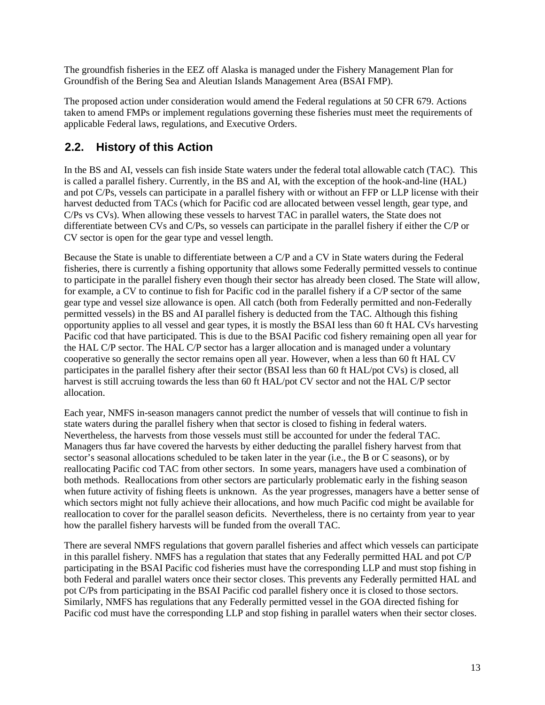The groundfish fisheries in the EEZ off Alaska is managed under the Fishery Management Plan for Groundfish of the Bering Sea and Aleutian Islands Management Area (BSAI FMP).

The proposed action under consideration would amend the Federal regulations at 50 CFR 679. Actions taken to amend FMPs or implement regulations governing these fisheries must meet the requirements of applicable Federal laws, regulations, and Executive Orders.

## <span id="page-12-0"></span>**2.2. History of this Action**

In the BS and AI, vessels can fish inside State waters under the federal total allowable catch (TAC). This is called a parallel fishery. Currently, in the BS and AI, with the exception of the hook-and-line (HAL) and pot C/Ps, vessels can participate in a parallel fishery with or without an FFP or LLP license with their harvest deducted from TACs (which for Pacific cod are allocated between vessel length, gear type, and C/Ps vs CVs). When allowing these vessels to harvest TAC in parallel waters, the State does not differentiate between CVs and C/Ps, so vessels can participate in the parallel fishery if either the C/P or CV sector is open for the gear type and vessel length.

Because the State is unable to differentiate between a C/P and a CV in State waters during the Federal fisheries, there is currently a fishing opportunity that allows some Federally permitted vessels to continue to participate in the parallel fishery even though their sector has already been closed. The State will allow, for example, a CV to continue to fish for Pacific cod in the parallel fishery if a C/P sector of the same gear type and vessel size allowance is open. All catch (both from Federally permitted and non-Federally permitted vessels) in the BS and AI parallel fishery is deducted from the TAC. Although this fishing opportunity applies to all vessel and gear types, it is mostly the BSAI less than 60 ft HAL CVs harvesting Pacific cod that have participated. This is due to the BSAI Pacific cod fishery remaining open all year for the HAL C/P sector. The HAL C/P sector has a larger allocation and is managed under a voluntary cooperative so generally the sector remains open all year. However, when a less than 60 ft HAL CV participates in the parallel fishery after their sector (BSAI less than 60 ft HAL/pot CVs) is closed, all harvest is still accruing towards the less than 60 ft HAL/pot CV sector and not the HAL C/P sector allocation.

Each year, NMFS in-season managers cannot predict the number of vessels that will continue to fish in state waters during the parallel fishery when that sector is closed to fishing in federal waters. Nevertheless, the harvests from those vessels must still be accounted for under the federal TAC. Managers thus far have covered the harvests by either deducting the parallel fishery harvest from that sector's seasonal allocations scheduled to be taken later in the year (i.e., the B or C seasons), or by reallocating Pacific cod TAC from other sectors. In some years, managers have used a combination of both methods. Reallocations from other sectors are particularly problematic early in the fishing season when future activity of fishing fleets is unknown. As the year progresses, managers have a better sense of which sectors might not fully achieve their allocations, and how much Pacific cod might be available for reallocation to cover for the parallel season deficits. Nevertheless, there is no certainty from year to year how the parallel fishery harvests will be funded from the overall TAC.

There are several NMFS regulations that govern parallel fisheries and affect which vessels can participate in this parallel fishery. NMFS has a regulation that states that any Federally permitted HAL and pot C/P participating in the BSAI Pacific cod fisheries must have the corresponding LLP and must stop fishing in both Federal and parallel waters once their sector closes. This prevents any Federally permitted HAL and pot C/Ps from participating in the BSAI Pacific cod parallel fishery once it is closed to those sectors. Similarly, NMFS has regulations that any Federally permitted vessel in the GOA directed fishing for Pacific cod must have the corresponding LLP and stop fishing in parallel waters when their sector closes.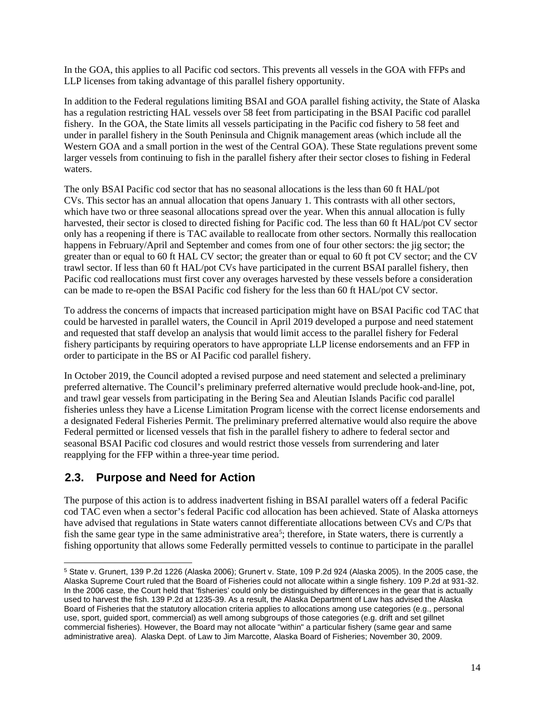In the GOA, this applies to all Pacific cod sectors. This prevents all vessels in the GOA with FFPs and LLP licenses from taking advantage of this parallel fishery opportunity.

In addition to the Federal regulations limiting BSAI and GOA parallel fishing activity, the State of Alaska has a regulation restricting HAL vessels over 58 feet from participating in the BSAI Pacific cod parallel fishery. In the GOA, the State limits all vessels participating in the Pacific cod fishery to 58 feet and under in parallel fishery in the South Peninsula and Chignik management areas (which include all the Western GOA and a small portion in the west of the Central GOA). These State regulations prevent some larger vessels from continuing to fish in the parallel fishery after their sector closes to fishing in Federal waters.

The only BSAI Pacific cod sector that has no seasonal allocations is the less than 60 ft HAL/pot CVs. This sector has an annual allocation that opens January 1. This contrasts with all other sectors, which have two or three seasonal allocations spread over the year. When this annual allocation is fully harvested, their sector is closed to directed fishing for Pacific cod. The less than 60 ft HAL/pot CV sector only has a reopening if there is TAC available to reallocate from other sectors. Normally this reallocation happens in February/April and September and comes from one of four other sectors: the jig sector; the greater than or equal to 60 ft HAL CV sector; the greater than or equal to 60 ft pot CV sector; and the CV trawl sector. If less than 60 ft HAL/pot CVs have participated in the current BSAI parallel fishery, then Pacific cod reallocations must first cover any overages harvested by these vessels before a consideration can be made to re-open the BSAI Pacific cod fishery for the less than 60 ft HAL/pot CV sector.

To address the concerns of impacts that increased participation might have on BSAI Pacific cod TAC that could be harvested in parallel waters, the Council in April 2019 developed a purpose and need statement and requested that staff develop an analysis that would limit access to the parallel fishery for Federal fishery participants by requiring operators to have appropriate LLP license endorsements and an FFP in order to participate in the BS or AI Pacific cod parallel fishery.

In October 2019, the Council adopted a revised purpose and need statement and selected a preliminary preferred alternative. The Council's preliminary preferred alternative would preclude hook-and-line, pot, and trawl gear vessels from participating in the Bering Sea and Aleutian Islands Pacific cod parallel fisheries unless they have a License Limitation Program license with the correct license endorsements and a designated Federal Fisheries Permit. The preliminary preferred alternative would also require the above Federal permitted or licensed vessels that fish in the parallel fishery to adhere to federal sector and seasonal BSAI Pacific cod closures and would restrict those vessels from surrendering and later reapplying for the FFP within a three-year time period.

## <span id="page-13-0"></span>**2.3. Purpose and Need for Action**

The purpose of this action is to address inadvertent fishing in BSAI parallel waters off a federal Pacific cod TAC even when a sector's federal Pacific cod allocation has been achieved. State of Alaska attorneys have advised that regulations in State waters cannot differentiate allocations between CVs and C/Ps that fish the same gear type in the same administrative area<sup>[5](#page-13-1)</sup>; therefore, in State waters, there is currently a fishing opportunity that allows some Federally permitted vessels to continue to participate in the parallel

<span id="page-13-1"></span><sup>5</sup> State v. Grunert, 139 P.2d 1226 (Alaska 2006); Grunert v. State, 109 P.2d 924 (Alaska 2005). In the 2005 case, the Alaska Supreme Court ruled that the Board of Fisheries could not allocate within a single fishery. 109 P.2d at 931-32. In the 2006 case, the Court held that 'fisheries' could only be distinguished by differences in the gear that is actually used to harvest the fish. 139 P.2d at 1235-39. As a result, the Alaska Department of Law has advised the Alaska Board of Fisheries that the statutory allocation criteria applies to allocations among use categories (e.g., personal use, sport, guided sport, commercial) as well among subgroups of those categories (e.g. drift and set gillnet commercial fisheries). However, the Board may not allocate "within" a particular fishery (same gear and same administrative area). Alaska Dept. of Law to Jim Marcotte, Alaska Board of Fisheries; November 30, 2009.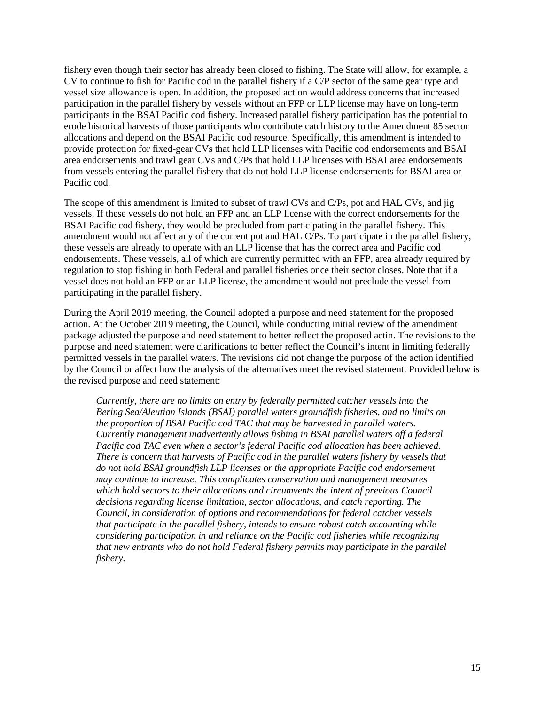fishery even though their sector has already been closed to fishing. The State will allow, for example, a CV to continue to fish for Pacific cod in the parallel fishery if a C/P sector of the same gear type and vessel size allowance is open. In addition, the proposed action would address concerns that increased participation in the parallel fishery by vessels without an FFP or LLP license may have on long-term participants in the BSAI Pacific cod fishery. Increased parallel fishery participation has the potential to erode historical harvests of those participants who contribute catch history to the Amendment 85 sector allocations and depend on the BSAI Pacific cod resource. Specifically, this amendment is intended to provide protection for fixed-gear CVs that hold LLP licenses with Pacific cod endorsements and BSAI area endorsements and trawl gear CVs and C/Ps that hold LLP licenses with BSAI area endorsements from vessels entering the parallel fishery that do not hold LLP license endorsements for BSAI area or Pacific cod.

The scope of this amendment is limited to subset of trawl CVs and C/Ps, pot and HAL CVs, and jig vessels. If these vessels do not hold an FFP and an LLP license with the correct endorsements for the BSAI Pacific cod fishery, they would be precluded from participating in the parallel fishery. This amendment would not affect any of the current pot and HAL C/Ps. To participate in the parallel fishery, these vessels are already to operate with an LLP license that has the correct area and Pacific cod endorsements. These vessels, all of which are currently permitted with an FFP, area already required by regulation to stop fishing in both Federal and parallel fisheries once their sector closes. Note that if a vessel does not hold an FFP or an LLP license, the amendment would not preclude the vessel from participating in the parallel fishery.

During the April 2019 meeting, the Council adopted a purpose and need statement for the proposed action. At the October 2019 meeting, the Council, while conducting initial review of the amendment package adjusted the purpose and need statement to better reflect the proposed actin. The revisions to the purpose and need statement were clarifications to better reflect the Council's intent in limiting federally permitted vessels in the parallel waters. The revisions did not change the purpose of the action identified by the Council or affect how the analysis of the alternatives meet the revised statement. Provided below is the revised purpose and need statement:

<span id="page-14-0"></span>*Currently, there are no limits on entry by federally permitted catcher vessels into the Bering Sea/Aleutian Islands (BSAI) parallel waters groundfish fisheries, and no limits on the proportion of BSAI Pacific cod TAC that may be harvested in parallel waters. Currently management inadvertently allows fishing in BSAI parallel waters off a federal Pacific cod TAC even when a sector's federal Pacific cod allocation has been achieved. There is concern that harvests of Pacific cod in the parallel waters fishery by vessels that do not hold BSAI groundfish LLP licenses or the appropriate Pacific cod endorsement may continue to increase. This complicates conservation and management measures which hold sectors to their allocations and circumvents the intent of previous Council decisions regarding license limitation, sector allocations, and catch reporting. The Council, in consideration of options and recommendations for federal catcher vessels that participate in the parallel fishery, intends to ensure robust catch accounting while considering participation in and reliance on the Pacific cod fisheries while recognizing that new entrants who do not hold Federal fishery permits may participate in the parallel fishery*.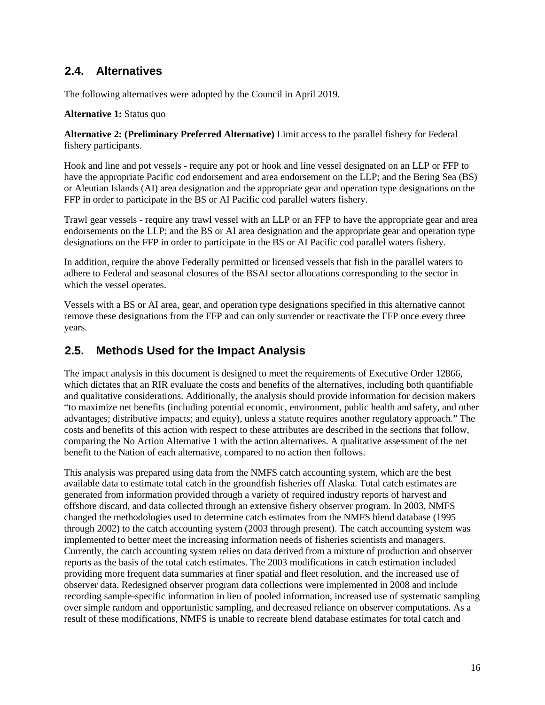## **2.4. Alternatives**

The following alternatives were adopted by the Council in April 2019.

#### **Alternative 1:** Status quo

**Alternative 2: (Preliminary Preferred Alternative)** Limit access to the parallel fishery for Federal fishery participants.

Hook and line and pot vessels - require any pot or hook and line vessel designated on an LLP or FFP to have the appropriate Pacific cod endorsement and area endorsement on the LLP; and the Bering Sea (BS) or Aleutian Islands (AI) area designation and the appropriate gear and operation type designations on the FFP in order to participate in the BS or AI Pacific cod parallel waters fishery.

Trawl gear vessels - require any trawl vessel with an LLP or an FFP to have the appropriate gear and area endorsements on the LLP; and the BS or AI area designation and the appropriate gear and operation type designations on the FFP in order to participate in the BS or AI Pacific cod parallel waters fishery.

In addition, require the above Federally permitted or licensed vessels that fish in the parallel waters to adhere to Federal and seasonal closures of the BSAI sector allocations corresponding to the sector in which the vessel operates.

Vessels with a BS or AI area, gear, and operation type designations specified in this alternative cannot remove these designations from the FFP and can only surrender or reactivate the FFP once every three years.

### <span id="page-15-0"></span>**2.5. Methods Used for the Impact Analysis**

The impact analysis in this document is designed to meet the requirements of Executive Order 12866, which dictates that an RIR evaluate the costs and benefits of the alternatives, including both quantifiable and qualitative considerations. Additionally, the analysis should provide information for decision makers "to maximize net benefits (including potential economic, environment, public health and safety, and other advantages; distributive impacts; and equity), unless a statute requires another regulatory approach." The costs and benefits of this action with respect to these attributes are described in the sections that follow, comparing the No Action Alternative 1 with the action alternatives. A qualitative assessment of the net benefit to the Nation of each alternative, compared to no action then follows.

This analysis was prepared using data from the NMFS catch accounting system, which are the best available data to estimate total catch in the groundfish fisheries off Alaska. Total catch estimates are generated from information provided through a variety of required industry reports of harvest and offshore discard, and data collected through an extensive fishery observer program. In 2003, NMFS changed the methodologies used to determine catch estimates from the NMFS blend database (1995 through 2002) to the catch accounting system (2003 through present). The catch accounting system was implemented to better meet the increasing information needs of fisheries scientists and managers. Currently, the catch accounting system relies on data derived from a mixture of production and observer reports as the basis of the total catch estimates. The 2003 modifications in catch estimation included providing more frequent data summaries at finer spatial and fleet resolution, and the increased use of observer data. Redesigned observer program data collections were implemented in 2008 and include recording sample-specific information in lieu of pooled information, increased use of systematic sampling over simple random and opportunistic sampling, and decreased reliance on observer computations. As a result of these modifications, NMFS is unable to recreate blend database estimates for total catch and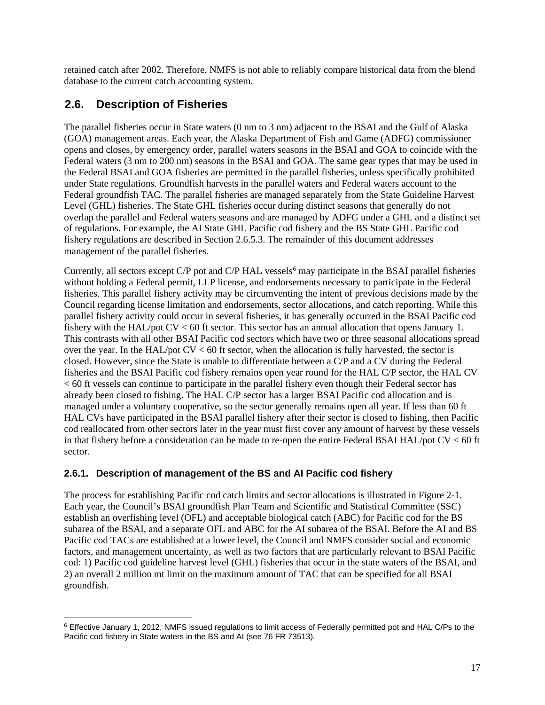retained catch after 2002. Therefore, NMFS is not able to reliably compare historical data from the blend database to the current catch accounting system.

## <span id="page-16-0"></span>**2.6. Description of Fisheries**

The parallel fisheries occur in State waters (0 nm to 3 nm) adjacent to the BSAI and the Gulf of Alaska (GOA) management areas. Each year, the Alaska Department of Fish and Game (ADFG) commissioner opens and closes, by emergency order, parallel waters seasons in the BSAI and GOA to coincide with the Federal waters (3 nm to 200 nm) seasons in the BSAI and GOA. The same gear types that may be used in the Federal BSAI and GOA fisheries are permitted in the parallel fisheries, unless specifically prohibited under State regulations. Groundfish harvests in the parallel waters and Federal waters account to the Federal groundfish TAC. The parallel fisheries are managed separately from the State Guideline Harvest Level (GHL) fisheries. The State GHL fisheries occur during distinct seasons that generally do not overlap the parallel and Federal waters seasons and are managed by ADFG under a GHL and a distinct set of regulations. For example, the AI State GHL Pacific cod fishery and the BS State GHL Pacific cod fishery regulations are described in Section [2.6.5.3.](#page-23-0) The remainder of this document addresses management of the parallel fisheries.

Currently, all sectors except  $C/P$  pot and  $C/P$  HAL vessels<sup>[6](#page-16-2)</sup> may participate in the BSAI parallel fisheries without holding a Federal permit, LLP license, and endorsements necessary to participate in the Federal fisheries. This parallel fishery activity may be circumventing the intent of previous decisions made by the Council regarding license limitation and endorsements, sector allocations, and catch reporting. While this parallel fishery activity could occur in several fisheries, it has generally occurred in the BSAI Pacific cod fishery with the HAL/pot CV < 60 ft sector. This sector has an annual allocation that opens January 1. This contrasts with all other BSAI Pacific cod sectors which have two or three seasonal allocations spread over the year. In the HAL/pot  $CV < 60$  ft sector, when the allocation is fully harvested, the sector is closed. However, since the State is unable to differentiate between a C/P and a CV during the Federal fisheries and the BSAI Pacific cod fishery remains open year round for the HAL C/P sector, the HAL CV < 60 ft vessels can continue to participate in the parallel fishery even though their Federal sector has already been closed to fishing. The HAL C/P sector has a larger BSAI Pacific cod allocation and is managed under a voluntary cooperative, so the sector generally remains open all year. If less than 60 ft HAL CVs have participated in the BSAI parallel fishery after their sector is closed to fishing, then Pacific cod reallocated from other sectors later in the year must first cover any amount of harvest by these vessels in that fishery before a consideration can be made to re-open the entire Federal BSAI HAL/pot CV < 60 ft sector.

### <span id="page-16-1"></span>**2.6.1. Description of management of the BS and AI Pacific cod fishery**

The process for establishing Pacific cod catch limits and sector allocations is illustrated in [Figure 2-1.](#page-18-0) Each year, the Council's BSAI groundfish Plan Team and Scientific and Statistical Committee (SSC) establish an overfishing level (OFL) and acceptable biological catch (ABC) for Pacific cod for the BS subarea of the BSAI, and a separate OFL and ABC for the AI subarea of the BSAI. Before the AI and BS Pacific cod TACs are established at a lower level, the Council and NMFS consider social and economic factors, and management uncertainty, as well as two factors that are particularly relevant to BSAI Pacific cod: 1) Pacific cod guideline harvest level (GHL) fisheries that occur in the state waters of the BSAI, and 2) an overall 2 million mt limit on the maximum amount of TAC that can be specified for all BSAI groundfish.

<span id="page-16-2"></span><sup>6</sup> Effective January 1, 2012, NMFS issued regulations to limit access of Federally permitted pot and HAL C/Ps to the Pacific cod fishery in State waters in the BS and AI (see 76 FR 73513).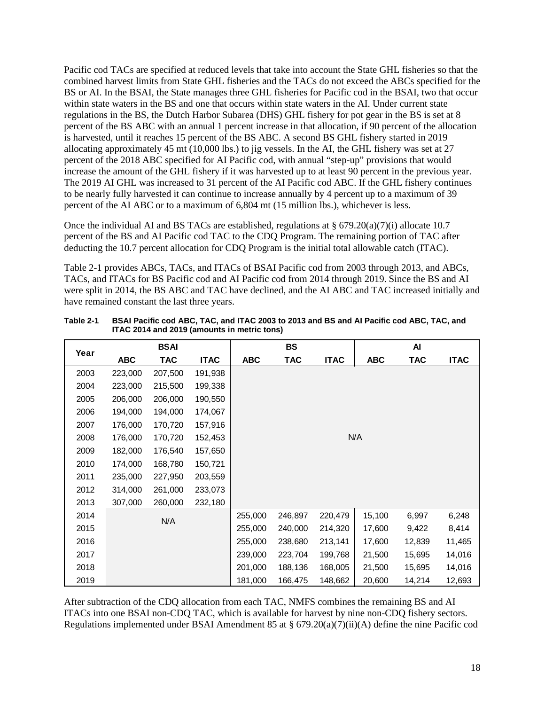Pacific cod TACs are specified at reduced levels that take into account the State GHL fisheries so that the combined harvest limits from State GHL fisheries and the TACs do not exceed the ABCs specified for the BS or AI. In the BSAI, the State manages three GHL fisheries for Pacific cod in the BSAI, two that occur within state waters in the BS and one that occurs within state waters in the AI. Under current state regulations in the BS, the Dutch Harbor Subarea (DHS) GHL fishery for pot gear in the BS is set at 8 percent of the BS ABC with an annual 1 percent increase in that allocation, if 90 percent of the allocation is harvested, until it reaches 15 percent of the BS ABC. A second BS GHL fishery started in 2019 allocating approximately 45 mt (10,000 lbs.) to jig vessels. In the AI, the GHL fishery was set at 27 percent of the 2018 ABC specified for AI Pacific cod, with annual "step-up" provisions that would increase the amount of the GHL fishery if it was harvested up to at least 90 percent in the previous year. The 2019 AI GHL was increased to 31 percent of the AI Pacific cod ABC. If the GHL fishery continues to be nearly fully harvested it can continue to increase annually by 4 percent up to a maximum of 39 percent of the AI ABC or to a maximum of 6,804 mt (15 million lbs.), whichever is less.

Once the individual AI and BS TACs are established, regulations at  $\S$  679.20(a)(7)(i) allocate 10.7 percent of the BS and AI Pacific cod TAC to the CDQ Program. The remaining portion of TAC after deducting the 10.7 percent allocation for CDQ Program is the initial total allowable catch (ITAC).

[Table 2-1](#page-17-0) provides ABCs, TACs, and ITACs of BSAI Pacific cod from 2003 through 2013, and ABCs, TACs, and ITACs for BS Pacific cod and AI Pacific cod from 2014 through 2019. Since the BS and AI were split in 2014, the BS ABC and TAC have declined, and the AI ABC and TAC increased initially and have remained constant the last three years.

| Year |            | BSAI    |             |            | BS         |             |            | Al         |             |
|------|------------|---------|-------------|------------|------------|-------------|------------|------------|-------------|
|      | <b>ABC</b> | TAC     | <b>ITAC</b> | <b>ABC</b> | <b>TAC</b> | <b>ITAC</b> | <b>ABC</b> | <b>TAC</b> | <b>ITAC</b> |
| 2003 | 223,000    | 207,500 | 191,938     |            |            |             |            |            |             |
| 2004 | 223,000    | 215,500 | 199,338     |            |            |             |            |            |             |
| 2005 | 206,000    | 206,000 | 190,550     |            |            |             |            |            |             |
| 2006 | 194,000    | 194,000 | 174,067     |            |            |             |            |            |             |
| 2007 | 176,000    | 170,720 | 157,916     |            |            |             |            |            |             |
| 2008 | 176,000    | 170,720 | 152,453     |            |            |             | N/A        |            |             |
| 2009 | 182,000    | 176,540 | 157,650     |            |            |             |            |            |             |
| 2010 | 174,000    | 168,780 | 150,721     |            |            |             |            |            |             |
| 2011 | 235,000    | 227,950 | 203,559     |            |            |             |            |            |             |
| 2012 | 314,000    | 261,000 | 233,073     |            |            |             |            |            |             |
| 2013 | 307,000    | 260,000 | 232,180     |            |            |             |            |            |             |
| 2014 |            | N/A     |             | 255,000    | 246,897    | 220,479     | 15,100     | 6,997      | 6,248       |
| 2015 |            |         |             | 255,000    | 240,000    | 214,320     | 17,600     | 9,422      | 8,414       |
| 2016 |            |         |             | 255,000    | 238,680    | 213,141     | 17,600     | 12,839     | 11,465      |
| 2017 |            |         |             | 239,000    | 223,704    | 199,768     | 21,500     | 15,695     | 14,016      |
| 2018 |            |         |             | 201,000    | 188,136    | 168,005     | 21,500     | 15,695     | 14,016      |
| 2019 |            |         |             | 181,000    | 166,475    | 148,662     | 20,600     | 14,214     | 12,693      |

<span id="page-17-0"></span>

| Table 2-1 | BSAI Pacific cod ABC, TAC, and ITAC 2003 to 2013 and BS and AI Pacific cod ABC, TAC, and |
|-----------|------------------------------------------------------------------------------------------|
|           | ITAC 2014 and 2019 (amounts in metric tons)                                              |

After subtraction of the CDQ allocation from each TAC, NMFS combines the remaining BS and AI ITACs into one BSAI non-CDQ TAC, which is available for harvest by nine non-CDQ fishery sectors. Regulations implemented under BSAI Amendment 85 at § 679.20(a)(7)(ii)(A) define the nine Pacific cod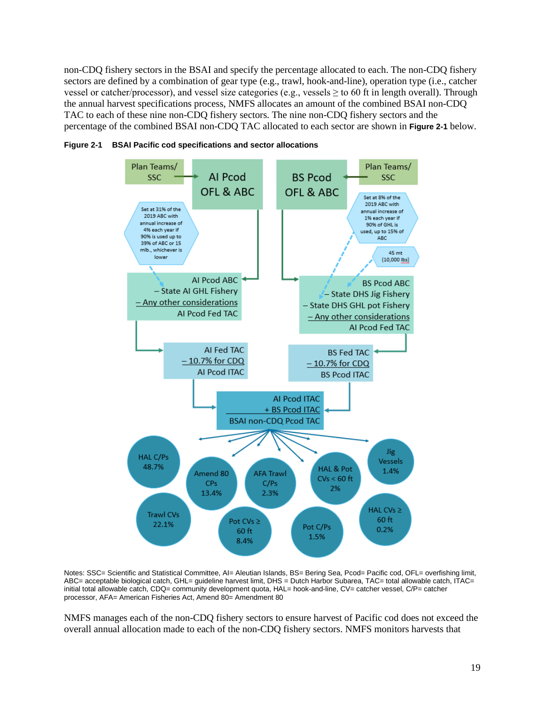non-CDQ fishery sectors in the BSAI and specify the percentage allocated to each. The non-CDQ fishery sectors are defined by a combination of gear type (e.g., trawl, hook-and-line), operation type (i.e., catcher vessel or catcher/processor), and vessel size categories (e.g., vessels  $\geq$  to 60 ft in length overall). Through the annual harvest specifications process, NMFS allocates an amount of the combined BSAI non-CDQ TAC to each of these nine non-CDQ fishery sectors. The nine non-CDQ fishery sectors and the percentage of the combined BSAI non-CDQ TAC allocated to each sector are shown in **[Figure 2-1](#page-18-0)** below.



<span id="page-18-0"></span>

Notes: SSC= Scientific and Statistical Committee, Al= Aleutian Islands, BS= Bering Sea, Pcod= Pacific cod, OFL= overfishing limit, ABC= acceptable biological catch, GHL= guideline harvest limit, DHS = Dutch Harbor Subarea, TAC= total allowable catch, ITAC= initial total allowable catch, CDQ= community development quota, HAL= hook-and-line, CV= catcher vessel, C/P= catcher processor, AFA= American Fisheries Act, Amend 80= Amendment 80

NMFS manages each of the non-CDQ fishery sectors to ensure harvest of Pacific cod does not exceed the overall annual allocation made to each of the non-CDQ fishery sectors. NMFS monitors harvests that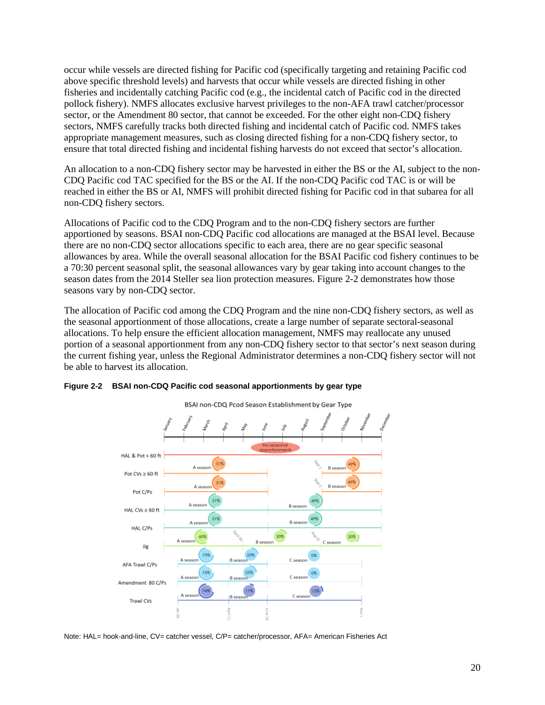occur while vessels are directed fishing for Pacific cod (specifically targeting and retaining Pacific cod above specific threshold levels) and harvests that occur while vessels are directed fishing in other fisheries and incidentally catching Pacific cod (e.g., the incidental catch of Pacific cod in the directed pollock fishery). NMFS allocates exclusive harvest privileges to the non-AFA trawl catcher/processor sector, or the Amendment 80 sector, that cannot be exceeded. For the other eight non-CDQ fishery sectors, NMFS carefully tracks both directed fishing and incidental catch of Pacific cod. NMFS takes appropriate management measures, such as closing directed fishing for a non-CDQ fishery sector, to ensure that total directed fishing and incidental fishing harvests do not exceed that sector's allocation.

An allocation to a non-CDQ fishery sector may be harvested in either the BS or the AI, subject to the non-CDQ Pacific cod TAC specified for the BS or the AI. If the non-CDQ Pacific cod TAC is or will be reached in either the BS or AI, NMFS will prohibit directed fishing for Pacific cod in that subarea for all non-CDQ fishery sectors.

Allocations of Pacific cod to the CDQ Program and to the non-CDQ fishery sectors are further apportioned by seasons. BSAI non-CDQ Pacific cod allocations are managed at the BSAI level. Because there are no non-CDQ sector allocations specific to each area, there are no gear specific seasonal allowances by area. While the overall seasonal allocation for the BSAI Pacific cod fishery continues to be a 70:30 percent seasonal split, the seasonal allowances vary by gear taking into account changes to the season dates from the 2014 Steller sea lion protection measures. [Figure 2-2](#page-19-0) demonstrates how those seasons vary by non-CDQ sector.

The allocation of Pacific cod among the CDQ Program and the nine non-CDQ fishery sectors, as well as the seasonal apportionment of those allocations, create a large number of separate sectoral-seasonal allocations. To help ensure the efficient allocation management, NMFS may reallocate any unused portion of a seasonal apportionment from any non-CDQ fishery sector to that sector's next season during the current fishing year, unless the Regional Administrator determines a non-CDQ fishery sector will not be able to harvest its allocation.



#### <span id="page-19-0"></span>**Figure 2-2 BSAI non-CDQ Pacific cod seasonal apportionments by gear type**

Note: HAL= hook-and-line, CV= catcher vessel, C/P= catcher/processor, AFA= American Fisheries Act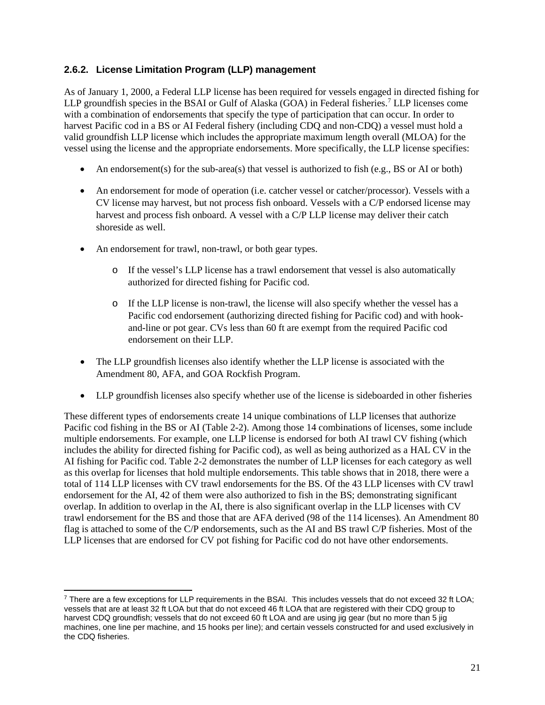### <span id="page-20-0"></span>**2.6.2. License Limitation Program (LLP) management**

As of January 1, 2000, a Federal LLP license has been required for vessels engaged in directed fishing for LLP groundfish species in the BSAI or Gulf of Alaska  $(GOA)$  in Federal fisheries.<sup>[7](#page-20-1)</sup> LLP licenses come with a combination of endorsements that specify the type of participation that can occur. In order to harvest Pacific cod in a BS or AI Federal fishery (including CDQ and non-CDQ) a vessel must hold a valid groundfish LLP license which includes the appropriate maximum length overall (MLOA) for the vessel using the license and the appropriate endorsements. More specifically, the LLP license specifies:

- An endorsement(s) for the sub-area(s) that vessel is authorized to fish (e.g., BS or AI or both)
- An endorsement for mode of operation (i.e. catcher vessel or catcher/processor). Vessels with a CV license may harvest, but not process fish onboard. Vessels with a C/P endorsed license may harvest and process fish onboard. A vessel with a C/P LLP license may deliver their catch shoreside as well.
- An endorsement for trawl, non-trawl, or both gear types.
	- o If the vessel's LLP license has a trawl endorsement that vessel is also automatically authorized for directed fishing for Pacific cod.
	- o If the LLP license is non-trawl, the license will also specify whether the vessel has a Pacific cod endorsement (authorizing directed fishing for Pacific cod) and with hookand-line or pot gear. CVs less than 60 ft are exempt from the required Pacific cod endorsement on their LLP.
- The LLP ground fish licenses also identify whether the LLP license is associated with the Amendment 80, AFA, and GOA Rockfish Program.
- LLP ground fish licenses also specify whether use of the license is sideboarded in other fisheries

These different types of endorsements create 14 unique combinations of LLP licenses that authorize Pacific cod fishing in the BS or AI [\(Table 2-2\)](#page-21-1). Among those 14 combinations of licenses, some include multiple endorsements. For example, one LLP license is endorsed for both AI trawl CV fishing (which includes the ability for directed fishing for Pacific cod), as well as being authorized as a HAL CV in the AI fishing for Pacific cod. [Table 2-2](#page-21-1) demonstrates the number of LLP licenses for each category as well as this overlap for licenses that hold multiple endorsements. This table shows that in 2018, there were a total of 114 LLP licenses with CV trawl endorsements for the BS. Of the 43 LLP licenses with CV trawl endorsement for the AI, 42 of them were also authorized to fish in the BS; demonstrating significant overlap. In addition to overlap in the AI, there is also significant overlap in the LLP licenses with CV trawl endorsement for the BS and those that are AFA derived (98 of the 114 licenses). An Amendment 80 flag is attached to some of the C/P endorsements, such as the AI and BS trawl C/P fisheries. Most of the LLP licenses that are endorsed for CV pot fishing for Pacific cod do not have other endorsements.

<span id="page-20-1"></span><sup>7</sup> There are a few exceptions for LLP requirements in the BSAI. This includes vessels that do not exceed 32 ft LOA; vessels that are at least 32 ft LOA but that do not exceed 46 ft LOA that are registered with their CDQ group to harvest CDQ groundfish; vessels that do not exceed 60 ft LOA and are using jig gear (but no more than 5 jig machines, one line per machine, and 15 hooks per line); and certain vessels constructed for and used exclusively in the CDQ fisheries.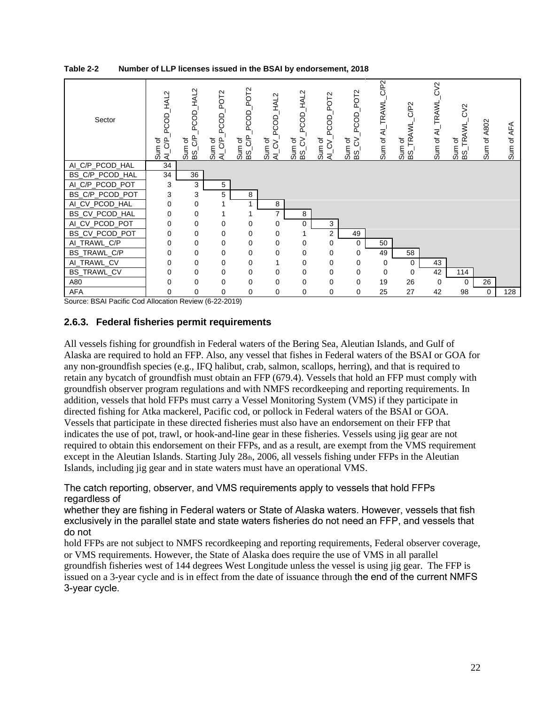| Sector                                           | HAL2<br><b>DCOD</b><br>đ<br>$\mathcal{E}$<br>o<br>al<br>al | HAL <sub>2</sub><br>PCOD<br>SP<br>৳<br>Sum<br>ജ് | PO <sub>T2</sub><br>PCOD<br>Sum of<br>Al_C/P | PO <sub>T</sub> <sub>2</sub><br>PCOD<br>Sum of<br>BS_C/P | PCOD_HAL2<br>Sum of<br>Al_CV_ | HAL2<br>PCOD<br>Sum of<br>3<br>$\overline{\text{ss}}$ | PO <sub>T</sub> <sub>2</sub><br>PCOD<br>Sum of<br>Al_CV_ | POT <sub>2</sub><br><b>PCOD</b><br>$\frac{1}{2}$ $\frac{1}{2}$<br>$\frac{5}{2}$ SS | C/P2<br>Sum of AI_TRAWL | C/P <sub>2</sub><br>TRAWL,<br>đ<br>$\frac{1}{2}$<br>San | $\aleph$<br>TRAWL<br>Sum of Al | CV2<br>ΜN<br>온<br>৳<br>T_Sal<br>BS_1 | Sum of A802 | <b>AFA</b><br>৳<br>Sum |
|--------------------------------------------------|------------------------------------------------------------|--------------------------------------------------|----------------------------------------------|----------------------------------------------------------|-------------------------------|-------------------------------------------------------|----------------------------------------------------------|------------------------------------------------------------------------------------|-------------------------|---------------------------------------------------------|--------------------------------|--------------------------------------|-------------|------------------------|
| AI_C/P_PCOD_HAL                                  | 34                                                         |                                                  |                                              |                                                          |                               |                                                       |                                                          |                                                                                    |                         |                                                         |                                |                                      |             |                        |
| BS_C/P_PCOD_HAL                                  | 34                                                         | 36                                               |                                              |                                                          |                               |                                                       |                                                          |                                                                                    |                         |                                                         |                                |                                      |             |                        |
| AI_C/P_PCOD_POT                                  | 3                                                          | 3                                                | 5                                            |                                                          |                               |                                                       |                                                          |                                                                                    |                         |                                                         |                                |                                      |             |                        |
| BS_C/P_PCOD_POT                                  | 3                                                          | 3                                                | 5                                            | 8                                                        |                               |                                                       |                                                          |                                                                                    |                         |                                                         |                                |                                      |             |                        |
| AI_CV_PCOD_HAL                                   | 0                                                          | 0                                                |                                              |                                                          | 8                             |                                                       |                                                          |                                                                                    |                         |                                                         |                                |                                      |             |                        |
| BS_CV_PCOD_HAL                                   | 0                                                          | 0                                                |                                              |                                                          | 7                             | 8                                                     |                                                          |                                                                                    |                         |                                                         |                                |                                      |             |                        |
| AI_CV_PCOD_POT                                   | 0                                                          | 0                                                | 0                                            | 0                                                        | 0                             | 0                                                     | 3                                                        |                                                                                    |                         |                                                         |                                |                                      |             |                        |
| BS_CV_PCOD_POT                                   | 0                                                          | 0                                                | 0                                            | 0                                                        | 0                             |                                                       | 2                                                        | 49                                                                                 |                         |                                                         |                                |                                      |             |                        |
| AI_TRAWL_C/P                                     | 0                                                          | 0                                                | 0                                            | 0                                                        | 0                             | 0                                                     | 0                                                        | 0                                                                                  | 50                      |                                                         |                                |                                      |             |                        |
| BS_TRAWL_C/P                                     | 0                                                          | $\Omega$                                         | 0                                            | 0                                                        | $\Omega$                      | 0                                                     | 0                                                        | 0                                                                                  | 49                      | 58                                                      |                                |                                      |             |                        |
| AI_TRAWL_CV                                      | 0                                                          | $\Omega$                                         | 0                                            | 0                                                        |                               | 0                                                     | 0                                                        | 0                                                                                  | 0                       | 0                                                       | 43                             |                                      |             |                        |
| BS_TRAWL_CV                                      | 0                                                          | 0                                                | 0                                            | 0                                                        | $\Omega$                      | 0                                                     | 0                                                        | 0                                                                                  | 0                       | $\Omega$                                                | 42                             | 114                                  |             |                        |
| A80                                              | 0                                                          | 0                                                | 0                                            | $\mathbf 0$                                              | $\Omega$                      | $\Omega$                                              | 0                                                        | 0                                                                                  | 19                      | 26                                                      | 0                              | $\Omega$                             | 26          |                        |
| AFA<br>$\sim$ $\sim$ $\sim$ $\sim$ $\sim$ $\sim$ | 0                                                          | 0                                                | 0                                            | 0                                                        | 0                             | $\mathbf 0$                                           | 0                                                        | 0                                                                                  | 25                      | 27                                                      | 42                             | 98                                   | 0           | 128                    |

<span id="page-21-1"></span>**Table 2-2 Number of LLP licenses issued in the BSAI by endorsement, 2018**

Source: BSAI Pacific Cod Allocation Review (6-22-2019)

### <span id="page-21-0"></span>**2.6.3. Federal fisheries permit requirements**

All vessels fishing for groundfish in Federal waters of the Bering Sea, Aleutian Islands, and Gulf of Alaska are required to hold an FFP. Also, any vessel that fishes in Federal waters of the BSAI or GOA for any non-groundfish species (e.g., IFQ halibut, crab, salmon, scallops, herring), and that is required to retain any bycatch of groundfish must obtain an FFP (679.4). Vessels that hold an FFP must comply with groundfish observer program regulations and with NMFS recordkeeping and reporting requirements. In addition, vessels that hold FFPs must carry a Vessel Monitoring System (VMS) if they participate in directed fishing for Atka mackerel, Pacific cod, or pollock in Federal waters of the BSAI or GOA. Vessels that participate in these directed fisheries must also have an endorsement on their FFP that indicates the use of pot, trawl, or hook-and-line gear in these fisheries. Vessels using jig gear are not required to obtain this endorsement on their FFPs, and as a result, are exempt from the VMS requirement except in the Aleutian Islands. Starting July 28th, 2006, all vessels fishing under FFPs in the Aleutian Islands, including jig gear and in state waters must have an operational VMS.

The catch reporting, observer, and VMS requirements apply to vessels that hold FFPs regardless of

whether they are fishing in Federal waters or State of Alaska waters. However, vessels that fish exclusively in the parallel state and state waters fisheries do not need an FFP, and vessels that do not

hold FFPs are not subject to NMFS recordkeeping and reporting requirements, Federal observer coverage, or VMS requirements. However, the State of Alaska does require the use of VMS in all parallel groundfish fisheries west of 144 degrees West Longitude unless the vessel is using jig gear. The FFP is issued on a 3-year cycle and is in effect from the date of issuance through the end of the current NMFS 3-year cycle.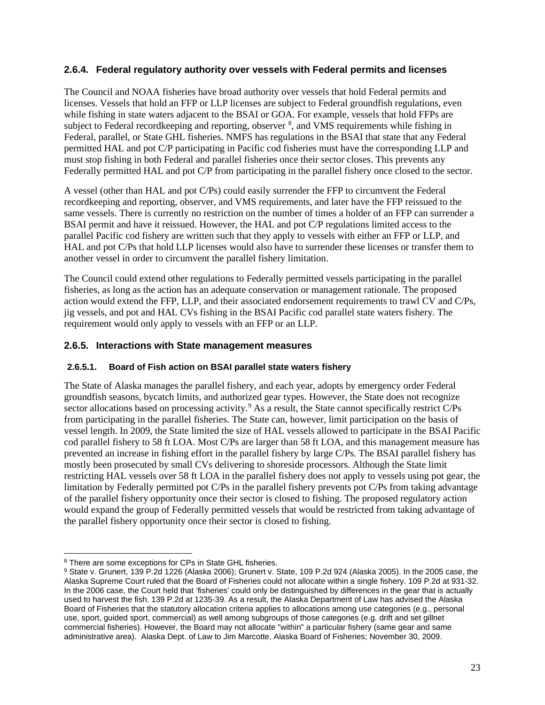### <span id="page-22-0"></span>**2.6.4. Federal regulatory authority over vessels with Federal permits and licenses**

The Council and NOAA fisheries have broad authority over vessels that hold Federal permits and licenses. Vessels that hold an FFP or LLP licenses are subject to Federal groundfish regulations, even while fishing in state waters adjacent to the BSAI or GOA. For example, vessels that hold FFPs are subject to Federal recordkeeping and reporting, observer <sup>[8](#page-22-2)</sup>, and VMS requirements while fishing in Federal, parallel, or State GHL fisheries. NMFS has regulations in the BSAI that state that any Federal permitted HAL and pot C/P participating in Pacific cod fisheries must have the corresponding LLP and must stop fishing in both Federal and parallel fisheries once their sector closes. This prevents any Federally permitted HAL and pot C/P from participating in the parallel fishery once closed to the sector.

A vessel (other than HAL and pot C/Ps) could easily surrender the FFP to circumvent the Federal recordkeeping and reporting, observer, and VMS requirements, and later have the FFP reissued to the same vessels. There is currently no restriction on the number of times a holder of an FFP can surrender a BSAI permit and have it reissued. However, the HAL and pot C/P regulations limited access to the parallel Pacific cod fishery are written such that they apply to vessels with either an FFP or LLP, and HAL and pot C/Ps that hold LLP licenses would also have to surrender these licenses or transfer them to another vessel in order to circumvent the parallel fishery limitation.

The Council could extend other regulations to Federally permitted vessels participating in the parallel fisheries, as long as the action has an adequate conservation or management rationale. The proposed action would extend the FFP, LLP, and their associated endorsement requirements to trawl CV and C/Ps, jig vessels, and pot and HAL CVs fishing in the BSAI Pacific cod parallel state waters fishery. The requirement would only apply to vessels with an FFP or an LLP.

### <span id="page-22-1"></span>**2.6.5. Interactions with State management measures**

#### **2.6.5.1. Board of Fish action on BSAI parallel state waters fishery**

The State of Alaska manages the parallel fishery, and each year, adopts by emergency order Federal groundfish seasons, bycatch limits, and authorized gear types. However, the State does not recognize sector allocations based on processing activity.<sup>[9](#page-22-3)</sup> As a result, the State cannot specifically restrict  $C/Ps$ from participating in the parallel fisheries. The State can, however, limit participation on the basis of vessel length. In 2009, the State limited the size of HAL vessels allowed to participate in the BSAI Pacific cod parallel fishery to 58 ft LOA. Most C/Ps are larger than 58 ft LOA, and this management measure has prevented an increase in fishing effort in the parallel fishery by large C/Ps. The BSAI parallel fishery has mostly been prosecuted by small CVs delivering to shoreside processors. Although the State limit restricting HAL vessels over 58 ft LOA in the parallel fishery does not apply to vessels using pot gear, the limitation by Federally permitted pot C/Ps in the parallel fishery prevents pot C/Ps from taking advantage of the parallel fishery opportunity once their sector is closed to fishing. The proposed regulatory action would expand the group of Federally permitted vessels that would be restricted from taking advantage of the parallel fishery opportunity once their sector is closed to fishing.

<span id="page-22-2"></span><sup>8</sup> There are some exceptions for CPs in State GHL fisheries.

<span id="page-22-3"></span><sup>9</sup> State v. Grunert, 139 P.2d 1226 (Alaska 2006); Grunert v. State, 109 P.2d 924 (Alaska 2005). In the 2005 case, the Alaska Supreme Court ruled that the Board of Fisheries could not allocate within a single fishery. 109 P.2d at 931-32. In the 2006 case, the Court held that 'fisheries' could only be distinguished by differences in the gear that is actually used to harvest the fish. 139 P.2d at 1235-39. As a result, the Alaska Department of Law has advised the Alaska Board of Fisheries that the statutory allocation criteria applies to allocations among use categories (e.g., personal use, sport, guided sport, commercial) as well among subgroups of those categories (e.g. drift and set gillnet commercial fisheries). However, the Board may not allocate "within" a particular fishery (same gear and same administrative area). Alaska Dept. of Law to Jim Marcotte, Alaska Board of Fisheries; November 30, 2009.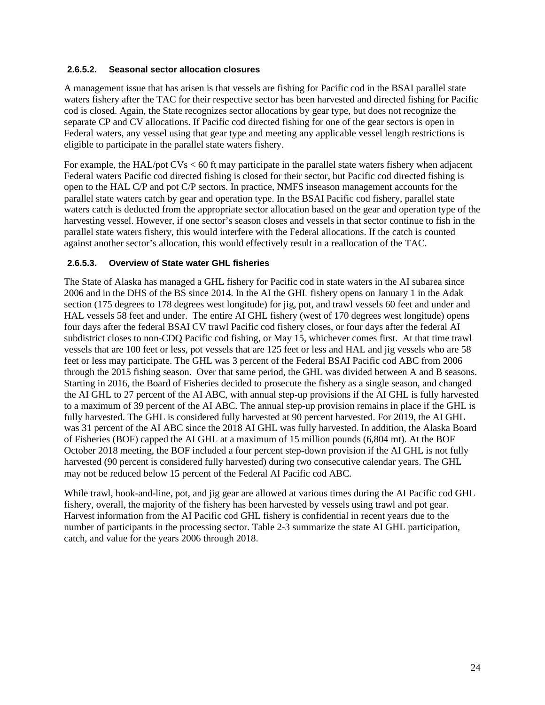#### **2.6.5.2. Seasonal sector allocation closures**

A management issue that has arisen is that vessels are fishing for Pacific cod in the BSAI parallel state waters fishery after the TAC for their respective sector has been harvested and directed fishing for Pacific cod is closed. Again, the State recognizes sector allocations by gear type, but does not recognize the separate CP and CV allocations. If Pacific cod directed fishing for one of the gear sectors is open in Federal waters, any vessel using that gear type and meeting any applicable vessel length restrictions is eligible to participate in the parallel state waters fishery.

For example, the HAL/pot CVs < 60 ft may participate in the parallel state waters fishery when adjacent Federal waters Pacific cod directed fishing is closed for their sector, but Pacific cod directed fishing is open to the HAL C/P and pot C/P sectors. In practice, NMFS inseason management accounts for the parallel state waters catch by gear and operation type. In the BSAI Pacific cod fishery, parallel state waters catch is deducted from the appropriate sector allocation based on the gear and operation type of the harvesting vessel. However, if one sector's season closes and vessels in that sector continue to fish in the parallel state waters fishery, this would interfere with the Federal allocations. If the catch is counted against another sector's allocation, this would effectively result in a reallocation of the TAC.

### <span id="page-23-0"></span>**2.6.5.3. Overview of State water GHL fisheries**

The State of Alaska has managed a GHL fishery for Pacific cod in state waters in the AI subarea since 2006 and in the DHS of the BS since 2014. In the AI the GHL fishery opens on January 1 in the Adak section (175 degrees to 178 degrees west longitude) for jig, pot, and trawl vessels 60 feet and under and HAL vessels 58 feet and under. The entire AI GHL fishery (west of 170 degrees west longitude) opens four days after the federal BSAI CV trawl Pacific cod fishery closes, or four days after the federal AI subdistrict closes to non-CDQ Pacific cod fishing, or May 15, whichever comes first. At that time trawl vessels that are 100 feet or less, pot vessels that are 125 feet or less and HAL and jig vessels who are 58 feet or less may participate. The GHL was 3 percent of the Federal BSAI Pacific cod ABC from 2006 through the 2015 fishing season. Over that same period, the GHL was divided between A and B seasons. Starting in 2016, the Board of Fisheries decided to prosecute the fishery as a single season, and changed the AI GHL to 27 percent of the AI ABC, with annual step-up provisions if the AI GHL is fully harvested to a maximum of 39 percent of the AI ABC. The annual step-up provision remains in place if the GHL is fully harvested. The GHL is considered fully harvested at 90 percent harvested. For 2019, the AI GHL was 31 percent of the AI ABC since the 2018 AI GHL was fully harvested. In addition, the Alaska Board of Fisheries (BOF) capped the AI GHL at a maximum of 15 million pounds (6,804 mt). At the BOF October 2018 meeting, the BOF included a four percent step-down provision if the AI GHL is not fully harvested (90 percent is considered fully harvested) during two consecutive calendar years. The GHL may not be reduced below 15 percent of the Federal AI Pacific cod ABC.

While trawl, hook-and-line, pot, and jig gear are allowed at various times during the AI Pacific cod GHL fishery, overall, the majority of the fishery has been harvested by vessels using trawl and pot gear. Harvest information from the AI Pacific cod GHL fishery is confidential in recent years due to the number of participants in the processing sector. [Table 2-3](#page-24-0) summarize the state AI GHL participation, catch, and value for the years 2006 through 2018.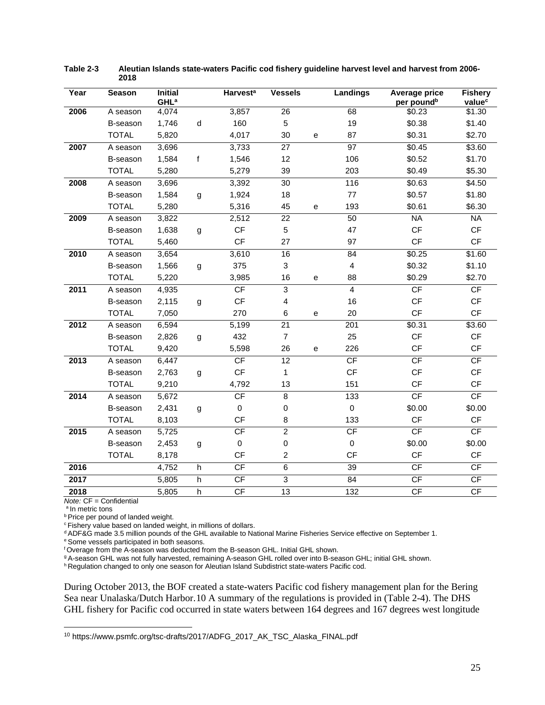| Year | <b>Season</b> | <b>Initial</b><br><b>GHL<sup>a</sup></b> |              | <b>Harvest<sup>a</sup></b> | <b>Vessels</b>  |              | <b>Landings</b>         | Average price<br>per pound <sup>b</sup> | <b>Fishery</b><br>value <sup>c</sup> |
|------|---------------|------------------------------------------|--------------|----------------------------|-----------------|--------------|-------------------------|-----------------------------------------|--------------------------------------|
| 2006 | A season      | 4,074                                    |              | 3,857                      | $\overline{26}$ |              | 68                      | \$0.23                                  | \$1.30                               |
|      | B-season      | 1,746                                    | d            | 160                        | 5               |              | 19                      | \$0.38                                  | \$1.40                               |
|      | <b>TOTAL</b>  | 5,820                                    |              | 4,017                      | 30              | ${\bf e}$    | 87                      | \$0.31                                  | \$2.70                               |
| 2007 | A season      | 3,696                                    |              | 3,733                      | 27              |              | 97                      | \$0.45                                  | \$3.60                               |
|      | B-season      | 1,584                                    | $\mathsf{f}$ | 1,546                      | 12              |              | 106                     | \$0.52                                  | \$1.70                               |
|      | <b>TOTAL</b>  | 5,280                                    |              | 5,279                      | 39              |              | 203                     | \$0.49                                  | \$5.30                               |
| 2008 | A season      | 3,696                                    |              | 3,392                      | 30              |              | 116                     | \$0.63                                  | \$4.50                               |
|      | B-season      | 1,584                                    | g            | 1,924                      | 18              |              | 77                      | \$0.57                                  | \$1.80                               |
|      | <b>TOTAL</b>  | 5,280                                    |              | 5,316                      | 45              | е            | 193                     | \$0.61                                  | \$6.30                               |
| 2009 | A season      | 3,822                                    |              | 2,512                      | 22              |              | 50                      | <b>NA</b>                               | NA                                   |
|      | B-season      | 1,638                                    | g            | CF                         | 5               |              | 47                      | CF                                      | CF                                   |
|      | <b>TOTAL</b>  | 5,460                                    |              | CF                         | 27              |              | 97                      | CF                                      | CF                                   |
| 2010 | A season      | 3,654                                    |              | 3,610                      | 16              |              | 84                      | \$0.25                                  | \$1.60                               |
|      | B-season      | 1,566                                    | g            | 375                        | 3               |              | $\overline{\mathbf{4}}$ | \$0.32                                  | \$1.10                               |
|      | <b>TOTAL</b>  | 5,220                                    |              | 3,985                      | 16              | $\mathbf{e}$ | 88                      | \$0.29                                  | \$2.70                               |
| 2011 | A season      | 4,935                                    |              | CF                         | $\overline{3}$  |              | $\overline{4}$          | CF                                      | CF                                   |
|      | B-season      | 2,115                                    | g            | $\mathsf{C}\mathsf{F}$     | 4               |              | 16                      | CF                                      | $\mathsf{C}\mathsf{F}$               |
|      | <b>TOTAL</b>  | 7,050                                    |              | 270                        | 6               | е            | 20                      | CF                                      | CF                                   |
| 2012 | A season      | 6,594                                    |              | 5,199                      | 21              |              | 201                     | \$0.31                                  | \$3.60                               |
|      | B-season      | 2,826                                    | g            | 432                        | $\overline{7}$  |              | 25                      | CF                                      | CF                                   |
|      | <b>TOTAL</b>  | 9,420                                    |              | 5,598                      | 26              | e            | 226                     | CF                                      | CF                                   |
| 2013 | A season      | 6,447                                    |              | CF                         | $\overline{12}$ |              | CF                      | CF                                      | CF                                   |
|      | B-season      | 2,763                                    | g            | CF                         | 1               |              | <b>CF</b>               | CF                                      | CF                                   |
|      | <b>TOTAL</b>  | 9,210                                    |              | 4,792                      | 13              |              | 151                     | CF                                      | CF                                   |
| 2014 | A season      | 5,672                                    |              | $\mathsf{C}\mathsf{F}$     | 8               |              | 133                     | CF                                      | CF                                   |
|      | B-season      | 2,431                                    | g            | $\pmb{0}$                  | $\pmb{0}$       |              | $\mathbf 0$             | \$0.00                                  | \$0.00                               |
|      | <b>TOTAL</b>  | 8,103                                    |              | CF                         | 8               |              | 133                     | CF                                      | CF                                   |
| 2015 | A season      | 5,725                                    |              | CF                         | $\overline{2}$  |              | CF                      | CF                                      | CF                                   |
|      | B-season      | 2,453                                    | g            | $\mathbf 0$                | 0               |              | $\mathbf 0$             | \$0.00                                  | \$0.00                               |
|      | <b>TOTAL</b>  | 8,178                                    |              | <b>CF</b>                  | $\overline{c}$  |              | <b>CF</b>               | CF                                      | CF                                   |
| 2016 |               | 4,752                                    | h            | CF                         | $\overline{6}$  |              | $\overline{39}$         | CF                                      | CF                                   |
| 2017 |               | 5,805                                    | h            | CF                         | $\overline{3}$  |              | 84                      | CF                                      | CF                                   |
| 2018 |               | 5,805                                    | h            | CF                         | $\overline{13}$ |              | 132                     | CF                                      | CF                                   |

<span id="page-24-0"></span>**Table 2-3 Aleutian Islands state-waters Pacific cod fishery guideline harvest level and harvest from 2006- 2018**

*Note:* CF = Confidential<br><sup>a</sup> In metric tons

**Price per pound of landed weight.** 

c Fishery value based on landed weight, in millions of dollars.

<sup>d</sup> ADF&G made 3.5 million pounds of the GHL available to National Marine Fisheries Service effective on September 1.<br><sup>e</sup> Some vessels participated in both seasons.

<sup>f</sup> Overage from the A-season was deducted from the B-season GHL. Initial GHL shown.<br><sup>g</sup> A-season GHL was not fully harvested, remaining A-season GHL rolled over into B-season GHL; initial GHL shown.

<sup>h</sup> Regulation changed to only one season for Aleutian Island Subdistrict state-waters Pacific cod.

During October 2013, the BOF created a state-waters Pacific cod fishery management plan for the Bering Sea near Unalaska/Dutch Harbor.[10](#page-24-1) A summary of the regulations is provided in [\(Table 2-4\)](#page-26-0). The DHS GHL fishery for Pacific cod occurred in state waters between 164 degrees and 167 degrees west longitude

<span id="page-24-1"></span><sup>10</sup> https://www.psmfc.org/tsc-drafts/2017/ADFG\_2017\_AK\_TSC\_Alaska\_FINAL.pdf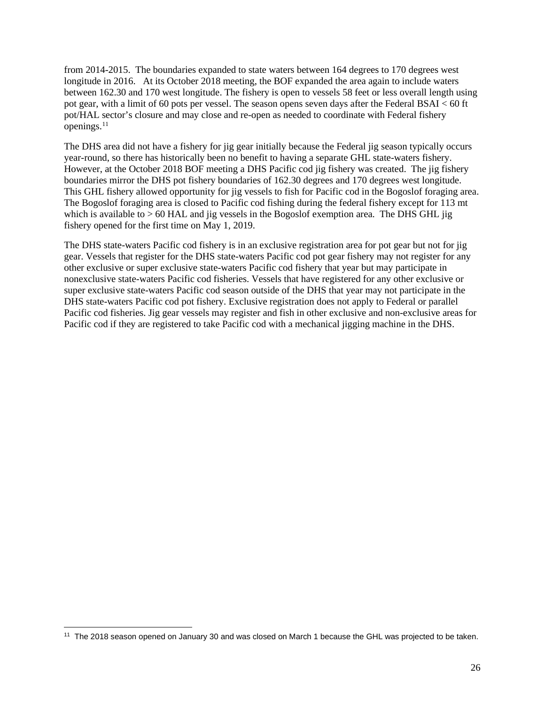from 2014-2015. The boundaries expanded to state waters between 164 degrees to 170 degrees west longitude in 2016. At its October 2018 meeting, the BOF expanded the area again to include waters between 162.30 and 170 west longitude. The fishery is open to vessels 58 feet or less overall length using pot gear, with a limit of 60 pots per vessel. The season opens seven days after the Federal BSAI < 60 ft pot/HAL sector's closure and may close and re-open as needed to coordinate with Federal fishery openings.[11](#page-25-0)

The DHS area did not have a fishery for jig gear initially because the Federal jig season typically occurs year-round, so there has historically been no benefit to having a separate GHL state-waters fishery. However, at the October 2018 BOF meeting a DHS Pacific cod jig fishery was created. The jig fishery boundaries mirror the DHS pot fishery boundaries of 162.30 degrees and 170 degrees west longitude. This GHL fishery allowed opportunity for jig vessels to fish for Pacific cod in the Bogoslof foraging area. The Bogoslof foraging area is closed to Pacific cod fishing during the federal fishery except for 113 mt which is available to  $> 60$  HAL and jig vessels in the Bogoslof exemption area. The DHS GHL jig fishery opened for the first time on May 1, 2019.

The DHS state-waters Pacific cod fishery is in an exclusive registration area for pot gear but not for jig gear. Vessels that register for the DHS state-waters Pacific cod pot gear fishery may not register for any other exclusive or super exclusive state-waters Pacific cod fishery that year but may participate in nonexclusive state-waters Pacific cod fisheries. Vessels that have registered for any other exclusive or super exclusive state-waters Pacific cod season outside of the DHS that year may not participate in the DHS state-waters Pacific cod pot fishery. Exclusive registration does not apply to Federal or parallel Pacific cod fisheries. Jig gear vessels may register and fish in other exclusive and non-exclusive areas for Pacific cod if they are registered to take Pacific cod with a mechanical jigging machine in the DHS.

<span id="page-25-0"></span><sup>11</sup> The 2018 season opened on January 30 and was closed on March 1 because the GHL was projected to be taken.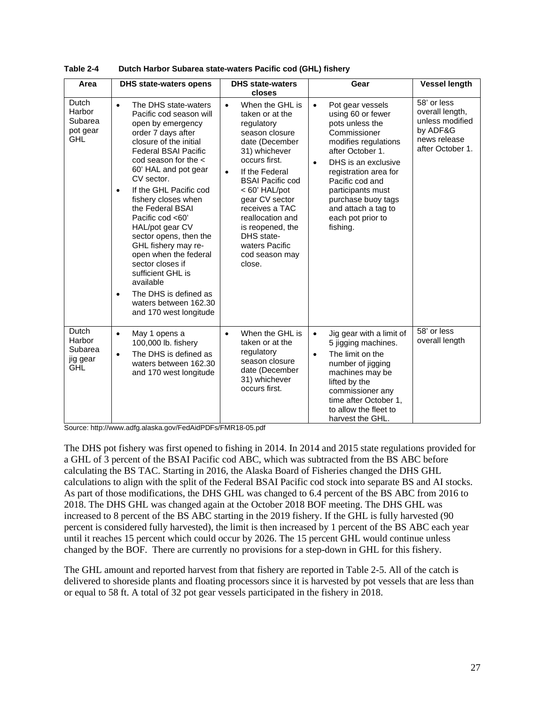| Area                                                        | <b>DHS state-waters opens</b>                                                                                                                                                                                                                                                                                                                                                                                                                                                                                                                                                        | <b>DHS state-waters</b>                                                                                                                                                                                                                                                                                                                                          | Gear                                                                                                                                                                                                                                                                                                                 | <b>Vessel length</b>                                                                              |
|-------------------------------------------------------------|--------------------------------------------------------------------------------------------------------------------------------------------------------------------------------------------------------------------------------------------------------------------------------------------------------------------------------------------------------------------------------------------------------------------------------------------------------------------------------------------------------------------------------------------------------------------------------------|------------------------------------------------------------------------------------------------------------------------------------------------------------------------------------------------------------------------------------------------------------------------------------------------------------------------------------------------------------------|----------------------------------------------------------------------------------------------------------------------------------------------------------------------------------------------------------------------------------------------------------------------------------------------------------------------|---------------------------------------------------------------------------------------------------|
| Dutch<br>Harbor<br>Subarea<br>pot gear<br><b>GHL</b>        | The DHS state-waters<br>$\bullet$<br>Pacific cod season will<br>open by emergency<br>order 7 days after<br>closure of the initial<br><b>Federal BSAI Pacific</b><br>cod season for the $\lt$<br>60' HAL and pot gear<br>CV sector.<br>If the GHL Pacific cod<br>$\bullet$<br>fishery closes when<br>the Federal BSAI<br>Pacific cod <60'<br>HAL/pot gear CV<br>sector opens, then the<br>GHL fishery may re-<br>open when the federal<br>sector closes if<br>sufficient GHL is<br>available<br>The DHS is defined as<br>$\bullet$<br>waters between 162.30<br>and 170 west longitude | closes<br>When the GHL is<br>$\bullet$<br>taken or at the<br>regulatory<br>season closure<br>date (December<br>31) whichever<br>occurs first.<br>If the Federal<br>$\bullet$<br><b>BSAI Pacific cod</b><br>< 60' HAL/pot<br>gear CV sector<br>receives a TAC<br>reallocation and<br>is reopened, the<br>DHS state-<br>waters Pacific<br>cod season may<br>close. | Pot gear vessels<br>$\bullet$<br>using 60 or fewer<br>pots unless the<br>Commissioner<br>modifies regulations<br>after October 1.<br>DHS is an exclusive<br>$\bullet$<br>registration area for<br>Pacific cod and<br>participants must<br>purchase buoy tags<br>and attach a tag to<br>each pot prior to<br>fishing. | 58' or less<br>overall length,<br>unless modified<br>by ADF&G<br>news release<br>after October 1. |
| <b>Dutch</b><br>Harbor<br>Subarea<br>jig gear<br><b>GHL</b> | May 1 opens a<br>$\bullet$<br>100,000 lb. fishery<br>The DHS is defined as<br>$\bullet$<br>waters between 162.30<br>and 170 west longitude                                                                                                                                                                                                                                                                                                                                                                                                                                           | When the GHL is<br>$\bullet$<br>taken or at the<br>regulatory<br>season closure<br>date (December<br>31) whichever<br>occurs first.                                                                                                                                                                                                                              | Jig gear with a limit of<br>$\bullet$<br>5 jigging machines.<br>The limit on the<br>$\bullet$<br>number of jigging<br>machines may be<br>lifted by the<br>commissioner any<br>time after October 1,<br>to allow the fleet to<br>harvest the GHL.                                                                     | 58' or less<br>overall length                                                                     |

<span id="page-26-0"></span>

| Table 2-4 | Dutch Harbor Subarea state-waters Pacific cod (GHL) fishery |
|-----------|-------------------------------------------------------------|
|-----------|-------------------------------------------------------------|

Source: http://www.adfg.alaska.gov/FedAidPDFs/FMR18-05.pdf

The DHS pot fishery was first opened to fishing in 2014. In 2014 and 2015 state regulations provided for a GHL of 3 percent of the BSAI Pacific cod ABC, which was subtracted from the BS ABC before calculating the BS TAC. Starting in 2016, the Alaska Board of Fisheries changed the DHS GHL calculations to align with the split of the Federal BSAI Pacific cod stock into separate BS and AI stocks. As part of those modifications, the DHS GHL was changed to 6.4 percent of the BS ABC from 2016 to 2018. The DHS GHL was changed again at the October 2018 BOF meeting. The DHS GHL was increased to 8 percent of the BS ABC starting in the 2019 fishery. If the GHL is fully harvested (90 percent is considered fully harvested), the limit is then increased by 1 percent of the BS ABC each year until it reaches 15 percent which could occur by 2026. The 15 percent GHL would continue unless changed by the BOF. There are currently no provisions for a step-down in GHL for this fishery.

The GHL amount and reported harvest from that fishery are reported in [Table 2-5.](#page-27-1) All of the catch is delivered to shoreside plants and floating processors since it is harvested by pot vessels that are less than or equal to 58 ft. A total of 32 pot gear vessels participated in the fishery in 2018.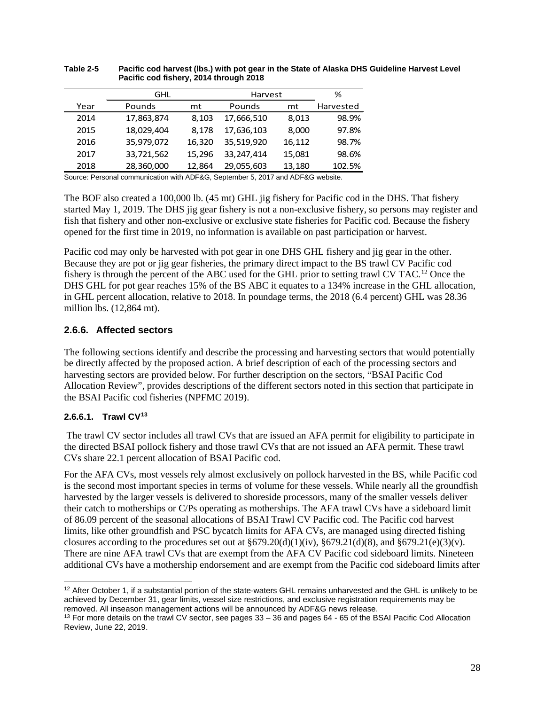|      | GHL        |        | Harvest    | %      |           |
|------|------------|--------|------------|--------|-----------|
| Year | Pounds     | mt     | Pounds     | mt     | Harvested |
| 2014 | 17,863,874 | 8,103  | 17,666,510 | 8,013  | 98.9%     |
| 2015 | 18,029,404 | 8.178  | 17,636,103 | 8,000  | 97.8%     |
| 2016 | 35,979,072 | 16,320 | 35,519,920 | 16,112 | 98.7%     |
| 2017 | 33,721,562 | 15,296 | 33,247,414 | 15,081 | 98.6%     |
| 2018 | 28,360,000 | 12,864 | 29,055,603 | 13,180 | 102.5%    |

#### <span id="page-27-1"></span>**Table 2-5 Pacific cod harvest (lbs.) with pot gear in the State of Alaska DHS Guideline Harvest Level Pacific cod fishery, 2014 through 2018**

Source: Personal communication with ADF&G, September 5, 2017 and ADF&G website.

The BOF also created a 100,000 lb. (45 mt) GHL jig fishery for Pacific cod in the DHS. That fishery started May 1, 2019. The DHS jig gear fishery is not a non-exclusive fishery, so persons may register and fish that fishery and other non-exclusive or exclusive state fisheries for Pacific cod. Because the fishery opened for the first time in 2019, no information is available on past participation or harvest.

Pacific cod may only be harvested with pot gear in one DHS GHL fishery and jig gear in the other. Because they are pot or jig gear fisheries, the primary direct impact to the BS trawl CV Pacific cod fishery is through the percent of the ABC used for the GHL prior to setting trawl CV TAC.[12](#page-27-2) Once the DHS GHL for pot gear reaches 15% of the BS ABC it equates to a 134% increase in the GHL allocation, in GHL percent allocation, relative to 2018. In poundage terms, the 2018 (6.4 percent) GHL was 28.36 million lbs. (12,864 mt).

### <span id="page-27-0"></span>**2.6.6. Affected sectors**

The following sections identify and describe the processing and harvesting sectors that would potentially be directly affected by the proposed action. A brief description of each of the processing sectors and harvesting sectors are provided below. For further description on the sectors, "BSAI Pacific Cod Allocation Review", provides descriptions of the different sectors noted in this section that participate in the BSAI Pacific cod fisheries (NPFMC 2019).

### **2.6.6.1. Trawl CV[13](#page-27-3)**

The trawl CV sector includes all trawl CVs that are issued an AFA permit for eligibility to participate in the directed BSAI pollock fishery and those trawl CVs that are not issued an AFA permit. These trawl CVs share 22.1 percent allocation of BSAI Pacific cod.

For the AFA CVs, most vessels rely almost exclusively on pollock harvested in the BS, while Pacific cod is the second most important species in terms of volume for these vessels. While nearly all the groundfish harvested by the larger vessels is delivered to shoreside processors, many of the smaller vessels deliver their catch to motherships or C/Ps operating as motherships. The AFA trawl CVs have a sideboard limit of 86.09 percent of the seasonal allocations of BSAI Trawl CV Pacific cod. The Pacific cod harvest limits, like other groundfish and PSC bycatch limits for AFA CVs, are managed using directed fishing closures according to the procedures set out at  $\S679.20(d)(1)(iv)$ ,  $\S679.21(d)(8)$ , and  $\S679.21(e)(3)(v)$ . There are nine AFA trawl CVs that are exempt from the AFA CV Pacific cod sideboard limits. Nineteen additional CVs have a mothership endorsement and are exempt from the Pacific cod sideboard limits after

<span id="page-27-2"></span><sup>&</sup>lt;sup>12</sup> After October 1, if a substantial portion of the state-waters GHL remains unharvested and the GHL is unlikely to be achieved by December 31, gear limits, vessel size restrictions, and exclusive registration requirements may be removed. All inseason management actions will be announced by ADF&G news release.

<span id="page-27-3"></span> $13$  For more details on the trawl CV sector, see pages  $33 - 36$  and pages  $64 - 65$  of the BSAI Pacific Cod Allocation Review, June 22, 2019.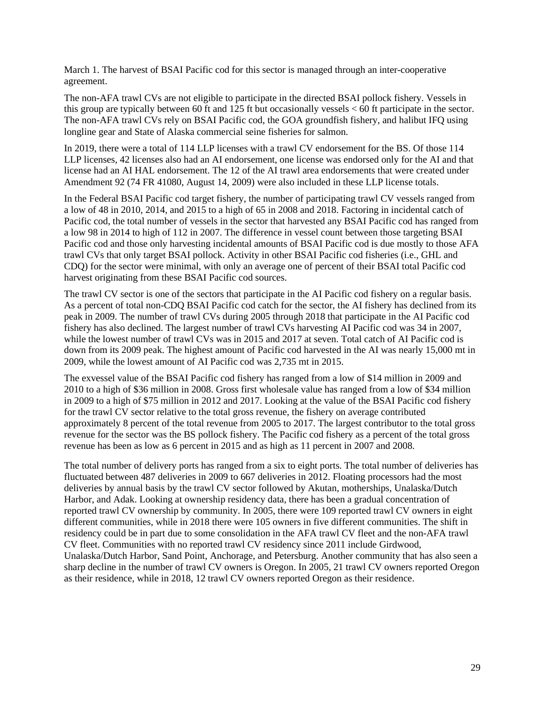March 1. The harvest of BSAI Pacific cod for this sector is managed through an inter-cooperative agreement.

The non-AFA trawl CVs are not eligible to participate in the directed BSAI pollock fishery. Vessels in this group are typically between 60 ft and 125 ft but occasionally vessels < 60 ft participate in the sector. The non-AFA trawl CVs rely on BSAI Pacific cod, the GOA groundfish fishery, and halibut IFQ using longline gear and State of Alaska commercial seine fisheries for salmon.

In 2019, there were a total of 114 LLP licenses with a trawl CV endorsement for the BS. Of those 114 LLP licenses, 42 licenses also had an AI endorsement, one license was endorsed only for the AI and that license had an AI HAL endorsement. The 12 of the AI trawl area endorsements that were created under Amendment 92 (74 FR 41080, August 14, 2009) were also included in these LLP license totals.

In the Federal BSAI Pacific cod target fishery, the number of participating trawl CV vessels ranged from a low of 48 in 2010, 2014, and 2015 to a high of 65 in 2008 and 2018. Factoring in incidental catch of Pacific cod, the total number of vessels in the sector that harvested any BSAI Pacific cod has ranged from a low 98 in 2014 to high of 112 in 2007. The difference in vessel count between those targeting BSAI Pacific cod and those only harvesting incidental amounts of BSAI Pacific cod is due mostly to those AFA trawl CVs that only target BSAI pollock. Activity in other BSAI Pacific cod fisheries (i.e., GHL and CDQ) for the sector were minimal, with only an average one of percent of their BSAI total Pacific cod harvest originating from these BSAI Pacific cod sources.

The trawl CV sector is one of the sectors that participate in the AI Pacific cod fishery on a regular basis. As a percent of total non-CDQ BSAI Pacific cod catch for the sector, the AI fishery has declined from its peak in 2009. The number of trawl CVs during 2005 through 2018 that participate in the AI Pacific cod fishery has also declined. The largest number of trawl CVs harvesting AI Pacific cod was 34 in 2007, while the lowest number of trawl CVs was in 2015 and 2017 at seven. Total catch of AI Pacific cod is down from its 2009 peak. The highest amount of Pacific cod harvested in the AI was nearly 15,000 mt in 2009, while the lowest amount of AI Pacific cod was 2,735 mt in 2015.

The exvessel value of the BSAI Pacific cod fishery has ranged from a low of \$14 million in 2009 and 2010 to a high of \$36 million in 2008. Gross first wholesale value has ranged from a low of \$34 million in 2009 to a high of \$75 million in 2012 and 2017. Looking at the value of the BSAI Pacific cod fishery for the trawl CV sector relative to the total gross revenue, the fishery on average contributed approximately 8 percent of the total revenue from 2005 to 2017. The largest contributor to the total gross revenue for the sector was the BS pollock fishery. The Pacific cod fishery as a percent of the total gross revenue has been as low as 6 percent in 2015 and as high as 11 percent in 2007 and 2008.

The total number of delivery ports has ranged from a six to eight ports. The total number of deliveries has fluctuated between 487 deliveries in 2009 to 667 deliveries in 2012. Floating processors had the most deliveries by annual basis by the trawl CV sector followed by Akutan, motherships, Unalaska/Dutch Harbor, and Adak. Looking at ownership residency data, there has been a gradual concentration of reported trawl CV ownership by community. In 2005, there were 109 reported trawl CV owners in eight different communities, while in 2018 there were 105 owners in five different communities. The shift in residency could be in part due to some consolidation in the AFA trawl CV fleet and the non-AFA trawl CV fleet. Communities with no reported trawl CV residency since 2011 include Girdwood, Unalaska/Dutch Harbor, Sand Point, Anchorage, and Petersburg. Another community that has also seen a sharp decline in the number of trawl CV owners is Oregon. In 2005, 21 trawl CV owners reported Oregon as their residence, while in 2018, 12 trawl CV owners reported Oregon as their residence.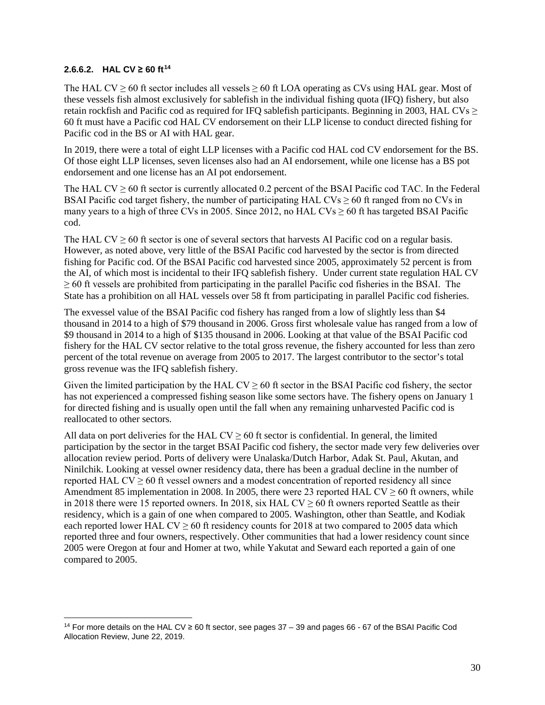#### **2.6.6.2. HAL CV** ≥ 60  $ft^{14}$  $ft^{14}$  $ft^{14}$

The HAL CV  $\geq$  60 ft sector includes all vessels  $\geq$  60 ft LOA operating as CVs using HAL gear. Most of these vessels fish almost exclusively for sablefish in the individual fishing quota (IFQ) fishery, but also retain rockfish and Pacific cod as required for IFQ sablefish participants. Beginning in 2003, HAL CVs  $\geq$ 60 ft must have a Pacific cod HAL CV endorsement on their LLP license to conduct directed fishing for Pacific cod in the BS or AI with HAL gear.

In 2019, there were a total of eight LLP licenses with a Pacific cod HAL cod CV endorsement for the BS. Of those eight LLP licenses, seven licenses also had an AI endorsement, while one license has a BS pot endorsement and one license has an AI pot endorsement.

The HAL CV  $\geq$  60 ft sector is currently allocated 0.2 percent of the BSAI Pacific cod TAC. In the Federal BSAI Pacific cod target fishery, the number of participating HAL  $CVs \ge 60$  ft ranged from no CVs in many years to a high of three CVs in 2005. Since 2012, no HAL CVs  $> 60$  ft has targeted BSAI Pacific cod.

The HAL CV  $> 60$  ft sector is one of several sectors that harvests AI Pacific cod on a regular basis. However, as noted above, very little of the BSAI Pacific cod harvested by the sector is from directed fishing for Pacific cod. Of the BSAI Pacific cod harvested since 2005, approximately 52 percent is from the AI, of which most is incidental to their IFQ sablefish fishery. Under current state regulation HAL CV  $\geq$  60 ft vessels are prohibited from participating in the parallel Pacific cod fisheries in the BSAI. The State has a prohibition on all HAL vessels over 58 ft from participating in parallel Pacific cod fisheries.

The exvessel value of the BSAI Pacific cod fishery has ranged from a low of slightly less than \$4 thousand in 2014 to a high of \$79 thousand in 2006. Gross first wholesale value has ranged from a low of \$9 thousand in 2014 to a high of \$135 thousand in 2006. Looking at that value of the BSAI Pacific cod fishery for the HAL CV sector relative to the total gross revenue, the fishery accounted for less than zero percent of the total revenue on average from 2005 to 2017. The largest contributor to the sector's total gross revenue was the IFQ sablefish fishery.

Given the limited participation by the HAL CV  $\geq$  60 ft sector in the BSAI Pacific cod fishery, the sector has not experienced a compressed fishing season like some sectors have. The fishery opens on January 1 for directed fishing and is usually open until the fall when any remaining unharvested Pacific cod is reallocated to other sectors.

All data on port deliveries for the HAL  $CV \ge 60$  ft sector is confidential. In general, the limited participation by the sector in the target BSAI Pacific cod fishery, the sector made very few deliveries over allocation review period. Ports of delivery were Unalaska/Dutch Harbor, Adak St. Paul, Akutan, and Ninilchik. Looking at vessel owner residency data, there has been a gradual decline in the number of reported HAL CV  $\geq$  60 ft vessel owners and a modest concentration of reported residency all since Amendment 85 implementation in 2008. In 2005, there were 23 reported HAL CV  $\geq 60$  ft owners, while in 2018 there were 15 reported owners. In 2018, six HAL  $CV \ge 60$  ft owners reported Seattle as their residency, which is a gain of one when compared to 2005. Washington, other than Seattle, and Kodiak each reported lower HAL CV  $\geq$  60 ft residency counts for 2018 at two compared to 2005 data which reported three and four owners, respectively. Other communities that had a lower residency count since 2005 were Oregon at four and Homer at two, while Yakutat and Seward each reported a gain of one compared to 2005.

<span id="page-29-0"></span><sup>14</sup> For more details on the HAL CV ≥ 60 ft sector, see pages 37 – 39 and pages 66 - 67 of the BSAI Pacific Cod Allocation Review, June 22, 2019.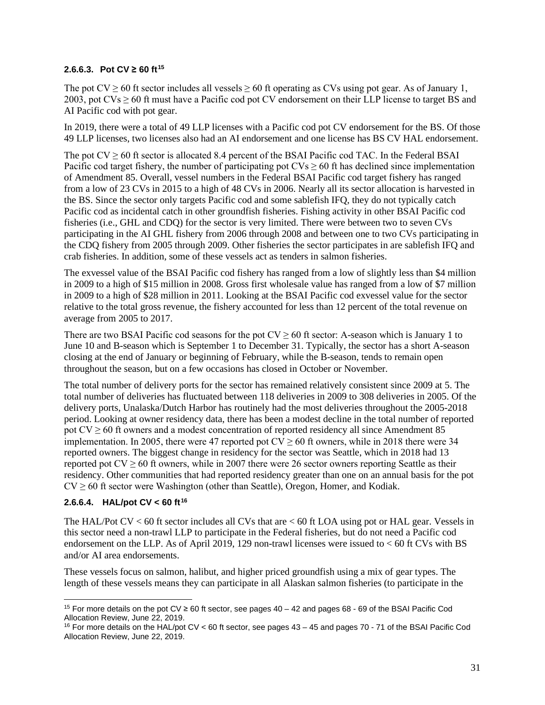#### **2.6.6.3. Pot CV ≥ 60 ft**<sup>[15](#page-30-0)</sup>

The pot  $CV \ge 60$  ft sector includes all vessels  $\ge 60$  ft operating as CVs using pot gear. As of January 1, 2003, pot  $CVs \ge 60$  ft must have a Pacific cod pot CV endorsement on their LLP license to target BS and AI Pacific cod with pot gear.

In 2019, there were a total of 49 LLP licenses with a Pacific cod pot CV endorsement for the BS. Of those 49 LLP licenses, two licenses also had an AI endorsement and one license has BS CV HAL endorsement.

The pot  $CV \ge 60$  ft sector is allocated 8.4 percent of the BSAI Pacific cod TAC. In the Federal BSAI Pacific cod target fishery, the number of participating pot  $CVs \ge 60$  ft has declined since implementation of Amendment 85. Overall, vessel numbers in the Federal BSAI Pacific cod target fishery has ranged from a low of 23 CVs in 2015 to a high of 48 CVs in 2006. Nearly all its sector allocation is harvested in the BS. Since the sector only targets Pacific cod and some sablefish IFQ, they do not typically catch Pacific cod as incidental catch in other groundfish fisheries. Fishing activity in other BSAI Pacific cod fisheries (i.e., GHL and CDQ) for the sector is very limited. There were between two to seven CVs participating in the AI GHL fishery from 2006 through 2008 and between one to two CVs participating in the CDQ fishery from 2005 through 2009. Other fisheries the sector participates in are sablefish IFQ and crab fisheries. In addition, some of these vessels act as tenders in salmon fisheries.

The exvessel value of the BSAI Pacific cod fishery has ranged from a low of slightly less than \$4 million in 2009 to a high of \$15 million in 2008. Gross first wholesale value has ranged from a low of \$7 million in 2009 to a high of \$28 million in 2011. Looking at the BSAI Pacific cod exvessel value for the sector relative to the total gross revenue, the fishery accounted for less than 12 percent of the total revenue on average from 2005 to 2017.

There are two BSAI Pacific cod seasons for the pot  $CV \ge 60$  ft sector: A-season which is January 1 to June 10 and B-season which is September 1 to December 31. Typically, the sector has a short A-season closing at the end of January or beginning of February, while the B-season, tends to remain open throughout the season, but on a few occasions has closed in October or November.

The total number of delivery ports for the sector has remained relatively consistent since 2009 at 5. The total number of deliveries has fluctuated between 118 deliveries in 2009 to 308 deliveries in 2005. Of the delivery ports, Unalaska/Dutch Harbor has routinely had the most deliveries throughout the 2005-2018 period. Looking at owner residency data, there has been a modest decline in the total number of reported pot  $CV \ge 60$  ft owners and a modest concentration of reported residency all since Amendment 85 implementation. In 2005, there were 47 reported pot  $CV \ge 60$  ft owners, while in 2018 there were 34 reported owners. The biggest change in residency for the sector was Seattle, which in 2018 had 13 reported pot  $CV \ge 60$  ft owners, while in 2007 there were 26 sector owners reporting Seattle as their residency. Other communities that had reported residency greater than one on an annual basis for the pot  $CV \ge 60$  ft sector were Washington (other than Seattle), Oregon, Homer, and Kodiak.

### **2.6.6.4. HAL/pot CV < 60 ft[16](#page-30-1)**

The HAL/Pot CV < 60 ft sector includes all CVs that are < 60 ft LOA using pot or HAL gear. Vessels in this sector need a non-trawl LLP to participate in the Federal fisheries, but do not need a Pacific cod endorsement on the LLP. As of April 2019, 129 non-trawl licenses were issued to  $< 60$  ft CVs with BS and/or AI area endorsements.

These vessels focus on salmon, halibut, and higher priced groundfish using a mix of gear types. The length of these vessels means they can participate in all Alaskan salmon fisheries (to participate in the

<span id="page-30-0"></span><sup>&</sup>lt;sup>15</sup> For more details on the pot CV ≥ 60 ft sector, see pages  $40 - 42$  and pages 68 - 69 of the BSAI Pacific Cod Allocation Review, June 22, 2019.

<span id="page-30-1"></span><sup>16</sup> For more details on the HAL/pot CV < 60 ft sector, see pages 43 – 45 and pages 70 - 71 of the BSAI Pacific Cod Allocation Review, June 22, 2019.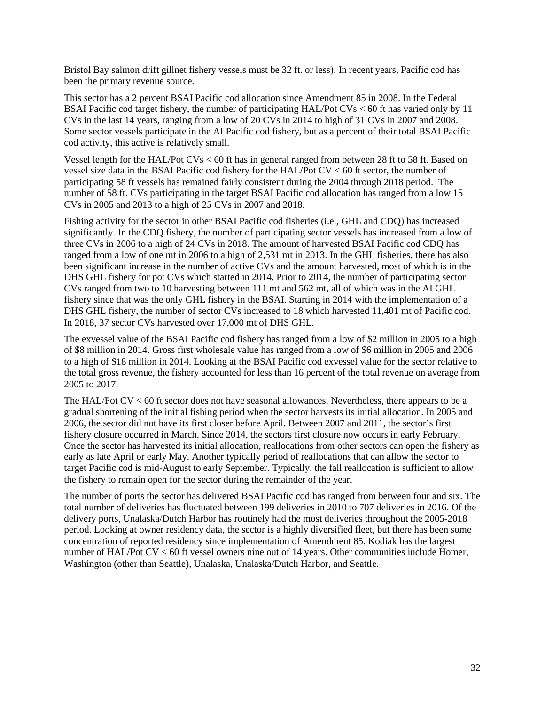Bristol Bay salmon drift gillnet fishery vessels must be 32 ft. or less). In recent years, Pacific cod has been the primary revenue source.

This sector has a 2 percent BSAI Pacific cod allocation since Amendment 85 in 2008. In the Federal BSAI Pacific cod target fishery, the number of participating HAL/Pot CVs < 60 ft has varied only by 11 CVs in the last 14 years, ranging from a low of 20 CVs in 2014 to high of 31 CVs in 2007 and 2008. Some sector vessels participate in the AI Pacific cod fishery, but as a percent of their total BSAI Pacific cod activity, this active is relatively small.

Vessel length for the HAL/Pot CVs < 60 ft has in general ranged from between 28 ft to 58 ft. Based on vessel size data in the BSAI Pacific cod fishery for the HAL/Pot CV < 60 ft sector, the number of participating 58 ft vessels has remained fairly consistent during the 2004 through 2018 period. The number of 58 ft. CVs participating in the target BSAI Pacific cod allocation has ranged from a low 15 CVs in 2005 and 2013 to a high of 25 CVs in 2007 and 2018.

Fishing activity for the sector in other BSAI Pacific cod fisheries (i.e., GHL and CDQ) has increased significantly. In the CDQ fishery, the number of participating sector vessels has increased from a low of three CVs in 2006 to a high of 24 CVs in 2018. The amount of harvested BSAI Pacific cod CDQ has ranged from a low of one mt in 2006 to a high of 2,531 mt in 2013. In the GHL fisheries, there has also been significant increase in the number of active CVs and the amount harvested, most of which is in the DHS GHL fishery for pot CVs which started in 2014. Prior to 2014, the number of participating sector CVs ranged from two to 10 harvesting between 111 mt and 562 mt, all of which was in the AI GHL fishery since that was the only GHL fishery in the BSAI. Starting in 2014 with the implementation of a DHS GHL fishery, the number of sector CVs increased to 18 which harvested 11,401 mt of Pacific cod. In 2018, 37 sector CVs harvested over 17,000 mt of DHS GHL.

The exvessel value of the BSAI Pacific cod fishery has ranged from a low of \$2 million in 2005 to a high of \$8 million in 2014. Gross first wholesale value has ranged from a low of \$6 million in 2005 and 2006 to a high of \$18 million in 2014. Looking at the BSAI Pacific cod exvessel value for the sector relative to the total gross revenue, the fishery accounted for less than 16 percent of the total revenue on average from 2005 to 2017.

The HAL/Pot CV < 60 ft sector does not have seasonal allowances. Nevertheless, there appears to be a gradual shortening of the initial fishing period when the sector harvests its initial allocation. In 2005 and 2006, the sector did not have its first closer before April. Between 2007 and 2011, the sector's first fishery closure occurred in March. Since 2014, the sectors first closure now occurs in early February. Once the sector has harvested its initial allocation, reallocations from other sectors can open the fishery as early as late April or early May. Another typically period of reallocations that can allow the sector to target Pacific cod is mid-August to early September. Typically, the fall reallocation is sufficient to allow the fishery to remain open for the sector during the remainder of the year.

The number of ports the sector has delivered BSAI Pacific cod has ranged from between four and six. The total number of deliveries has fluctuated between 199 deliveries in 2010 to 707 deliveries in 2016. Of the delivery ports, Unalaska/Dutch Harbor has routinely had the most deliveries throughout the 2005-2018 period. Looking at owner residency data, the sector is a highly diversified fleet, but there has been some concentration of reported residency since implementation of Amendment 85. Kodiak has the largest number of HAL/Pot CV < 60 ft vessel owners nine out of 14 years. Other communities include Homer, Washington (other than Seattle), Unalaska, Unalaska/Dutch Harbor, and Seattle.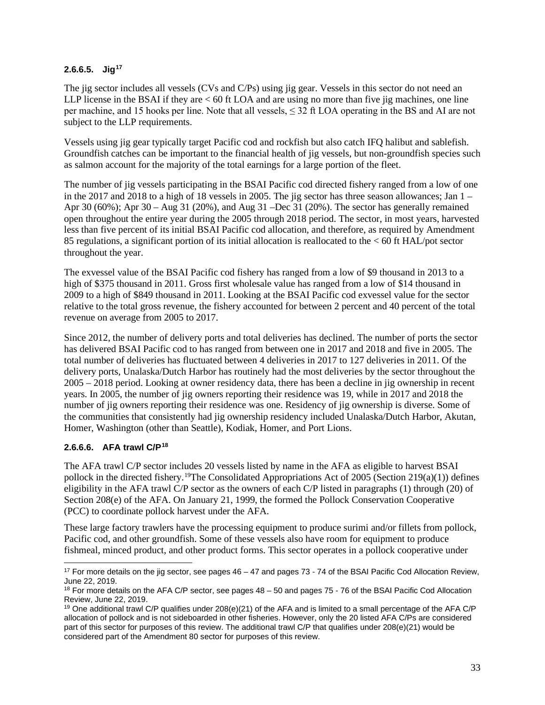### **2.6.6.5. Jig[17](#page-32-0)**

The jig sector includes all vessels (CVs and C/Ps) using jig gear. Vessels in this sector do not need an LLP license in the BSAI if they are  $< 60$  ft LOA and are using no more than five jig machines, one line per machine, and 15 hooks per line. Note that all vessels, ≤ 32 ft LOA operating in the BS and AI are not subject to the LLP requirements.

Vessels using jig gear typically target Pacific cod and rockfish but also catch IFQ halibut and sablefish. Groundfish catches can be important to the financial health of jig vessels, but non-groundfish species such as salmon account for the majority of the total earnings for a large portion of the fleet.

The number of jig vessels participating in the BSAI Pacific cod directed fishery ranged from a low of one in the 2017 and 2018 to a high of 18 vessels in 2005. The jig sector has three season allowances; Jan 1 – Apr 30 (60%); Apr 30 – Aug 31 (20%), and Aug 31 –Dec 31 (20%). The sector has generally remained open throughout the entire year during the 2005 through 2018 period. The sector, in most years, harvested less than five percent of its initial BSAI Pacific cod allocation, and therefore, as required by Amendment 85 regulations, a significant portion of its initial allocation is reallocated to the < 60 ft HAL/pot sector throughout the year.

The exvessel value of the BSAI Pacific cod fishery has ranged from a low of \$9 thousand in 2013 to a high of \$375 thousand in 2011. Gross first wholesale value has ranged from a low of \$14 thousand in 2009 to a high of \$849 thousand in 2011. Looking at the BSAI Pacific cod exvessel value for the sector relative to the total gross revenue, the fishery accounted for between 2 percent and 40 percent of the total revenue on average from 2005 to 2017.

Since 2012, the number of delivery ports and total deliveries has declined. The number of ports the sector has delivered BSAI Pacific cod to has ranged from between one in 2017 and 2018 and five in 2005. The total number of deliveries has fluctuated between 4 deliveries in 2017 to 127 deliveries in 2011. Of the delivery ports, Unalaska/Dutch Harbor has routinely had the most deliveries by the sector throughout the 2005 – 2018 period. Looking at owner residency data, there has been a decline in jig ownership in recent years. In 2005, the number of jig owners reporting their residence was 19, while in 2017 and 2018 the number of jig owners reporting their residence was one. Residency of jig ownership is diverse. Some of the communities that consistently had jig ownership residency included Unalaska/Dutch Harbor, Akutan, Homer, Washington (other than Seattle), Kodiak, Homer, and Port Lions.

### **2.6.6.6. AFA trawl C/P[18](#page-32-1)**

The AFA trawl C/P sector includes 20 vessels listed by name in the AFA as eligible to harvest BSAI pollock in the directed fishery.<sup>[19](#page-32-2)</sup>The Consolidated Appropriations Act of 2005 (Section 219(a)(1)) defines eligibility in the AFA trawl C/P sector as the owners of each C/P listed in paragraphs (1) through (20) of Section 208(e) of the AFA. On January 21, 1999, the formed the Pollock Conservation Cooperative (PCC) to coordinate pollock harvest under the AFA.

These large factory trawlers have the processing equipment to produce surimi and/or fillets from pollock, Pacific cod, and other groundfish. Some of these vessels also have room for equipment to produce fishmeal, minced product, and other product forms. This sector operates in a pollock cooperative under

<span id="page-32-0"></span><sup>17</sup> For more details on the jig sector, see pages 46 – 47 and pages 73 - 74 of the BSAI Pacific Cod Allocation Review, June 22, 2019.

<span id="page-32-1"></span><sup>&</sup>lt;sup>18</sup> For more details on the AFA C/P sector, see pages 48 – 50 and pages 75 - 76 of the BSAI Pacific Cod Allocation Review, June 22, 2019.

<span id="page-32-2"></span><sup>&</sup>lt;sup>19</sup> One additional trawl C/P qualifies under 208(e)(21) of the AFA and is limited to a small percentage of the AFA C/P allocation of pollock and is not sideboarded in other fisheries. However, only the 20 listed AFA C/Ps are considered part of this sector for purposes of this review. The additional trawl C/P that qualifies under 208(e)(21) would be considered part of the Amendment 80 sector for purposes of this review.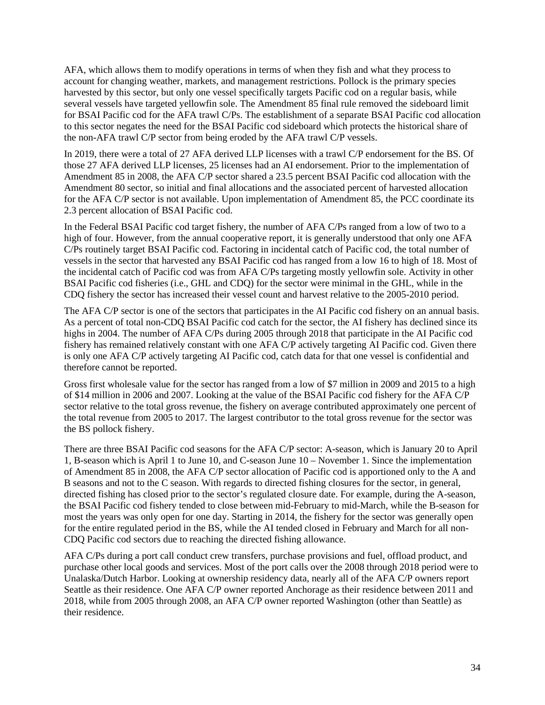AFA, which allows them to modify operations in terms of when they fish and what they process to account for changing weather, markets, and management restrictions. Pollock is the primary species harvested by this sector, but only one vessel specifically targets Pacific cod on a regular basis, while several vessels have targeted yellowfin sole. The Amendment 85 final rule removed the sideboard limit for BSAI Pacific cod for the AFA trawl C/Ps. The establishment of a separate BSAI Pacific cod allocation to this sector negates the need for the BSAI Pacific cod sideboard which protects the historical share of the non-AFA trawl C/P sector from being eroded by the AFA trawl C/P vessels.

In 2019, there were a total of 27 AFA derived LLP licenses with a trawl C/P endorsement for the BS. Of those 27 AFA derived LLP licenses, 25 licenses had an AI endorsement. Prior to the implementation of Amendment 85 in 2008, the AFA C/P sector shared a 23.5 percent BSAI Pacific cod allocation with the Amendment 80 sector, so initial and final allocations and the associated percent of harvested allocation for the AFA C/P sector is not available. Upon implementation of Amendment 85, the PCC coordinate its 2.3 percent allocation of BSAI Pacific cod.

In the Federal BSAI Pacific cod target fishery, the number of AFA C/Ps ranged from a low of two to a high of four. However, from the annual cooperative report, it is generally understood that only one AFA C/Ps routinely target BSAI Pacific cod. Factoring in incidental catch of Pacific cod, the total number of vessels in the sector that harvested any BSAI Pacific cod has ranged from a low 16 to high of 18. Most of the incidental catch of Pacific cod was from AFA C/Ps targeting mostly yellowfin sole. Activity in other BSAI Pacific cod fisheries (i.e., GHL and CDQ) for the sector were minimal in the GHL, while in the CDQ fishery the sector has increased their vessel count and harvest relative to the 2005-2010 period.

The AFA C/P sector is one of the sectors that participates in the AI Pacific cod fishery on an annual basis. As a percent of total non-CDQ BSAI Pacific cod catch for the sector, the AI fishery has declined since its highs in 2004. The number of AFA C/Ps during 2005 through 2018 that participate in the AI Pacific cod fishery has remained relatively constant with one AFA C/P actively targeting AI Pacific cod. Given there is only one AFA C/P actively targeting AI Pacific cod, catch data for that one vessel is confidential and therefore cannot be reported.

Gross first wholesale value for the sector has ranged from a low of \$7 million in 2009 and 2015 to a high of \$14 million in 2006 and 2007. Looking at the value of the BSAI Pacific cod fishery for the AFA C/P sector relative to the total gross revenue, the fishery on average contributed approximately one percent of the total revenue from 2005 to 2017. The largest contributor to the total gross revenue for the sector was the BS pollock fishery.

There are three BSAI Pacific cod seasons for the AFA C/P sector: A-season, which is January 20 to April 1, B-season which is April 1 to June 10, and C-season June 10 – November 1. Since the implementation of Amendment 85 in 2008, the AFA C/P sector allocation of Pacific cod is apportioned only to the A and B seasons and not to the C season. With regards to directed fishing closures for the sector, in general, directed fishing has closed prior to the sector's regulated closure date. For example, during the A-season, the BSAI Pacific cod fishery tended to close between mid-February to mid-March, while the B-season for most the years was only open for one day. Starting in 2014, the fishery for the sector was generally open for the entire regulated period in the BS, while the AI tended closed in February and March for all non-CDQ Pacific cod sectors due to reaching the directed fishing allowance.

AFA C/Ps during a port call conduct crew transfers, purchase provisions and fuel, offload product, and purchase other local goods and services. Most of the port calls over the 2008 through 2018 period were to Unalaska/Dutch Harbor. Looking at ownership residency data, nearly all of the AFA C/P owners report Seattle as their residence. One AFA C/P owner reported Anchorage as their residence between 2011 and 2018, while from 2005 through 2008, an AFA C/P owner reported Washington (other than Seattle) as their residence.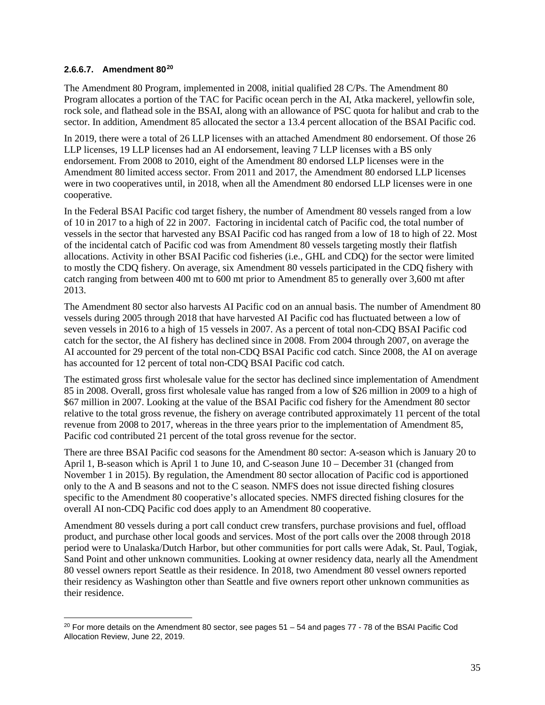### **2.6.6.7. Amendment 80[20](#page-34-0)**

The Amendment 80 Program, implemented in 2008, initial qualified 28 C/Ps. The Amendment 80 Program allocates a portion of the TAC for Pacific ocean perch in the AI, Atka mackerel, yellowfin sole, rock sole, and flathead sole in the BSAI, along with an allowance of PSC quota for halibut and crab to the sector. In addition, Amendment 85 allocated the sector a 13.4 percent allocation of the BSAI Pacific cod.

In 2019, there were a total of 26 LLP licenses with an attached Amendment 80 endorsement. Of those 26 LLP licenses, 19 LLP licenses had an AI endorsement, leaving 7 LLP licenses with a BS only endorsement. From 2008 to 2010, eight of the Amendment 80 endorsed LLP licenses were in the Amendment 80 limited access sector. From 2011 and 2017, the Amendment 80 endorsed LLP licenses were in two cooperatives until, in 2018, when all the Amendment 80 endorsed LLP licenses were in one cooperative.

In the Federal BSAI Pacific cod target fishery, the number of Amendment 80 vessels ranged from a low of 10 in 2017 to a high of 22 in 2007. Factoring in incidental catch of Pacific cod, the total number of vessels in the sector that harvested any BSAI Pacific cod has ranged from a low of 18 to high of 22. Most of the incidental catch of Pacific cod was from Amendment 80 vessels targeting mostly their flatfish allocations. Activity in other BSAI Pacific cod fisheries (i.e., GHL and CDQ) for the sector were limited to mostly the CDQ fishery. On average, six Amendment 80 vessels participated in the CDQ fishery with catch ranging from between 400 mt to 600 mt prior to Amendment 85 to generally over 3,600 mt after 2013.

The Amendment 80 sector also harvests AI Pacific cod on an annual basis. The number of Amendment 80 vessels during 2005 through 2018 that have harvested AI Pacific cod has fluctuated between a low of seven vessels in 2016 to a high of 15 vessels in 2007. As a percent of total non-CDQ BSAI Pacific cod catch for the sector, the AI fishery has declined since in 2008. From 2004 through 2007, on average the AI accounted for 29 percent of the total non-CDQ BSAI Pacific cod catch. Since 2008, the AI on average has accounted for 12 percent of total non-CDQ BSAI Pacific cod catch.

The estimated gross first wholesale value for the sector has declined since implementation of Amendment 85 in 2008. Overall, gross first wholesale value has ranged from a low of \$26 million in 2009 to a high of \$67 million in 2007. Looking at the value of the BSAI Pacific cod fishery for the Amendment 80 sector relative to the total gross revenue, the fishery on average contributed approximately 11 percent of the total revenue from 2008 to 2017, whereas in the three years prior to the implementation of Amendment 85, Pacific cod contributed 21 percent of the total gross revenue for the sector.

There are three BSAI Pacific cod seasons for the Amendment 80 sector: A-season which is January 20 to April 1, B-season which is April 1 to June 10, and C-season June 10 – December 31 (changed from November 1 in 2015). By regulation, the Amendment 80 sector allocation of Pacific cod is apportioned only to the A and B seasons and not to the C season. NMFS does not issue directed fishing closures specific to the Amendment 80 cooperative's allocated species. NMFS directed fishing closures for the overall AI non-CDQ Pacific cod does apply to an Amendment 80 cooperative.

Amendment 80 vessels during a port call conduct crew transfers, purchase provisions and fuel, offload product, and purchase other local goods and services. Most of the port calls over the 2008 through 2018 period were to Unalaska/Dutch Harbor, but other communities for port calls were Adak, St. Paul, Togiak, Sand Point and other unknown communities. Looking at owner residency data, nearly all the Amendment 80 vessel owners report Seattle as their residence. In 2018, two Amendment 80 vessel owners reported their residency as Washington other than Seattle and five owners report other unknown communities as their residence.

<span id="page-34-0"></span> $20$  For more details on the Amendment 80 sector, see pages  $51 - 54$  and pages  $77 - 78$  of the BSAI Pacific Cod Allocation Review, June 22, 2019.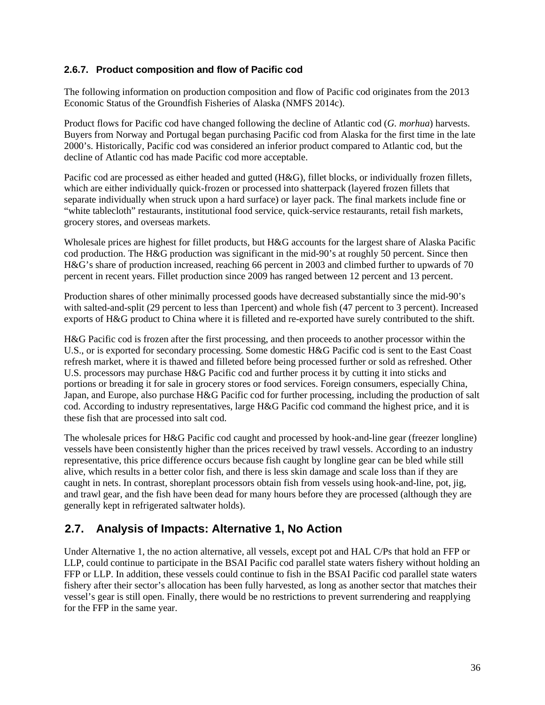### <span id="page-35-0"></span>**2.6.7. Product composition and flow of Pacific cod**

The following information on production composition and flow of Pacific cod originates from the 2013 Economic Status of the Groundfish Fisheries of Alaska (NMFS 2014c).

Product flows for Pacific cod have changed following the decline of Atlantic cod (*G. morhua*) harvests. Buyers from Norway and Portugal began purchasing Pacific cod from Alaska for the first time in the late 2000's. Historically, Pacific cod was considered an inferior product compared to Atlantic cod, but the decline of Atlantic cod has made Pacific cod more acceptable.

Pacific cod are processed as either headed and gutted (H&G), fillet blocks, or individually frozen fillets, which are either individually quick-frozen or processed into shatterpack (layered frozen fillets that separate individually when struck upon a hard surface) or layer pack. The final markets include fine or "white tablecloth" restaurants, institutional food service, quick-service restaurants, retail fish markets, grocery stores, and overseas markets.

Wholesale prices are highest for fillet products, but H&G accounts for the largest share of Alaska Pacific cod production. The H&G production was significant in the mid-90's at roughly 50 percent. Since then H&G's share of production increased, reaching 66 percent in 2003 and climbed further to upwards of 70 percent in recent years. Fillet production since 2009 has ranged between 12 percent and 13 percent.

Production shares of other minimally processed goods have decreased substantially since the mid-90's with salted-and-split (29 percent to less than 1percent) and whole fish (47 percent to 3 percent). Increased exports of H&G product to China where it is filleted and re-exported have surely contributed to the shift.

H&G Pacific cod is frozen after the first processing, and then proceeds to another processor within the U.S., or is exported for secondary processing. Some domestic H&G Pacific cod is sent to the East Coast refresh market, where it is thawed and filleted before being processed further or sold as refreshed. Other U.S. processors may purchase H&G Pacific cod and further process it by cutting it into sticks and portions or breading it for sale in grocery stores or food services. Foreign consumers, especially China, Japan, and Europe, also purchase H&G Pacific cod for further processing, including the production of salt cod. According to industry representatives, large H&G Pacific cod command the highest price, and it is these fish that are processed into salt cod.

The wholesale prices for H&G Pacific cod caught and processed by hook-and-line gear (freezer longline) vessels have been consistently higher than the prices received by trawl vessels. According to an industry representative, this price difference occurs because fish caught by longline gear can be bled while still alive, which results in a better color fish, and there is less skin damage and scale loss than if they are caught in nets. In contrast, shoreplant processors obtain fish from vessels using hook-and-line, pot, jig, and trawl gear, and the fish have been dead for many hours before they are processed (although they are generally kept in refrigerated saltwater holds).

## <span id="page-35-1"></span>**2.7. Analysis of Impacts: Alternative 1, No Action**

Under Alternative 1, the no action alternative, all vessels, except pot and HAL C/Ps that hold an FFP or LLP, could continue to participate in the BSAI Pacific cod parallel state waters fishery without holding an FFP or LLP. In addition, these vessels could continue to fish in the BSAI Pacific cod parallel state waters fishery after their sector's allocation has been fully harvested, as long as another sector that matches their vessel's gear is still open. Finally, there would be no restrictions to prevent surrendering and reapplying for the FFP in the same year.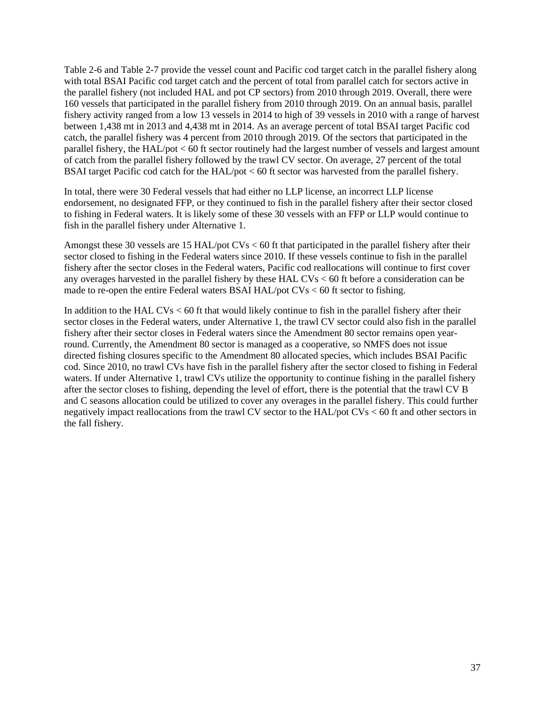[Table 2-6](#page-37-0) and [Table 2-7](#page-37-1) provide the vessel count and Pacific cod target catch in the parallel fishery along with total BSAI Pacific cod target catch and the percent of total from parallel catch for sectors active in the parallel fishery (not included HAL and pot CP sectors) from 2010 through 2019. Overall, there were 160 vessels that participated in the parallel fishery from 2010 through 2019. On an annual basis, parallel fishery activity ranged from a low 13 vessels in 2014 to high of 39 vessels in 2010 with a range of harvest between 1,438 mt in 2013 and 4,438 mt in 2014. As an average percent of total BSAI target Pacific cod catch, the parallel fishery was 4 percent from 2010 through 2019. Of the sectors that participated in the parallel fishery, the HAL/pot < 60 ft sector routinely had the largest number of vessels and largest amount of catch from the parallel fishery followed by the trawl CV sector. On average, 27 percent of the total BSAI target Pacific cod catch for the HAL/pot < 60 ft sector was harvested from the parallel fishery.

In total, there were 30 Federal vessels that had either no LLP license, an incorrect LLP license endorsement, no designated FFP, or they continued to fish in the parallel fishery after their sector closed to fishing in Federal waters. It is likely some of these 30 vessels with an FFP or LLP would continue to fish in the parallel fishery under Alternative 1.

Amongst these 30 vessels are 15 HAL/pot CVs < 60 ft that participated in the parallel fishery after their sector closed to fishing in the Federal waters since 2010. If these vessels continue to fish in the parallel fishery after the sector closes in the Federal waters, Pacific cod reallocations will continue to first cover any overages harvested in the parallel fishery by these HAL CVs < 60 ft before a consideration can be made to re-open the entire Federal waters BSAI HAL/pot CVs < 60 ft sector to fishing.

In addition to the HAL CVs < 60 ft that would likely continue to fish in the parallel fishery after their sector closes in the Federal waters, under Alternative 1, the trawl CV sector could also fish in the parallel fishery after their sector closes in Federal waters since the Amendment 80 sector remains open yearround. Currently, the Amendment 80 sector is managed as a cooperative, so NMFS does not issue directed fishing closures specific to the Amendment 80 allocated species, which includes BSAI Pacific cod. Since 2010, no trawl CVs have fish in the parallel fishery after the sector closed to fishing in Federal waters. If under Alternative 1, trawl CVs utilize the opportunity to continue fishing in the parallel fishery after the sector closes to fishing, depending the level of effort, there is the potential that the trawl CV B and C seasons allocation could be utilized to cover any overages in the parallel fishery. This could further negatively impact reallocations from the trawl CV sector to the HAL/pot CVs < 60 ft and other sectors in the fall fishery.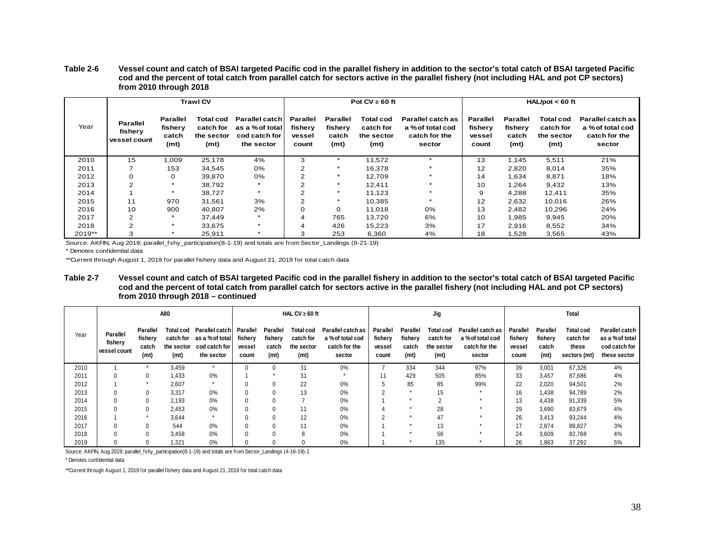#### **Table 2-6 Vessel count and catch of BSAI targeted Pacific cod in the parallel fishery in addition to the sector's total catch of BSAI targeted Pacific cod and the percent of total catch from parallel catch for sectors active in the parallel fishery (not including HAL and pot CP sectors) from 2010 through 2018**

|        |                                     |                                                   | <b>Trawl CV</b>                              |                                                                  |                                               |                                                          | Pot $CV \ge 60$ ft                                        |                                                                  | $HAL/pot < 60$ ft                             |                                                          |                                                     |                                                                  |  |
|--------|-------------------------------------|---------------------------------------------------|----------------------------------------------|------------------------------------------------------------------|-----------------------------------------------|----------------------------------------------------------|-----------------------------------------------------------|------------------------------------------------------------------|-----------------------------------------------|----------------------------------------------------------|-----------------------------------------------------|------------------------------------------------------------------|--|
| Year   | Parallel<br>fishery<br>vessel count | Parallel<br>fisherv<br>catch<br>(m <sub>t</sub> ) | Total cod<br>catch for<br>the sector<br>(mt) | Parallel catch<br>as a % of total<br>cod catch for<br>the sector | <b>Parallel</b><br>fishery<br>vessel<br>count | <b>Parallel</b><br>fisherv<br>catch<br>(m <sub>t</sub> ) | Total cod<br>catch for<br>the sector<br>(m <sub>t</sub> ) | Parallel catch as<br>a % of total cod<br>catch for the<br>sector | <b>Parallel</b><br>fisherv<br>vessel<br>count | <b>Parallel</b><br>fishery<br>catch<br>(m <sub>t</sub> ) | <b>Total cod</b><br>catch for<br>the sector<br>(mt) | Parallel catch as<br>a % of total cod<br>catch for the<br>sector |  |
| 2010   | 15                                  | 1,009                                             | 25,178                                       | 4%                                                               | 3                                             |                                                          | 11,572                                                    | $\boldsymbol{\Phi}$                                              | 13                                            | 1,145                                                    | 5,511                                               | 21%                                                              |  |
| 2011   |                                     | 153                                               | 34,545                                       | 0%                                                               | 2                                             |                                                          | 16,378                                                    |                                                                  | 12                                            | 2,820                                                    | 8,014                                               | 35%                                                              |  |
| 2012   | 0                                   | 0                                                 | 39,870                                       | 0%                                                               | $\sim$                                        |                                                          | 12,709                                                    |                                                                  | 14                                            | 1,634                                                    | 8,871                                               | 18%                                                              |  |
| 2013   | 2                                   |                                                   | 38,792                                       | $\star$                                                          | 2                                             |                                                          | 12.411                                                    |                                                                  | 10                                            | 1,264                                                    | 9,432                                               | 13%                                                              |  |
| 2014   |                                     |                                                   | 38,727                                       | $\star$                                                          | 2                                             |                                                          | 11.123                                                    |                                                                  | 9                                             | 4,288                                                    | 12,411                                              | 35%                                                              |  |
| 2015   | 11                                  | 970                                               | 31,561                                       | 3%                                                               | 2                                             |                                                          | 10,385                                                    |                                                                  | 12                                            | 2,632                                                    | 10,016                                              | 26%                                                              |  |
| 2016   | 10                                  | 900                                               | 40,807                                       | 2%                                                               |                                               | $\Omega$                                                 | 11,018                                                    | 0%                                                               | 13                                            | 2,482                                                    | 10,296                                              | 24%                                                              |  |
| 2017   | 2                                   |                                                   | 37,449                                       | $\star$                                                          | 4                                             | 765                                                      | 13.720                                                    | 6%                                                               | 10                                            | 1,985                                                    | 9,945                                               | 20%                                                              |  |
| 2018   | 2                                   |                                                   | 33,675                                       | $\star$                                                          | 4                                             | 426                                                      | 15,223                                                    | 3%                                                               | 17                                            | 2.916                                                    | 8,552                                               | 34%                                                              |  |
| 2019** | 3                                   |                                                   | 25,911                                       | $\star$                                                          | 3                                             | 253                                                      | 6,360                                                     | 4%                                                               | 18                                            | 1.528                                                    | 3,565                                               | 43%                                                              |  |

<span id="page-37-0"></span>Source: AKFIN, Aug 2019; parallel\_fshy\_participation(8-1-19) and totals are from Sector\_Landings (8-21-19)

\* Denotes confidential data

\*\*Current through August 1, 2019 for parallel fishery data and August 21, 2019 for total catch data

#### **Table 2-7 Vessel count and catch of BSAI targeted Pacific cod in the parallel fishery in addition to the sector's total catch of BSAI targeted Pacific cod and the percent of total catch from parallel catch for sectors active in the parallel fishery (not including HAL and pot CP sectors) from 2010 through 2018 – continued**

|      |                                            |                                                   | A80                                                       |                                                                     | HAL CV $\geq 60$ ft                    |                                                          |                                                                  |                                                                  |                                               | Jig                                               |                                                                  |                                                                  |                                               | <b>Total</b>                                      |                                                        |                                                                    |  |
|------|--------------------------------------------|---------------------------------------------------|-----------------------------------------------------------|---------------------------------------------------------------------|----------------------------------------|----------------------------------------------------------|------------------------------------------------------------------|------------------------------------------------------------------|-----------------------------------------------|---------------------------------------------------|------------------------------------------------------------------|------------------------------------------------------------------|-----------------------------------------------|---------------------------------------------------|--------------------------------------------------------|--------------------------------------------------------------------|--|
| Year | <b>Parallel</b><br>fishery<br>vessel count | Parallel<br>fishery<br>catch<br>(m <sub>t</sub> ) | Total cod<br>catch for<br>the sector<br>(m <sub>t</sub> ) | Parallel catch I<br>as a %of total I<br>cod catch for<br>the sector | Parallel<br>fishery<br>vessel<br>count | <b>Parallel</b><br>fishery<br>catch<br>(m <sub>t</sub> ) | <b>Total cod</b><br>catch for<br>the sector<br>(m <sub>t</sub> ) | Parallel catch as<br>a % of total cod<br>catch for the<br>sector | <b>Parallel</b><br>fishery<br>vessel<br>count | Parallel<br>fishery<br>catch<br>(m <sub>t</sub> ) | <b>Total cod</b><br>catch for<br>the sector<br>(m <sub>t</sub> ) | Parallel catch as<br>a % of total cod<br>catch for the<br>sector | <b>Parallel</b><br>fishery<br>vessel<br>count | Parallel<br>fishery<br>catch<br>(m <sub>t</sub> ) | <b>Total cod</b><br>catch for<br>these<br>sectors (mt) | Parallel catch<br>as a % of total<br>cod catch for<br>these sector |  |
| 2010 |                                            |                                                   | 3,459                                                     |                                                                     |                                        |                                                          | 31                                                               | 0%                                                               |                                               | 334                                               | 344                                                              | 97%                                                              | 39                                            | 3,001                                             | 67,326                                                 | 4%                                                                 |  |
| 2011 |                                            |                                                   | 1,433                                                     | 0%                                                                  |                                        |                                                          | 31                                                               |                                                                  | 11                                            | 429                                               | 505                                                              | 85%                                                              | 33                                            | 3,457                                             | 87,686                                                 | 4%                                                                 |  |
| 2012 |                                            |                                                   | 2,607                                                     | $\star$                                                             |                                        |                                                          | 22                                                               | 0%                                                               | 5                                             | 85                                                | 85                                                               | 99%                                                              | 22                                            | 2,020                                             | 94,501                                                 | 2%                                                                 |  |
| 2013 |                                            |                                                   | 3,317                                                     | 0%                                                                  |                                        |                                                          | 13                                                               | $0\%$                                                            | $\sim$                                        |                                                   | 15                                                               | $\star$                                                          | 16                                            | 1,438                                             | 94,789                                                 | 2%                                                                 |  |
| 2014 |                                            |                                                   | 2,193                                                     | 0%                                                                  |                                        |                                                          |                                                                  | 0%                                                               |                                               |                                                   |                                                                  |                                                                  | 13                                            | 4,438                                             | 91,339                                                 | 5%                                                                 |  |
| 2015 |                                            |                                                   | 2,453                                                     | 0%                                                                  |                                        |                                                          | 11                                                               | 0%                                                               |                                               |                                                   | 28                                                               |                                                                  | 29                                            | 3,690                                             | 83,679                                                 | 4%                                                                 |  |
| 2016 |                                            |                                                   | 3,644                                                     | $\star$                                                             |                                        |                                                          | 12                                                               | 0%                                                               | $\sim$                                        |                                                   | 47                                                               |                                                                  | 26                                            | 3,413                                             | 93,244                                                 | 4%                                                                 |  |
| 2017 |                                            |                                                   | 544                                                       | 0%                                                                  |                                        |                                                          | 11                                                               | 0%                                                               |                                               |                                                   | 13                                                               |                                                                  | 17                                            | 2,874                                             | 88,827                                                 | 3%                                                                 |  |
| 2018 |                                            |                                                   | 3.458                                                     | 0%                                                                  |                                        |                                                          |                                                                  | 0%                                                               |                                               |                                                   | 56                                                               |                                                                  | 24                                            | 3,609                                             | 82,768                                                 | 4%                                                                 |  |
| 2019 |                                            |                                                   | 1,321                                                     | 0%                                                                  |                                        |                                                          |                                                                  | 0%                                                               |                                               |                                                   | 135                                                              |                                                                  | 26                                            | 1,863                                             | 37,292                                                 | 5%                                                                 |  |

<span id="page-37-1"></span>Source: AKFIN, Aug 2019; parallel\_fshy\_participation(8-1-19) and totals are from Sector\_Landings (4-16-19)-1

\* Denotes confidential data

\*\*Current through August 1, 2019 for parallel fishery data and August 21, 2019 for total catch data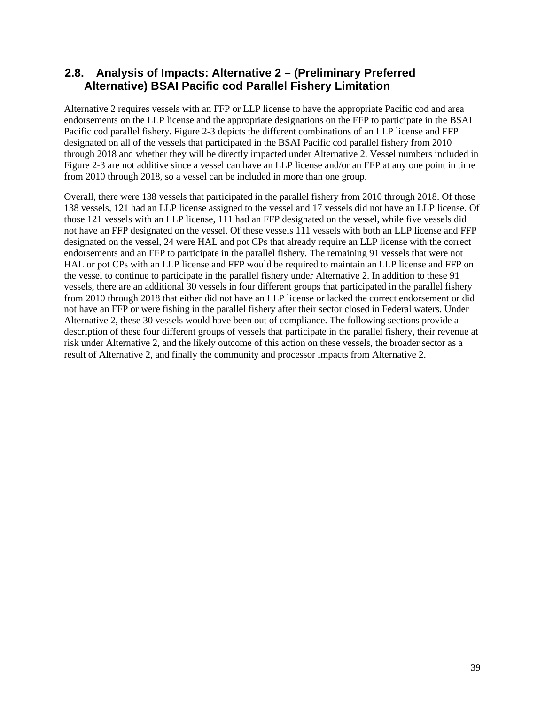### <span id="page-38-0"></span>**2.8. Analysis of Impacts: Alternative 2 – (Preliminary Preferred Alternative) BSAI Pacific cod Parallel Fishery Limitation**

Alternative 2 requires vessels with an FFP or LLP license to have the appropriate Pacific cod and area endorsements on the LLP license and the appropriate designations on the FFP to participate in the BSAI Pacific cod parallel fishery. [Figure 2-3](#page-39-1) depicts the different combinations of an LLP license and FFP designated on all of the vessels that participated in the BSAI Pacific cod parallel fishery from 2010 through 2018 and whether they will be directly impacted under Alternative 2. Vessel numbers included in [Figure 2-3](#page-39-1) are not additive since a vessel can have an LLP license and/or an FFP at any one point in time from 2010 through 2018, so a vessel can be included in more than one group.

Overall, there were 138 vessels that participated in the parallel fishery from 2010 through 2018. Of those 138 vessels, 121 had an LLP license assigned to the vessel and 17 vessels did not have an LLP license. Of those 121 vessels with an LLP license, 111 had an FFP designated on the vessel, while five vessels did not have an FFP designated on the vessel. Of these vessels 111 vessels with both an LLP license and FFP designated on the vessel, 24 were HAL and pot CPs that already require an LLP license with the correct endorsements and an FFP to participate in the parallel fishery. The remaining 91 vessels that were not HAL or pot CPs with an LLP license and FFP would be required to maintain an LLP license and FFP on the vessel to continue to participate in the parallel fishery under Alternative 2. In addition to these 91 vessels, there are an additional 30 vessels in four different groups that participated in the parallel fishery from 2010 through 2018 that either did not have an LLP license or lacked the correct endorsement or did not have an FFP or were fishing in the parallel fishery after their sector closed in Federal waters. Under Alternative 2, these 30 vessels would have been out of compliance. The following sections provide a description of these four different groups of vessels that participate in the parallel fishery, their revenue at risk under Alternative 2, and the likely outcome of this action on these vessels, the broader sector as a result of Alternative 2, and finally the community and processor impacts from Alternative 2.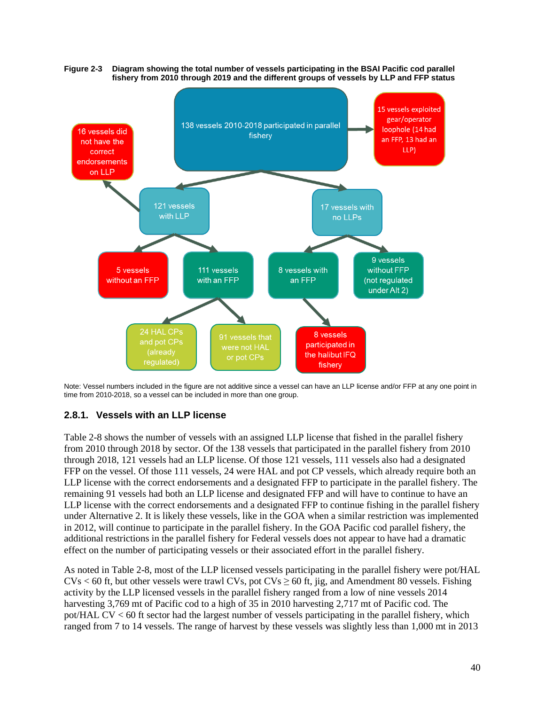<span id="page-39-1"></span>

<span id="page-39-0"></span>

Note: Vessel numbers included in the figure are not additive since a vessel can have an LLP license and/or FFP at any one point in time from 2010-2018, so a vessel can be included in more than one group.

### **2.8.1. Vessels with an LLP license**

[Table 2-8](#page-40-0) shows the number of vessels with an assigned LLP license that fished in the parallel fishery from 2010 through 2018 by sector. Of the 138 vessels that participated in the parallel fishery from 2010 through 2018, 121 vessels had an LLP license. Of those 121 vessels, 111 vessels also had a designated FFP on the vessel. Of those 111 vessels, 24 were HAL and pot CP vessels, which already require both an LLP license with the correct endorsements and a designated FFP to participate in the parallel fishery. The remaining 91 vessels had both an LLP license and designated FFP and will have to continue to have an LLP license with the correct endorsements and a designated FFP to continue fishing in the parallel fishery under Alternative 2. It is likely these vessels, like in the GOA when a similar restriction was implemented in 2012, will continue to participate in the parallel fishery. In the GOA Pacific cod parallel fishery, the additional restrictions in the parallel fishery for Federal vessels does not appear to have had a dramatic effect on the number of participating vessels or their associated effort in the parallel fishery.

As noted in [Table 2-8,](#page-40-0) most of the LLP licensed vessels participating in the parallel fishery were pot/HAL  $CVs < 60$  ft, but other vessels were trawl CVs, pot CVs  $\geq 60$  ft, jig, and Amendment 80 vessels. Fishing activity by the LLP licensed vessels in the parallel fishery ranged from a low of nine vessels 2014 harvesting 3,769 mt of Pacific cod to a high of 35 in 2010 harvesting 2,717 mt of Pacific cod. The pot/HAL CV < 60 ft sector had the largest number of vessels participating in the parallel fishery, which ranged from 7 to 14 vessels. The range of harvest by these vessels was slightly less than 1,000 mt in 2013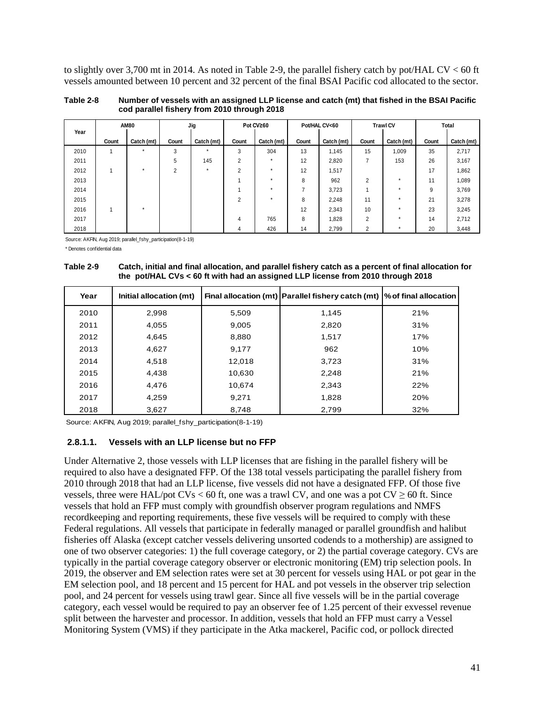to slightly over 3,700 mt in 2014. As noted in [Table 2-9,](#page-40-1) the parallel fishery catch by pot/HAL CV < 60 ft vessels amounted between 10 percent and 32 percent of the final BSAI Pacific cod allocated to the sector.

<span id="page-40-0"></span>

| Table 2-8 | Number of vessels with an assigned LLP license and catch (mt) that fished in the BSAI Pacific |
|-----------|-----------------------------------------------------------------------------------------------|
|           | cod parallel fishery from 2010 through 2018                                                   |

|      |                          | <b>AM80</b> | Jig            |            |                | Pot CV≥60  |       | Pot/HAL CV<60 |                | <b>Trawl CV</b> |       | Total      |
|------|--------------------------|-------------|----------------|------------|----------------|------------|-------|---------------|----------------|-----------------|-------|------------|
| Year | Count                    | Catch (mt)  | Count          | Catch (mt) | Count          | Catch (mt) | Count | Catch (mt)    | Count          | Catch (mt)      | Count | Catch (mt) |
| 2010 |                          | $\star$     | 3              | $\star$    | 3              | 304        | 13    | 1,145         | 15             | 1,009           | 35    | 2,717      |
| 2011 |                          |             | 5              | 145        | $\overline{2}$ | $\star$    | 12    | 2,820         | 7              | 153             | 26    | 3,167      |
| 2012 | $\overline{\phantom{a}}$ | $\star$     | $\overline{2}$ | $\star$    | $\overline{2}$ | $\star$    | 12    | 1,517         |                |                 | 17    | 1,862      |
| 2013 |                          |             |                |            |                | $\star$    | 8     | 962           | $\overline{2}$ | $\star$         | 11    | 1,089      |
| 2014 |                          |             |                |            |                | $\star$    |       | 3,723         |                | $\star$         | 9     | 3,769      |
| 2015 |                          |             |                |            | $\overline{2}$ | $\star$    | 8     | 2,248         | 11             | $\star$         | 21    | 3,278      |
| 2016 | 1                        | $\star$     |                |            |                |            | 12    | 2,343         | 10             | $\star$         | 23    | 3,245      |
| 2017 |                          |             |                |            | 4              | 765        | 8     | 1,828         | $\overline{2}$ | $\star$         | 14    | 2,712      |
| 2018 |                          |             |                |            | 4              | 426        | 14    | 2,799         | $\overline{2}$ | $\star$         | 20    | 3,448      |

Source: AKFIN, Aug 2019; parallel\_fshy\_participation(8-1-19)

\* Denotes confidential data

<span id="page-40-1"></span>**Table 2-9 Catch, initial and final allocation, and parallel fishery catch as a percent of final allocation for the pot/HAL CVs < 60 ft with had an assigned LLP license from 2010 through 2018**

| Year | Initial allocation (mt) |        | Final allocation (mt) Parallel fishery catch (mt) $\%$ of final allocation |     |
|------|-------------------------|--------|----------------------------------------------------------------------------|-----|
| 2010 | 2,998                   | 5,509  | 1.145                                                                      | 21% |
| 2011 | 4,055                   | 9.005  | 2,820                                                                      | 31% |
| 2012 | 4,645                   | 8,880  | 1.517                                                                      | 17% |
| 2013 | 4,627                   | 9,177  | 962                                                                        | 10% |
| 2014 | 4.518                   | 12,018 | 3,723                                                                      | 31% |
| 2015 | 4,438                   | 10,630 | 2,248                                                                      | 21% |
| 2016 | 4.476                   | 10.674 | 2,343                                                                      | 22% |
| 2017 | 4.259                   | 9.271  | 1,828                                                                      | 20% |
| 2018 | 3,627                   | 8,748  | 2,799                                                                      | 32% |

Source: AKFIN, Aug 2019; parallel\_fshy\_participation(8-1-19)

#### **2.8.1.1. Vessels with an LLP license but no FFP**

Under Alternative 2, those vessels with LLP licenses that are fishing in the parallel fishery will be required to also have a designated FFP. Of the 138 total vessels participating the parallel fishery from 2010 through 2018 that had an LLP license, five vessels did not have a designated FFP. Of those five vessels, three were HAL/pot CVs < 60 ft, one was a trawl CV, and one was a pot CV  $\geq$  60 ft. Since vessels that hold an FFP must comply with groundfish observer program regulations and NMFS recordkeeping and reporting requirements, these five vessels will be required to comply with these Federal regulations. All vessels that participate in federally managed or parallel groundfish and halibut fisheries off Alaska (except catcher vessels delivering unsorted codends to a mothership) are assigned to one of two observer categories: 1) the full coverage category, or 2) the partial coverage category. CVs are typically in the partial coverage category observer or electronic monitoring (EM) trip selection pools. In 2019, the observer and EM selection rates were set at 30 percent for vessels using HAL or pot gear in the EM selection pool, and 18 percent and 15 percent for HAL and pot vessels in the observer trip selection pool, and 24 percent for vessels using trawl gear. Since all five vessels will be in the partial coverage category, each vessel would be required to pay an observer fee of 1.25 percent of their exvessel revenue split between the harvester and processor. In addition, vessels that hold an FFP must carry a Vessel Monitoring System (VMS) if they participate in the Atka mackerel, Pacific cod, or pollock directed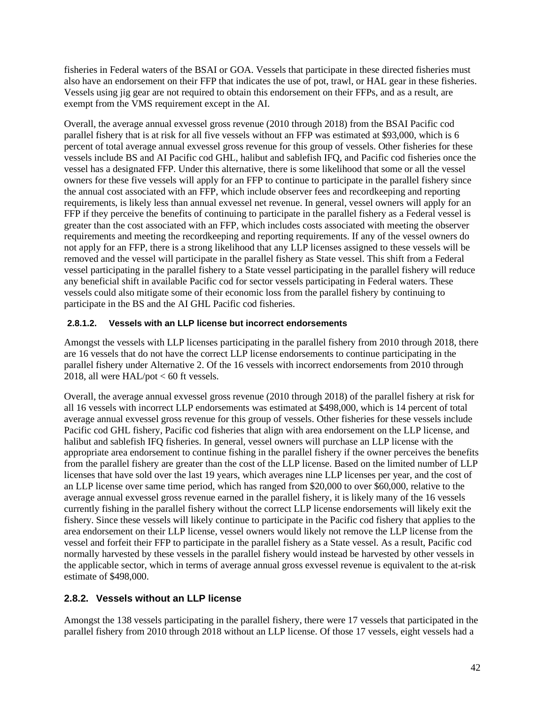fisheries in Federal waters of the BSAI or GOA. Vessels that participate in these directed fisheries must also have an endorsement on their FFP that indicates the use of pot, trawl, or HAL gear in these fisheries. Vessels using jig gear are not required to obtain this endorsement on their FFPs, and as a result, are exempt from the VMS requirement except in the AI.

Overall, the average annual exvessel gross revenue (2010 through 2018) from the BSAI Pacific cod parallel fishery that is at risk for all five vessels without an FFP was estimated at \$93,000, which is 6 percent of total average annual exvessel gross revenue for this group of vessels. Other fisheries for these vessels include BS and AI Pacific cod GHL, halibut and sablefish IFQ, and Pacific cod fisheries once the vessel has a designated FFP. Under this alternative, there is some likelihood that some or all the vessel owners for these five vessels will apply for an FFP to continue to participate in the parallel fishery since the annual cost associated with an FFP, which include observer fees and recordkeeping and reporting requirements, is likely less than annual exvessel net revenue. In general, vessel owners will apply for an FFP if they perceive the benefits of continuing to participate in the parallel fishery as a Federal vessel is greater than the cost associated with an FFP, which includes costs associated with meeting the observer requirements and meeting the recordkeeping and reporting requirements. If any of the vessel owners do not apply for an FFP, there is a strong likelihood that any LLP licenses assigned to these vessels will be removed and the vessel will participate in the parallel fishery as State vessel. This shift from a Federal vessel participating in the parallel fishery to a State vessel participating in the parallel fishery will reduce any beneficial shift in available Pacific cod for sector vessels participating in Federal waters. These vessels could also mitigate some of their economic loss from the parallel fishery by continuing to participate in the BS and the AI GHL Pacific cod fisheries.

### **2.8.1.2. Vessels with an LLP license but incorrect endorsements**

Amongst the vessels with LLP licenses participating in the parallel fishery from 2010 through 2018, there are 16 vessels that do not have the correct LLP license endorsements to continue participating in the parallel fishery under Alternative 2. Of the 16 vessels with incorrect endorsements from 2010 through 2018, all were HAL/pot < 60 ft vessels.

Overall, the average annual exvessel gross revenue (2010 through 2018) of the parallel fishery at risk for all 16 vessels with incorrect LLP endorsements was estimated at \$498,000, which is 14 percent of total average annual exvessel gross revenue for this group of vessels. Other fisheries for these vessels include Pacific cod GHL fishery, Pacific cod fisheries that align with area endorsement on the LLP license, and halibut and sablefish IFQ fisheries. In general, vessel owners will purchase an LLP license with the appropriate area endorsement to continue fishing in the parallel fishery if the owner perceives the benefits from the parallel fishery are greater than the cost of the LLP license. Based on the limited number of LLP licenses that have sold over the last 19 years, which averages nine LLP licenses per year, and the cost of an LLP license over same time period, which has ranged from \$20,000 to over \$60,000, relative to the average annual exvessel gross revenue earned in the parallel fishery, it is likely many of the 16 vessels currently fishing in the parallel fishery without the correct LLP license endorsements will likely exit the fishery. Since these vessels will likely continue to participate in the Pacific cod fishery that applies to the area endorsement on their LLP license, vessel owners would likely not remove the LLP license from the vessel and forfeit their FFP to participate in the parallel fishery as a State vessel. As a result, Pacific cod normally harvested by these vessels in the parallel fishery would instead be harvested by other vessels in the applicable sector, which in terms of average annual gross exvessel revenue is equivalent to the at-risk estimate of \$498,000.

### <span id="page-41-0"></span>**2.8.2. Vessels without an LLP license**

Amongst the 138 vessels participating in the parallel fishery, there were 17 vessels that participated in the parallel fishery from 2010 through 2018 without an LLP license. Of those 17 vessels, eight vessels had a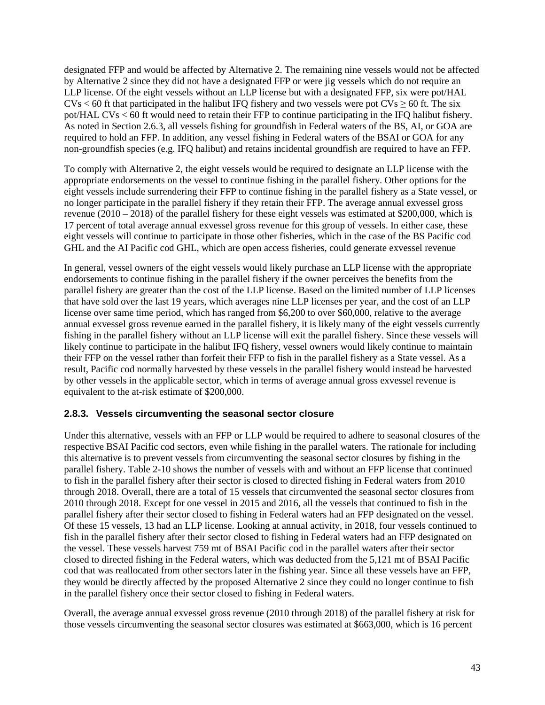designated FFP and would be affected by Alternative 2. The remaining nine vessels would not be affected by Alternative 2 since they did not have a designated FFP or were jig vessels which do not require an LLP license. Of the eight vessels without an LLP license but with a designated FFP, six were pot/HAL  $CVs < 60$  ft that participated in the halibut IFQ fishery and two vessels were pot  $CVs \ge 60$  ft. The six pot/HAL CVs < 60 ft would need to retain their FFP to continue participating in the IFQ halibut fishery. As noted in Section [2.6.3,](#page-21-0) all vessels fishing for groundfish in Federal waters of the BS, AI, or GOA are required to hold an FFP. In addition, any vessel fishing in Federal waters of the BSAI or GOA for any non-groundfish species (e.g. IFQ halibut) and retains incidental groundfish are required to have an FFP.

To comply with Alternative 2, the eight vessels would be required to designate an LLP license with the appropriate endorsements on the vessel to continue fishing in the parallel fishery. Other options for the eight vessels include surrendering their FFP to continue fishing in the parallel fishery as a State vessel, or no longer participate in the parallel fishery if they retain their FFP. The average annual exvessel gross revenue (2010 – 2018) of the parallel fishery for these eight vessels was estimated at \$200,000, which is 17 percent of total average annual exvessel gross revenue for this group of vessels. In either case, these eight vessels will continue to participate in those other fisheries, which in the case of the BS Pacific cod GHL and the AI Pacific cod GHL, which are open access fisheries, could generate exvessel revenue

In general, vessel owners of the eight vessels would likely purchase an LLP license with the appropriate endorsements to continue fishing in the parallel fishery if the owner perceives the benefits from the parallel fishery are greater than the cost of the LLP license. Based on the limited number of LLP licenses that have sold over the last 19 years, which averages nine LLP licenses per year, and the cost of an LLP license over same time period, which has ranged from \$6,200 to over \$60,000, relative to the average annual exvessel gross revenue earned in the parallel fishery, it is likely many of the eight vessels currently fishing in the parallel fishery without an LLP license will exit the parallel fishery. Since these vessels will likely continue to participate in the halibut IFQ fishery, vessel owners would likely continue to maintain their FFP on the vessel rather than forfeit their FFP to fish in the parallel fishery as a State vessel. As a result, Pacific cod normally harvested by these vessels in the parallel fishery would instead be harvested by other vessels in the applicable sector, which in terms of average annual gross exvessel revenue is equivalent to the at-risk estimate of \$200,000.

### <span id="page-42-0"></span>**2.8.3. Vessels circumventing the seasonal sector closure**

Under this alternative, vessels with an FFP or LLP would be required to adhere to seasonal closures of the respective BSAI Pacific cod sectors, even while fishing in the parallel waters. The rationale for including this alternative is to prevent vessels from circumventing the seasonal sector closures by fishing in the parallel fishery. [Table 2-10](#page-43-1) shows the number of vessels with and without an FFP license that continued to fish in the parallel fishery after their sector is closed to directed fishing in Federal waters from 2010 through 2018. Overall, there are a total of 15 vessels that circumvented the seasonal sector closures from 2010 through 2018. Except for one vessel in 2015 and 2016, all the vessels that continued to fish in the parallel fishery after their sector closed to fishing in Federal waters had an FFP designated on the vessel. Of these 15 vessels, 13 had an LLP license. Looking at annual activity, in 2018, four vessels continued to fish in the parallel fishery after their sector closed to fishing in Federal waters had an FFP designated on the vessel. These vessels harvest 759 mt of BSAI Pacific cod in the parallel waters after their sector closed to directed fishing in the Federal waters, which was deducted from the 5,121 mt of BSAI Pacific cod that was reallocated from other sectors later in the fishing year. Since all these vessels have an FFP, they would be directly affected by the proposed Alternative 2 since they could no longer continue to fish in the parallel fishery once their sector closed to fishing in Federal waters.

Overall, the average annual exvessel gross revenue (2010 through 2018) of the parallel fishery at risk for those vessels circumventing the seasonal sector closures was estimated at \$663,000, which is 16 percent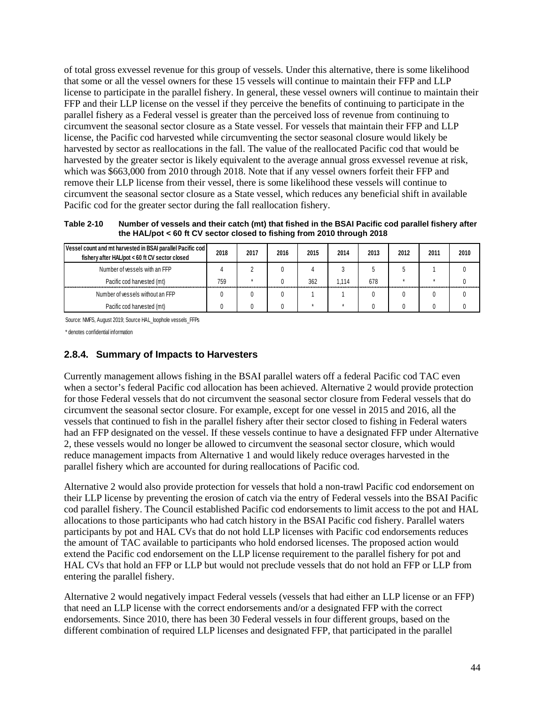of total gross exvessel revenue for this group of vessels. Under this alternative, there is some likelihood that some or all the vessel owners for these 15 vessels will continue to maintain their FFP and LLP license to participate in the parallel fishery. In general, these vessel owners will continue to maintain their FFP and their LLP license on the vessel if they perceive the benefits of continuing to participate in the parallel fishery as a Federal vessel is greater than the perceived loss of revenue from continuing to circumvent the seasonal sector closure as a State vessel. For vessels that maintain their FFP and LLP license, the Pacific cod harvested while circumventing the sector seasonal closure would likely be harvested by sector as reallocations in the fall. The value of the reallocated Pacific cod that would be harvested by the greater sector is likely equivalent to the average annual gross exvessel revenue at risk, which was \$663,000 from 2010 through 2018. Note that if any vessel owners forfeit their FFP and remove their LLP license from their vessel, there is some likelihood these vessels will continue to circumvent the seasonal sector closure as a State vessel, which reduces any beneficial shift in available Pacific cod for the greater sector during the fall reallocation fishery.

<span id="page-43-1"></span>**Table 2-10 Number of vessels and their catch (mt) that fished in the BSAI Pacific cod parallel fishery after the HAL/pot < 60 ft CV sector closed to fishing from 2010 through 2018** 

| Vessel count and mt harvested in BSAI parallel Pacific cod<br>fishery after HAL/pot < 60 ft CV sector closed | 2018 | 2017 | 2016 | 2015 | 2014  | 2013 | 2012 | 2011 | 2010 |
|--------------------------------------------------------------------------------------------------------------|------|------|------|------|-------|------|------|------|------|
| Number of vessels with an FFP                                                                                |      |      |      |      |       |      |      |      |      |
| Pacific cod harvested (mt)                                                                                   | 759  |      |      | 362  | 1.114 | 678  |      |      |      |
| Number of vessels without an FFP                                                                             |      |      |      |      |       |      |      |      |      |
| Pacific cod harvested (mt)                                                                                   |      |      |      |      |       |      |      |      |      |

Source: NMFS, August 2019; Source HAL\_loophole vessels\_FFPs

<span id="page-43-0"></span>\* denotes confidential information

### **2.8.4. Summary of Impacts to Harvesters**

Currently management allows fishing in the BSAI parallel waters off a federal Pacific cod TAC even when a sector's federal Pacific cod allocation has been achieved. Alternative 2 would provide protection for those Federal vessels that do not circumvent the seasonal sector closure from Federal vessels that do circumvent the seasonal sector closure. For example, except for one vessel in 2015 and 2016, all the vessels that continued to fish in the parallel fishery after their sector closed to fishing in Federal waters had an FFP designated on the vessel. If these vessels continue to have a designated FFP under Alternative 2, these vessels would no longer be allowed to circumvent the seasonal sector closure, which would reduce management impacts from Alternative 1 and would likely reduce overages harvested in the parallel fishery which are accounted for during reallocations of Pacific cod.

Alternative 2 would also provide protection for vessels that hold a non-trawl Pacific cod endorsement on their LLP license by preventing the erosion of catch via the entry of Federal vessels into the BSAI Pacific cod parallel fishery. The Council established Pacific cod endorsements to limit access to the pot and HAL allocations to those participants who had catch history in the BSAI Pacific cod fishery. Parallel waters participants by pot and HAL CVs that do not hold LLP licenses with Pacific cod endorsements reduces the amount of TAC available to participants who hold endorsed licenses. The proposed action would extend the Pacific cod endorsement on the LLP license requirement to the parallel fishery for pot and HAL CVs that hold an FFP or LLP but would not preclude vessels that do not hold an FFP or LLP from entering the parallel fishery.

Alternative 2 would negatively impact Federal vessels (vessels that had either an LLP license or an FFP) that need an LLP license with the correct endorsements and/or a designated FFP with the correct endorsements. Since 2010, there has been 30 Federal vessels in four different groups, based on the different combination of required LLP licenses and designated FFP, that participated in the parallel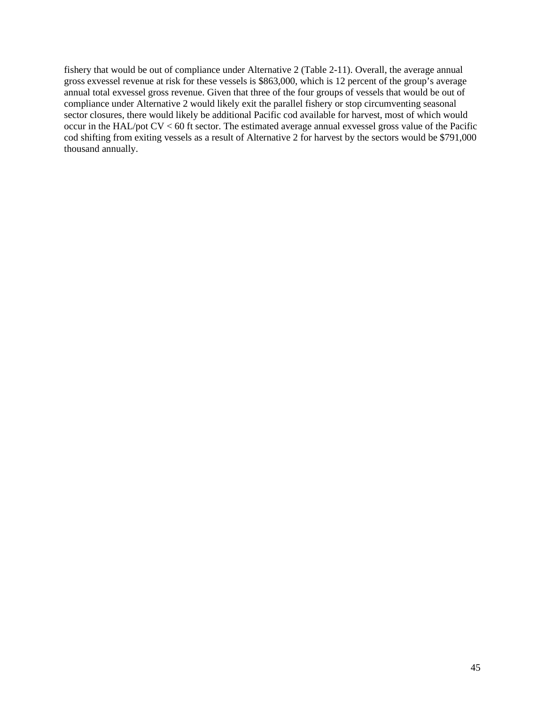fishery that would be out of compliance under Alternative 2 [\(Table 2-11\)](#page-45-0). Overall, the average annual gross exvessel revenue at risk for these vessels is \$863,000, which is 12 percent of the group's average annual total exvessel gross revenue. Given that three of the four groups of vessels that would be out of compliance under Alternative 2 would likely exit the parallel fishery or stop circumventing seasonal sector closures, there would likely be additional Pacific cod available for harvest, most of which would occur in the HAL/pot CV < 60 ft sector. The estimated average annual exvessel gross value of the Pacific cod shifting from exiting vessels as a result of Alternative 2 for harvest by the sectors would be \$791,000 thousand annually.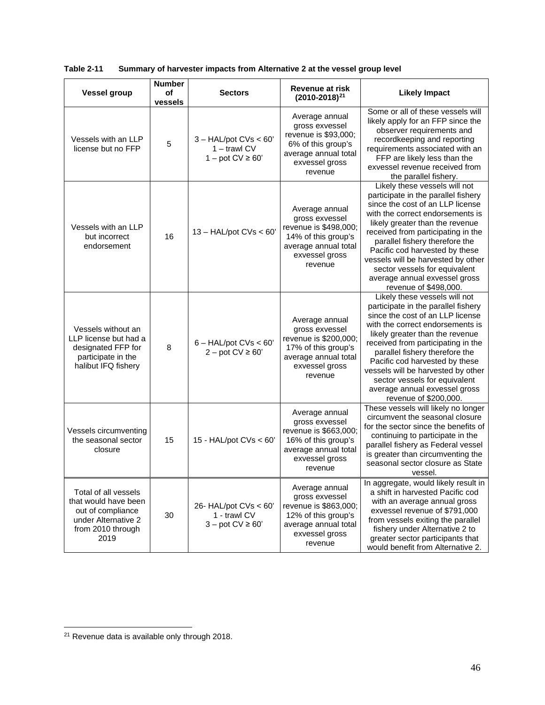| <b>Vessel group</b>                                                                                                   | <b>Number</b><br>οf<br>vessels | <b>Sectors</b>                                                       | <b>Revenue at risk</b><br>$(2010 - 2018)^{21}$                                                                                        | <b>Likely Impact</b>                                                                                                                                                                                                                                                                                                                                                                                                       |
|-----------------------------------------------------------------------------------------------------------------------|--------------------------------|----------------------------------------------------------------------|---------------------------------------------------------------------------------------------------------------------------------------|----------------------------------------------------------------------------------------------------------------------------------------------------------------------------------------------------------------------------------------------------------------------------------------------------------------------------------------------------------------------------------------------------------------------------|
| Vessels with an LLP<br>license but no FFP                                                                             | 5                              | $3 - HAL/pot CVs < 60'$<br>$1 -$ trawl CV<br>$1 -$ pot CV $\geq 60'$ | Average annual<br>gross exvessel<br>revenue is \$93,000;<br>6% of this group's<br>average annual total<br>exvessel gross<br>revenue   | Some or all of these vessels will<br>likely apply for an FFP since the<br>observer requirements and<br>recordkeeping and reporting<br>requirements associated with an<br>FFP are likely less than the<br>exvessel revenue received from<br>the parallel fishery.                                                                                                                                                           |
| Vessels with an LLP<br>but incorrect<br>endorsement                                                                   | 16                             | $13 - HAL/pot CVs < 60'$                                             | Average annual<br>gross exvessel<br>revenue is \$498,000;<br>14% of this group's<br>average annual total<br>exvessel gross<br>revenue | Likely these vessels will not<br>participate in the parallel fishery<br>since the cost of an LLP license<br>with the correct endorsements is<br>likely greater than the revenue<br>received from participating in the<br>parallel fishery therefore the<br>Pacific cod harvested by these<br>vessels will be harvested by other<br>sector vessels for equivalent<br>average annual exvessel gross<br>revenue of \$498,000. |
| Vessels without an<br>LLP license but had a<br>designated FFP for<br>participate in the<br>halibut IFQ fishery        | 8                              | $6 - HAL/pot CVs < 60'$<br>$2 - pot CV \ge 60'$                      | Average annual<br>gross exvessel<br>revenue is \$200,000;<br>17% of this group's<br>average annual total<br>exvessel gross<br>revenue | Likely these vessels will not<br>participate in the parallel fishery<br>since the cost of an LLP license<br>with the correct endorsements is<br>likely greater than the revenue<br>received from participating in the<br>parallel fishery therefore the<br>Pacific cod harvested by these<br>vessels will be harvested by other<br>sector vessels for equivalent<br>average annual exvessel gross<br>revenue of \$200,000. |
| Vessels circumventing<br>the seasonal sector<br>closure                                                               | 15<br>15 - $HAL/pot CVs < 60'$ |                                                                      | Average annual<br>gross exvessel<br>revenue is \$663,000;<br>16% of this group's<br>average annual total<br>exvessel gross<br>revenue | These vessels will likely no longer<br>circumvent the seasonal closure<br>for the sector since the benefits of<br>continuing to participate in the<br>parallel fishery as Federal vessel<br>is greater than circumventing the<br>seasonal sector closure as State<br>vessel.                                                                                                                                               |
| Total of all vessels<br>that would have been<br>out of compliance<br>under Alternative 2<br>from 2010 through<br>2019 | 30                             | 26- HAL/pot CVs < 60'<br>1 - trawl CV<br>$3 - pot CV \ge 60'$        | Average annual<br>gross exvessel<br>revenue is \$863,000;<br>12% of this group's<br>average annual total<br>exvessel gross<br>revenue | In aggregate, would likely result in<br>a shift in harvested Pacific cod<br>with an average annual gross<br>exvessel revenue of \$791,000<br>from vessels exiting the parallel<br>fishery under Alternative 2 to<br>greater sector participants that<br>would benefit from Alternative 2.                                                                                                                                  |

<span id="page-45-0"></span>

| Table 2-11 |  | Summary of harvester impacts from Alternative 2 at the vessel group level |  |
|------------|--|---------------------------------------------------------------------------|--|
|------------|--|---------------------------------------------------------------------------|--|

<span id="page-45-1"></span><sup>21</sup> Revenue data is available only through 2018.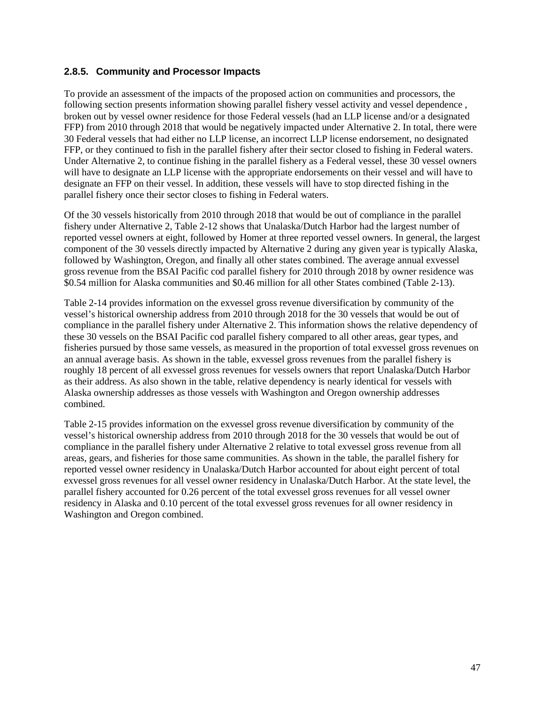### <span id="page-46-0"></span>**2.8.5. Community and Processor Impacts**

To provide an assessment of the impacts of the proposed action on communities and processors, the following section presents information showing parallel fishery vessel activity and vessel dependence , broken out by vessel owner residence for those Federal vessels (had an LLP license and/or a designated FFP) from 2010 through 2018 that would be negatively impacted under Alternative 2. In total, there were 30 Federal vessels that had either no LLP license, an incorrect LLP license endorsement, no designated FFP, or they continued to fish in the parallel fishery after their sector closed to fishing in Federal waters. Under Alternative 2, to continue fishing in the parallel fishery as a Federal vessel, these 30 vessel owners will have to designate an LLP license with the appropriate endorsements on their vessel and will have to designate an FFP on their vessel. In addition, these vessels will have to stop directed fishing in the parallel fishery once their sector closes to fishing in Federal waters.

Of the 30 vessels historically from 2010 through 2018 that would be out of compliance in the parallel fishery under Alternative 2, [Table 2-12](#page-47-0) shows that Unalaska/Dutch Harbor had the largest number of reported vessel owners at eight, followed by Homer at three reported vessel owners. In general, the largest component of the 30 vessels directly impacted by Alternative 2 during any given year is typically Alaska, followed by Washington, Oregon, and finally all other states combined. The average annual exvessel gross revenue from the BSAI Pacific cod parallel fishery for 2010 through 2018 by owner residence was \$0.54 million for Alaska communities and \$0.46 million for all other States combined [\(Table 2-13\)](#page-47-1).

[Table 2-14](#page-47-2) provides information on the exvessel gross revenue diversification by community of the vessel's historical ownership address from 2010 through 2018 for the 30 vessels that would be out of compliance in the parallel fishery under Alternative 2. This information shows the relative dependency of these 30 vessels on the BSAI Pacific cod parallel fishery compared to all other areas, gear types, and fisheries pursued by those same vessels, as measured in the proportion of total exvessel gross revenues on an annual average basis. As shown in the table, exvessel gross revenues from the parallel fishery is roughly 18 percent of all exvessel gross revenues for vessels owners that report Unalaska/Dutch Harbor as their address. As also shown in the table, relative dependency is nearly identical for vessels with Alaska ownership addresses as those vessels with Washington and Oregon ownership addresses combined.

[Table 2-15](#page-48-0) provides information on the exvessel gross revenue diversification by community of the vessel's historical ownership address from 2010 through 2018 for the 30 vessels that would be out of compliance in the parallel fishery under Alternative 2 relative to total exvessel gross revenue from all areas, gears, and fisheries for those same communities. As shown in the table, the parallel fishery for reported vessel owner residency in Unalaska/Dutch Harbor accounted for about eight percent of total exvessel gross revenues for all vessel owner residency in Unalaska/Dutch Harbor. At the state level, the parallel fishery accounted for 0.26 percent of the total exvessel gross revenues for all vessel owner residency in Alaska and 0.10 percent of the total exvessel gross revenues for all owner residency in Washington and Oregon combined.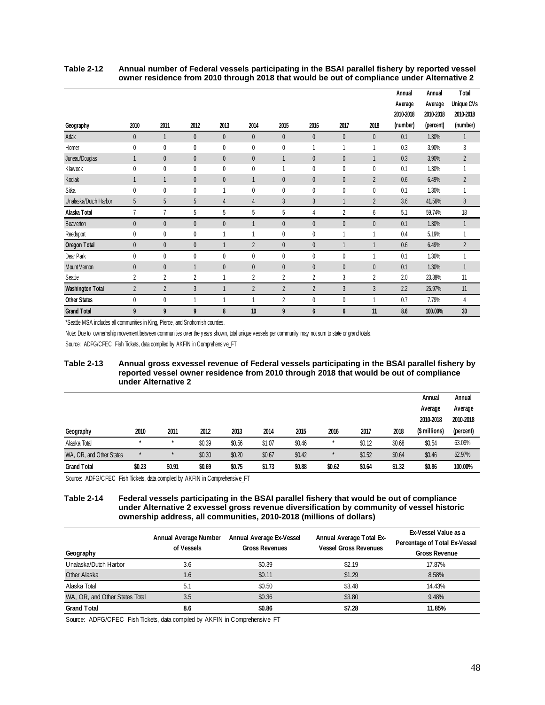| Geography               | 2010           | 2011           | 2012         | 2013         | 2014           | 2015           | 2016           | 2017           | 2018           | Annual<br>Average<br>2010-2018<br>(number) | Annual<br>Average<br>2010-2018<br>(percent) | Total<br>Unique CVs<br>2010-2018<br>(number) |
|-------------------------|----------------|----------------|--------------|--------------|----------------|----------------|----------------|----------------|----------------|--------------------------------------------|---------------------------------------------|----------------------------------------------|
| Adak                    | $\overline{0}$ | 1              | $\theta$     | $\mathbf{0}$ | $\theta$       | $\theta$       | $\overline{0}$ | $\theta$       | $\theta$       | 0.1                                        | 1.30%                                       | $\mathbf{1}$                                 |
| Homer                   | $\mathbf{0}$   | 0              | $\theta$     | 0            | 0              | 0              |                | 1              | 1              | 0.3                                        | 3.90%                                       | 3                                            |
| Juneau/Douglas          |                | $\theta$       | $\theta$     | $\mathbf{0}$ | $\mathbf{0}$   | $\mathbf{1}$   | $\overline{0}$ | $\theta$       | $\mathbf{1}$   | 0.3                                        | 3.90%                                       | $\overline{2}$                               |
| Klawock                 | 0              | $\mathbf 0$    | $\mathbf{0}$ | 0            | 0              | 1              | 0              | 0              | $\mathbf{0}$   | 0.1                                        | 1.30%                                       |                                              |
| Kodiak                  |                | 1              | $\theta$     | $\mathbf 0$  |                | $\theta$       | $\mathbf 0$    | $\mathbf 0$    | $\overline{2}$ | 0.6                                        | 6.49%                                       | $\overline{2}$                               |
| Sitka                   | $\mathbf{0}$   | 0              | 0            |              | 0              | 0              | 0              | $\pmb{0}$      | $\pmb{0}$      | 0.1                                        | 1.30%                                       |                                              |
| Unalaska/Dutch Harbor   | 5              | 5              | 5            | 4            | $\overline{4}$ | $\overline{3}$ | 3              | $\mathbf{1}$   | $\overline{2}$ | 3.6                                        | 41.56%                                      | $\, 8$                                       |
| Alaska Total            | $\overline{1}$ | $\overline{1}$ | 5            | 5            | 5              | 5              | 4              | $\overline{2}$ | 6              | 5.1                                        | 59.74%                                      | 18                                           |
| <b>Beaverton</b>        | $\overline{0}$ | $\pmb{0}$      | $\theta$     | $\mathbf{0}$ |                | $\theta$       | $\overline{0}$ | $\mathbf{0}$   | $\theta$       | 0.1                                        | 1.30%                                       |                                              |
| Reedsport               | 0              | 0              | 0            |              |                | 0              | 0              | 1              | $\overline{1}$ | 0.4                                        | 5.19%                                       |                                              |
| Oregon Total            | $\overline{0}$ | $\bf{0}$       | $\theta$     |              | $\overline{2}$ | $\theta$       | $\overline{0}$ | 1              | $\mathbf{1}$   | 0.6                                        | 6.49%                                       | $\overline{2}$                               |
| Dear Park               | 0              | $\mathbf 0$    | $\mathbf{0}$ | 0            | 0              | 0              | 0              | 0              | $\mathbf{1}$   | 0.1                                        | 1.30%                                       |                                              |
| Mount Vernon            | $\theta$       | $\theta$       | 1            | $\theta$     | $\theta$       | $\theta$       | $\overline{0}$ | $\theta$       | $\theta$       | 0.1                                        | 1.30%                                       | $\mathbf{1}$                                 |
| Seattle                 | 2              | $\overline{2}$ | 2            |              | 2              | 2              | 2              | 3              | $\overline{2}$ | 2.0                                        | 23.38%                                      | 11                                           |
| <b>Washington Total</b> | $\overline{2}$ | $\overline{2}$ | 3            |              | $\overline{2}$ | $\overline{2}$ | $\overline{2}$ | $\overline{3}$ | $\overline{3}$ | 2.2                                        | 25.97%                                      | 11                                           |
| <b>Other States</b>     | 0              | 0              | 1            |              | 1              | $\overline{2}$ | 0              | 0              | $\overline{1}$ | 0.7                                        | 7.79%                                       | 4                                            |
| <b>Grand Total</b>      | 9              | 9              | 9            | 8            | 10             | 9              | 6              | 6              | 11             | 8.6                                        | 100.00%                                     | 30                                           |

#### <span id="page-47-0"></span>**Table 2-12 Annual number of Federal vessels participating in the BSAI parallel fishery by reported vessel owner residence from 2010 through 2018 that would be out of compliance under Alternative 2**

\*Seattle MSA includes all communities in King, Pierce, and Snohomish counties.

Note: Due to ownerhship movement between communities over the years shown, total unique vessels per community may not sum to state or grand totals.

Source: ADFG/CFEC Fish Tickets, data compiled by AKFIN in Comprehensive\_FT

#### <span id="page-47-1"></span>**Table 2-13 Annual gross exvessel revenue of Federal vessels participating in the BSAI parallel fishery by reported vessel owner residence from 2010 through 2018 that would be out of compliance under Alternative 2**

|                          |                  |        |        |        |        |        |         |        |        | Annual        | Annual    |
|--------------------------|------------------|--------|--------|--------|--------|--------|---------|--------|--------|---------------|-----------|
|                          |                  |        |        |        |        |        |         |        |        | Average       | Average   |
|                          |                  |        |        |        |        |        |         |        |        | 2010-2018     | 2010-2018 |
| Geography                | 2010             | 2011   | 2012   | 2013   | 2014   | 2015   | 2016    | 2017   | 2018   | (\$ millions) | (percent) |
| Alaska Total             | ٠                |        | \$0.39 | \$0.56 | \$1.07 | \$0.46 | $\star$ | \$0.12 | \$0.68 | \$0.54        | 63.09%    |
| WA, OR, and Other States | $\ddot{\bullet}$ |        | \$0.30 | \$0.20 | \$0.67 | \$0.42 | $\star$ | \$0.52 | \$0.64 | \$0.46        | 52.97%    |
| <b>Grand Total</b>       | \$0.23           | \$0.91 | \$0.69 | \$0.75 | \$1.73 | \$0.88 | \$0.62  | \$0.64 | \$1.32 | \$0.86        | 100.00%   |

Source: ADFG/CFEC Fish Tickets, data compiled by AKFIN in Comprehensive\_FT

#### <span id="page-47-2"></span>**Table 2-14 Federal vessels participating in the BSAI parallel fishery that would be out of compliance under Alternative 2 exvessel gross revenue diversification by community of vessel historic ownership address, all communities, 2010-2018 (millions of dollars)**

| Geography                      | Annual Average Number<br>of Vessels | Annual Average Ex-Vessel<br><b>Gross Revenues</b> | Annual Average Total Ex-<br><b>Vessel Gross Revenues</b> | Ex-Vessel Value as a<br>Percentage of Total Ex-Vessel<br><b>Gross Revenue</b> |
|--------------------------------|-------------------------------------|---------------------------------------------------|----------------------------------------------------------|-------------------------------------------------------------------------------|
| Unalaska/Dutch Harbor          | 3.6                                 | \$0.39                                            | \$2.19                                                   | 17.87%                                                                        |
| Other Alaska                   | 1.6                                 | \$0.11                                            | \$1.29                                                   | 8.58%                                                                         |
| Alaska Total                   | 5.1                                 | \$0.50                                            | \$3.48                                                   | 14.43%                                                                        |
| WA, OR, and Other States Total | 3.5                                 | \$0.36                                            | \$3.80                                                   | 9.48%                                                                         |
| <b>Grand Total</b>             | 8.6                                 | \$0.86                                            | \$7.28                                                   | 11.85%                                                                        |

Source: ADFG/CFEC Fish Tickets, data compiled by AKFIN in Comprehensive\_FT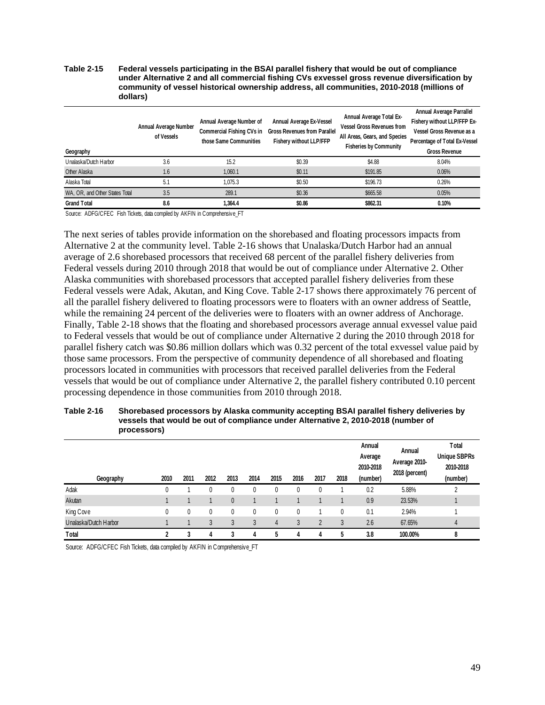#### <span id="page-48-0"></span>**Table 2-15 Federal vessels participating in the BSAI parallel fishery that would be out of compliance under Alternative 2 and all commercial fishing CVs exvessel gross revenue diversification by community of vessel historical ownership address, all communities, 2010-2018 (millions of dollars)**

| Geography                      | Annual Average Number<br>of Vessels | Annual Average Number of<br>Commercial Fishing CVs in<br>those Same Communities | Annual Average Ex-Vessel<br><b>Gross Revenues from Parallel</b><br>Fishery without LLP/FFP | Annual Average Total Ex-<br><b>Vessel Gross Revenues from</b><br>All Areas, Gears, and Species<br><b>Fisheries by Community</b> | Annual Average Parrallel<br>Fishery without LLP/FFP Ex-<br>Vessel Gross Revenue as a<br>Percentage of Total Ex-Vessel<br><b>Gross Revenue</b> |
|--------------------------------|-------------------------------------|---------------------------------------------------------------------------------|--------------------------------------------------------------------------------------------|---------------------------------------------------------------------------------------------------------------------------------|-----------------------------------------------------------------------------------------------------------------------------------------------|
| Unalaska/Dutch Harbor          | 3.6                                 | 15.2                                                                            | \$0.39                                                                                     | \$4.88                                                                                                                          | 8.04%                                                                                                                                         |
| Other Alaska                   | 1.6                                 | 1.060.1                                                                         | \$0.11                                                                                     | \$191.85                                                                                                                        | 0.06%                                                                                                                                         |
| Alaska Total                   | 5.1                                 | 1.075.3                                                                         | \$0.50                                                                                     | \$196.73                                                                                                                        | 0.26%                                                                                                                                         |
| WA, OR, and Other States Total | 3.5                                 | 289.1                                                                           | \$0.36                                                                                     | \$665.58                                                                                                                        | 0.05%                                                                                                                                         |
| <b>Grand Total</b>             | 8.6                                 | 1.364.4                                                                         | \$0.86                                                                                     | \$862.31                                                                                                                        | 0.10%                                                                                                                                         |

Source: ADFG/CFEC Fish Tickets, data compiled by AKFIN in Comprehensive\_FT

The next series of tables provide information on the shorebased and floating processors impacts from Alternative 2 at the community level. [Table 2-16](#page-48-1) shows that Unalaska/Dutch Harbor had an annual average of 2.6 shorebased processors that received 68 percent of the parallel fishery deliveries from Federal vessels during 2010 through 2018 that would be out of compliance under Alternative 2. Other Alaska communities with shorebased processors that accepted parallel fishery deliveries from these Federal vessels were Adak, Akutan, and King Cove. [Table 2-17](#page-49-1) shows there approximately 76 percent of all the parallel fishery delivered to floating processors were to floaters with an owner address of Seattle, while the remaining 24 percent of the deliveries were to floaters with an owner address of Anchorage. Finally[, Table 2-18](#page-49-2) shows that the floating and shorebased processors average annual exvessel value paid to Federal vessels that would be out of compliance under Alternative 2 during the 2010 through 2018 for parallel fishery catch was \$0.86 million dollars which was 0.32 percent of the total exvessel value paid by those same processors. From the perspective of community dependence of all shorebased and floating processors located in communities with processors that received parallel deliveries from the Federal vessels that would be out of compliance under Alternative 2, the parallel fishery contributed 0.10 percent processing dependence in those communities from 2010 through 2018.

#### <span id="page-48-1"></span>**Table 2-16 Shorebased processors by Alaska community accepting BSAI parallel fishery deliveries by vessels that would be out of compliance under Alternative 2, 2010-2018 (number of processors)**

| Geography             | 2010 | 2011 | 2012 | 2013     | 2014 | 2015           | 2016 | 2017     | 2018 | Annual<br>Average<br>2010-2018<br>(number) | Annual<br>Average 2010-<br>2018 (percent) | Total<br><b>Unique SBPRs</b><br>2010-2018<br>(number) |
|-----------------------|------|------|------|----------|------|----------------|------|----------|------|--------------------------------------------|-------------------------------------------|-------------------------------------------------------|
| Adak                  | 0    |      | 0    | 0        | 0    | 0              | 0    | 0        |      | 0.2                                        | 5.88%                                     | າ                                                     |
| Akutan                |      |      |      | $\theta$ |      |                |      |          |      | 0.9                                        | 23.53%                                    |                                                       |
| King Cove             | 0    | 0    | 0    | 0        | 0    | 0              | 0    |          | 0    | 0.1                                        | 2.94%                                     |                                                       |
| Unalaska/Dutch Harbor |      |      | 3    | 3        | 3    | $\overline{4}$ | 3    | $\gamma$ | 3    | 2.6                                        | 67.65%                                    | 4                                                     |
| Total                 | ኅ    |      | 4    |          | 4    | 5              |      | 4        | b    | 3.8                                        | 100.00%                                   | 8                                                     |

Source: ADFG/CFEC Fish Tickets, data compiled by AKFIN in Comprehensive\_FT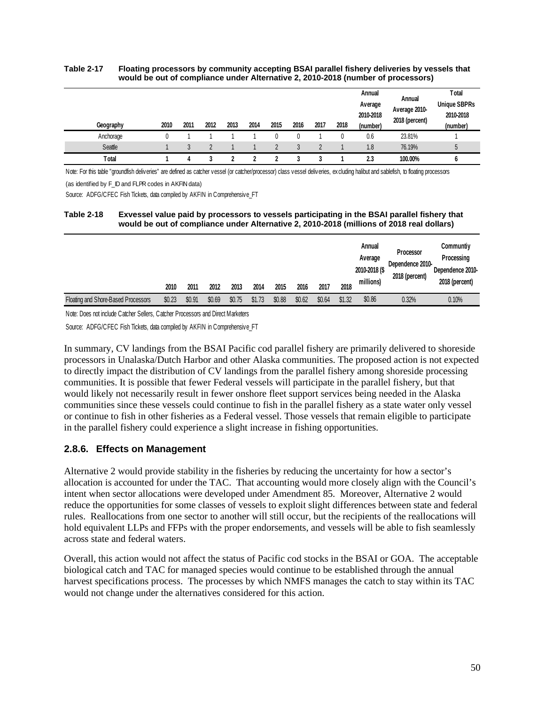#### <span id="page-49-1"></span>**Table 2-17 Floating processors by community accepting BSAI parallel fishery deliveries by vessels that would be out of compliance under Alternative 2, 2010-2018 (number of processors)**

| Geography | 2010 | 2011 | 2012 | 2013 | 2014 | 2015 | 2016 | 2017 | 2018 | Annual<br>Average<br>2010-2018<br>(number) | Annual<br>Average 2010-<br>2018 (percent) | Total<br><b>Unique SBPRs</b><br>2010-2018<br>(number) |
|-----------|------|------|------|------|------|------|------|------|------|--------------------------------------------|-------------------------------------------|-------------------------------------------------------|
| Anchorage | 0    |      |      |      |      |      |      |      |      | 0.6                                        | 23.81%                                    |                                                       |
| Seattle   |      |      |      |      |      |      |      |      |      | 1.8                                        | 76.19%                                    |                                                       |
| Total     |      |      |      |      |      |      |      |      |      | 2.3                                        | 100.00%                                   |                                                       |

Note: For this table "groundfish deliveries" are defined as catcher vessel (or catcher/processor) class vessel deliveries, excluding halibut and sablefish, to floating processors

(as identified by F\_ID and FLPR codes in AKFIN data)

Source: ADFG/CFEC Fish Tickets, data compiled by AKFIN in Comprehensive\_FT

#### <span id="page-49-2"></span>**Table 2-18 Exvessel value paid by processors to vessels participating in the BSAI parallel fishery that would be out of compliance under Alternative 2, 2010-2018 (millions of 2018 real dollars)**

|                                     | 2010   | 2011   | 2012   | 2013   | 2014   | 2015   | 2016   | 2017   | 2018   | Annual<br>Average<br>2010-2018 (\$<br>millions) | Processor<br>Dependence 2010-<br>2018 (percent) | Communtiy<br>Processing<br>Dependence 2010-<br>2018 (percent) |
|-------------------------------------|--------|--------|--------|--------|--------|--------|--------|--------|--------|-------------------------------------------------|-------------------------------------------------|---------------------------------------------------------------|
| Floating and Shore-Based Processors | \$0.23 | \$0.91 | \$0.69 | \$0.75 | \$1.73 | \$0.88 | \$0.62 | \$0.64 | \$1.32 | \$0.86                                          | 0.32%                                           | 0.10%                                                         |

Note: Does not include Catcher Sellers, Catcher Processors and Direct Marketers

Source: ADFG/CFEC Fish Tickets, data compiled by AKFIN in Comprehensive\_FT

In summary, CV landings from the BSAI Pacific cod parallel fishery are primarily delivered to shoreside processors in Unalaska/Dutch Harbor and other Alaska communities. The proposed action is not expected to directly impact the distribution of CV landings from the parallel fishery among shoreside processing communities. It is possible that fewer Federal vessels will participate in the parallel fishery, but that would likely not necessarily result in fewer onshore fleet support services being needed in the Alaska communities since these vessels could continue to fish in the parallel fishery as a state water only vessel or continue to fish in other fisheries as a Federal vessel. Those vessels that remain eligible to participate in the parallel fishery could experience a slight increase in fishing opportunities.

### <span id="page-49-0"></span>**2.8.6. Effects on Management**

Alternative 2 would provide stability in the fisheries by reducing the uncertainty for how a sector's allocation is accounted for under the TAC. That accounting would more closely align with the Council's intent when sector allocations were developed under Amendment 85. Moreover, Alternative 2 would reduce the opportunities for some classes of vessels to exploit slight differences between state and federal rules. Reallocations from one sector to another will still occur, but the recipients of the reallocations will hold equivalent LLPs and FFPs with the proper endorsements, and vessels will be able to fish seamlessly across state and federal waters.

Overall, this action would not affect the status of Pacific cod stocks in the BSAI or GOA. The acceptable biological catch and TAC for managed species would continue to be established through the annual harvest specifications process. The processes by which NMFS manages the catch to stay within its TAC would not change under the alternatives considered for this action.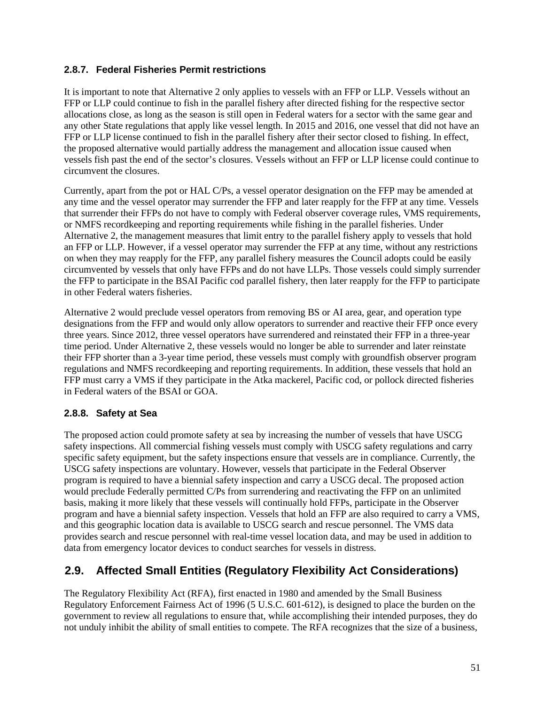### <span id="page-50-0"></span>**2.8.7. Federal Fisheries Permit restrictions**

It is important to note that Alternative 2 only applies to vessels with an FFP or LLP. Vessels without an FFP or LLP could continue to fish in the parallel fishery after directed fishing for the respective sector allocations close, as long as the season is still open in Federal waters for a sector with the same gear and any other State regulations that apply like vessel length. In 2015 and 2016, one vessel that did not have an FFP or LLP license continued to fish in the parallel fishery after their sector closed to fishing. In effect, the proposed alternative would partially address the management and allocation issue caused when vessels fish past the end of the sector's closures. Vessels without an FFP or LLP license could continue to circumvent the closures.

Currently, apart from the pot or HAL C/Ps, a vessel operator designation on the FFP may be amended at any time and the vessel operator may surrender the FFP and later reapply for the FFP at any time. Vessels that surrender their FFPs do not have to comply with Federal observer coverage rules, VMS requirements, or NMFS recordkeeping and reporting requirements while fishing in the parallel fisheries. Under Alternative 2, the management measures that limit entry to the parallel fishery apply to vessels that hold an FFP or LLP. However, if a vessel operator may surrender the FFP at any time, without any restrictions on when they may reapply for the FFP, any parallel fishery measures the Council adopts could be easily circumvented by vessels that only have FFPs and do not have LLPs. Those vessels could simply surrender the FFP to participate in the BSAI Pacific cod parallel fishery, then later reapply for the FFP to participate in other Federal waters fisheries.

Alternative 2 would preclude vessel operators from removing BS or AI area, gear, and operation type designations from the FFP and would only allow operators to surrender and reactive their FFP once every three years. Since 2012, three vessel operators have surrendered and reinstated their FFP in a three-year time period. Under Alternative 2, these vessels would no longer be able to surrender and later reinstate their FFP shorter than a 3-year time period, these vessels must comply with groundfish observer program regulations and NMFS recordkeeping and reporting requirements. In addition, these vessels that hold an FFP must carry a VMS if they participate in the Atka mackerel, Pacific cod, or pollock directed fisheries in Federal waters of the BSAI or GOA.

### <span id="page-50-1"></span>**2.8.8. Safety at Sea**

The proposed action could promote safety at sea by increasing the number of vessels that have USCG safety inspections. All commercial fishing vessels must comply with USCG safety regulations and carry specific safety equipment, but the safety inspections ensure that vessels are in compliance. Currently, the USCG safety inspections are voluntary. However, vessels that participate in the Federal Observer program is required to have a biennial safety inspection and carry a USCG decal. The proposed action would preclude Federally permitted C/Ps from surrendering and reactivating the FFP on an unlimited basis, making it more likely that these vessels will continually hold FFPs, participate in the Observer program and have a biennial safety inspection. Vessels that hold an FFP are also required to carry a VMS, and this geographic location data is available to USCG search and rescue personnel. The VMS data provides search and rescue personnel with real-time vessel location data, and may be used in addition to data from emergency locator devices to conduct searches for vessels in distress.

## <span id="page-50-2"></span>**2.9. Affected Small Entities (Regulatory Flexibility Act Considerations)**

The Regulatory Flexibility Act (RFA), first enacted in 1980 and amended by the Small Business Regulatory Enforcement Fairness Act of 1996 (5 U.S.C. 601-612), is designed to place the burden on the government to review all regulations to ensure that, while accomplishing their intended purposes, they do not unduly inhibit the ability of small entities to compete. The RFA recognizes that the size of a business,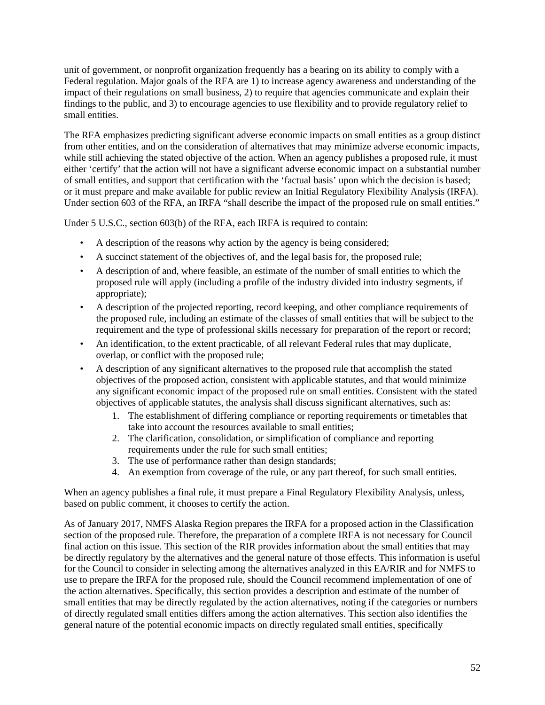unit of government, or nonprofit organization frequently has a bearing on its ability to comply with a Federal regulation. Major goals of the RFA are 1) to increase agency awareness and understanding of the impact of their regulations on small business, 2) to require that agencies communicate and explain their findings to the public, and 3) to encourage agencies to use flexibility and to provide regulatory relief to small entities.

The RFA emphasizes predicting significant adverse economic impacts on small entities as a group distinct from other entities, and on the consideration of alternatives that may minimize adverse economic impacts, while still achieving the stated objective of the action. When an agency publishes a proposed rule, it must either 'certify' that the action will not have a significant adverse economic impact on a substantial number of small entities, and support that certification with the 'factual basis' upon which the decision is based; or it must prepare and make available for public review an Initial Regulatory Flexibility Analysis (IRFA). Under section 603 of the RFA, an IRFA "shall describe the impact of the proposed rule on small entities."

Under 5 U.S.C., section 603(b) of the RFA, each IRFA is required to contain:

- A description of the reasons why action by the agency is being considered;
- A succinct statement of the objectives of, and the legal basis for, the proposed rule;
- A description of and, where feasible, an estimate of the number of small entities to which the proposed rule will apply (including a profile of the industry divided into industry segments, if appropriate);
- A description of the projected reporting, record keeping, and other compliance requirements of the proposed rule, including an estimate of the classes of small entities that will be subject to the requirement and the type of professional skills necessary for preparation of the report or record;
- An identification, to the extent practicable, of all relevant Federal rules that may duplicate, overlap, or conflict with the proposed rule;
- A description of any significant alternatives to the proposed rule that accomplish the stated objectives of the proposed action, consistent with applicable statutes, and that would minimize any significant economic impact of the proposed rule on small entities. Consistent with the stated objectives of applicable statutes, the analysis shall discuss significant alternatives, such as:
	- 1. The establishment of differing compliance or reporting requirements or timetables that take into account the resources available to small entities;
	- 2. The clarification, consolidation, or simplification of compliance and reporting requirements under the rule for such small entities;
	- 3. The use of performance rather than design standards;
	- 4. An exemption from coverage of the rule, or any part thereof, for such small entities.

When an agency publishes a final rule, it must prepare a Final Regulatory Flexibility Analysis, unless, based on public comment, it chooses to certify the action.

As of January 2017, NMFS Alaska Region prepares the IRFA for a proposed action in the Classification section of the proposed rule. Therefore, the preparation of a complete IRFA is not necessary for Council final action on this issue. This section of the RIR provides information about the small entities that may be directly regulatory by the alternatives and the general nature of those effects. This information is useful for the Council to consider in selecting among the alternatives analyzed in this EA/RIR and for NMFS to use to prepare the IRFA for the proposed rule, should the Council recommend implementation of one of the action alternatives. Specifically, this section provides a description and estimate of the number of small entities that may be directly regulated by the action alternatives, noting if the categories or numbers of directly regulated small entities differs among the action alternatives. This section also identifies the general nature of the potential economic impacts on directly regulated small entities, specifically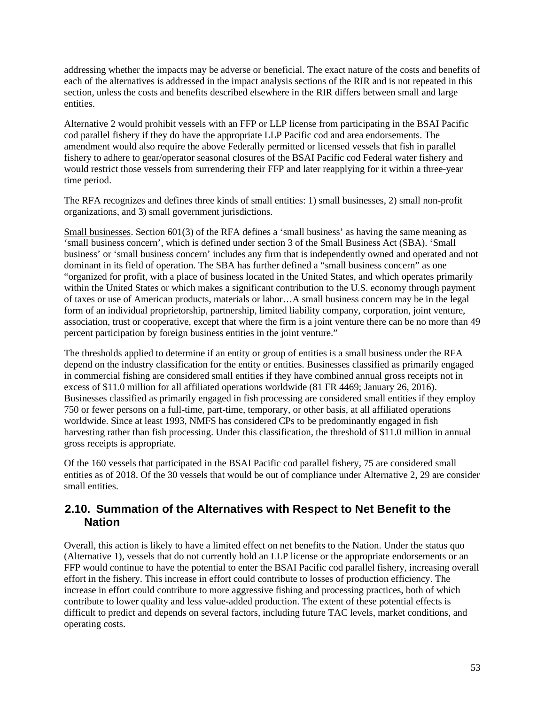addressing whether the impacts may be adverse or beneficial. The exact nature of the costs and benefits of each of the alternatives is addressed in the impact analysis sections of the RIR and is not repeated in this section, unless the costs and benefits described elsewhere in the RIR differs between small and large entities.

Alternative 2 would prohibit vessels with an FFP or LLP license from participating in the BSAI Pacific cod parallel fishery if they do have the appropriate LLP Pacific cod and area endorsements. The amendment would also require the above Federally permitted or licensed vessels that fish in parallel fishery to adhere to gear/operator seasonal closures of the BSAI Pacific cod Federal water fishery and would restrict those vessels from surrendering their FFP and later reapplying for it within a three-year time period.

The RFA recognizes and defines three kinds of small entities: 1) small businesses, 2) small non-profit organizations, and 3) small government jurisdictions.

Small businesses. Section 601(3) of the RFA defines a 'small business' as having the same meaning as 'small business concern', which is defined under section 3 of the Small Business Act (SBA). 'Small business' or 'small business concern' includes any firm that is independently owned and operated and not dominant in its field of operation. The SBA has further defined a "small business concern" as one "organized for profit, with a place of business located in the United States, and which operates primarily within the United States or which makes a significant contribution to the U.S. economy through payment of taxes or use of American products, materials or labor…A small business concern may be in the legal form of an individual proprietorship, partnership, limited liability company, corporation, joint venture, association, trust or cooperative, except that where the firm is a joint venture there can be no more than 49 percent participation by foreign business entities in the joint venture."

The thresholds applied to determine if an entity or group of entities is a small business under the RFA depend on the industry classification for the entity or entities. Businesses classified as primarily engaged in commercial fishing are considered small entities if they have combined annual gross receipts not in excess of \$11.0 million for all affiliated operations worldwide (81 FR 4469; January 26, 2016). Businesses classified as primarily engaged in fish processing are considered small entities if they employ 750 or fewer persons on a full-time, part-time, temporary, or other basis, at all affiliated operations worldwide. Since at least 1993, NMFS has considered CPs to be predominantly engaged in fish harvesting rather than fish processing. Under this classification, the threshold of \$11.0 million in annual gross receipts is appropriate.

Of the 160 vessels that participated in the BSAI Pacific cod parallel fishery, 75 are considered small entities as of 2018. Of the 30 vessels that would be out of compliance under Alternative 2, 29 are consider small entities.

### <span id="page-52-0"></span>**2.10. Summation of the Alternatives with Respect to Net Benefit to the Nation**

Overall, this action is likely to have a limited effect on net benefits to the Nation. Under the status quo (Alternative 1), vessels that do not currently hold an LLP license or the appropriate endorsements or an FFP would continue to have the potential to enter the BSAI Pacific cod parallel fishery, increasing overall effort in the fishery. This increase in effort could contribute to losses of production efficiency. The increase in effort could contribute to more aggressive fishing and processing practices, both of which contribute to lower quality and less value-added production. The extent of these potential effects is difficult to predict and depends on several factors, including future TAC levels, market conditions, and operating costs.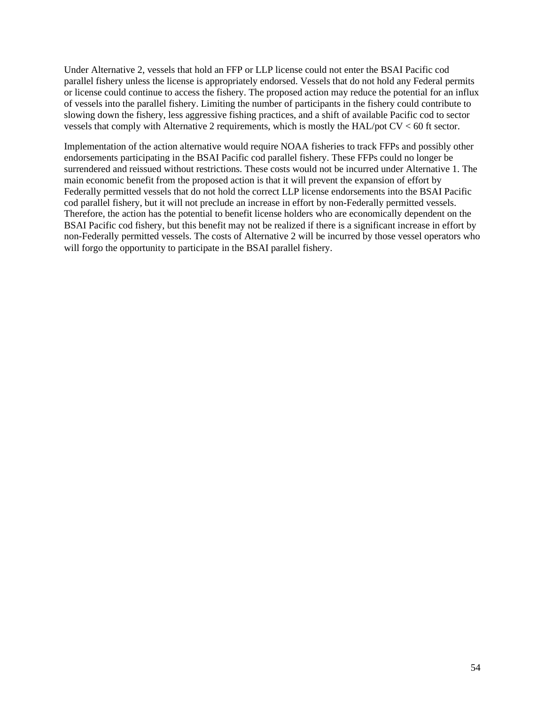Under Alternative 2, vessels that hold an FFP or LLP license could not enter the BSAI Pacific cod parallel fishery unless the license is appropriately endorsed. Vessels that do not hold any Federal permits or license could continue to access the fishery. The proposed action may reduce the potential for an influx of vessels into the parallel fishery. Limiting the number of participants in the fishery could contribute to slowing down the fishery, less aggressive fishing practices, and a shift of available Pacific cod to sector vessels that comply with Alternative 2 requirements, which is mostly the HAL/pot CV < 60 ft sector.

Implementation of the action alternative would require NOAA fisheries to track FFPs and possibly other endorsements participating in the BSAI Pacific cod parallel fishery. These FFPs could no longer be surrendered and reissued without restrictions. These costs would not be incurred under Alternative 1. The main economic benefit from the proposed action is that it will prevent the expansion of effort by Federally permitted vessels that do not hold the correct LLP license endorsements into the BSAI Pacific cod parallel fishery, but it will not preclude an increase in effort by non-Federally permitted vessels. Therefore, the action has the potential to benefit license holders who are economically dependent on the BSAI Pacific cod fishery, but this benefit may not be realized if there is a significant increase in effort by non-Federally permitted vessels. The costs of Alternative 2 will be incurred by those vessel operators who will forgo the opportunity to participate in the BSAI parallel fishery.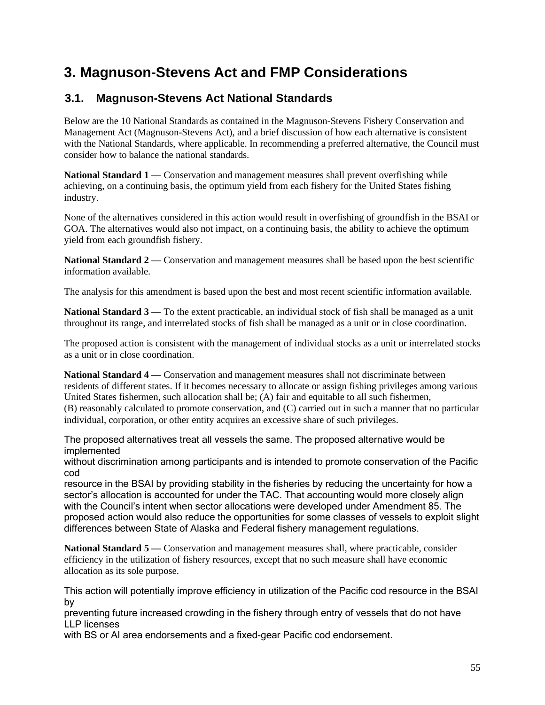# <span id="page-54-0"></span>**3. Magnuson-Stevens Act and FMP Considerations**

## <span id="page-54-1"></span>**3.1. Magnuson-Stevens Act National Standards**

Below are the 10 National Standards as contained in the Magnuson-Stevens Fishery Conservation and Management Act (Magnuson-Stevens Act), and a brief discussion of how each alternative is consistent with the National Standards, where applicable. In recommending a preferred alternative, the Council must consider how to balance the national standards.

**National Standard 1** — Conservation and management measures shall prevent overfishing while achieving, on a continuing basis, the optimum yield from each fishery for the United States fishing industry.

None of the alternatives considered in this action would result in overfishing of groundfish in the BSAI or GOA. The alternatives would also not impact, on a continuing basis, the ability to achieve the optimum yield from each groundfish fishery.

National Standard 2 — Conservation and management measures shall be based upon the best scientific information available.

The analysis for this amendment is based upon the best and most recent scientific information available.

**National Standard 3 — To the extent practicable, an individual stock of fish shall be managed as a unit** throughout its range, and interrelated stocks of fish shall be managed as a unit or in close coordination.

The proposed action is consistent with the management of individual stocks as a unit or interrelated stocks as a unit or in close coordination.

**National Standard 4 —** Conservation and management measures shall not discriminate between residents of different states. If it becomes necessary to allocate or assign fishing privileges among various United States fishermen, such allocation shall be; (A) fair and equitable to all such fishermen, (B) reasonably calculated to promote conservation, and (C) carried out in such a manner that no particular individual, corporation, or other entity acquires an excessive share of such privileges.

The proposed alternatives treat all vessels the same. The proposed alternative would be implemented

without discrimination among participants and is intended to promote conservation of the Pacific cod

resource in the BSAI by providing stability in the fisheries by reducing the uncertainty for how a sector's allocation is accounted for under the TAC. That accounting would more closely align with the Council's intent when sector allocations were developed under Amendment 85. The proposed action would also reduce the opportunities for some classes of vessels to exploit slight differences between State of Alaska and Federal fishery management regulations.

National Standard 5 — Conservation and management measures shall, where practicable, consider efficiency in the utilization of fishery resources, except that no such measure shall have economic allocation as its sole purpose.

This action will potentially improve efficiency in utilization of the Pacific cod resource in the BSAI by

preventing future increased crowding in the fishery through entry of vessels that do not have LLP licenses

with BS or AI area endorsements and a fixed-gear Pacific cod endorsement.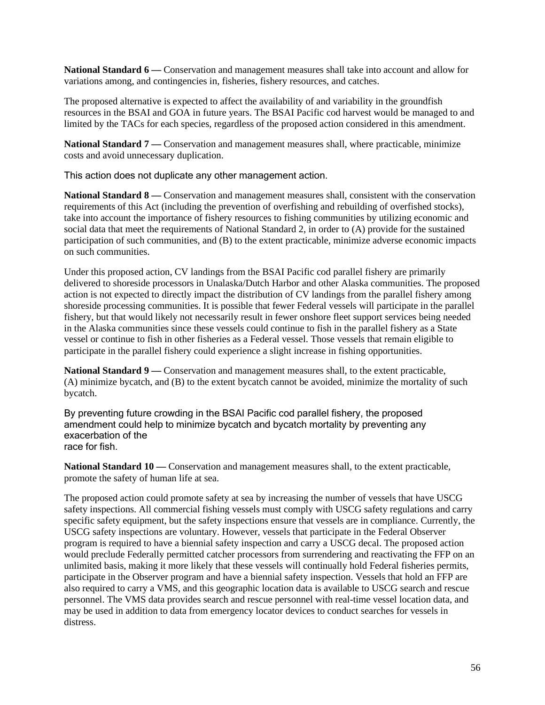**National Standard 6 —** Conservation and management measures shall take into account and allow for variations among, and contingencies in, fisheries, fishery resources, and catches.

The proposed alternative is expected to affect the availability of and variability in the groundfish resources in the BSAI and GOA in future years. The BSAI Pacific cod harvest would be managed to and limited by the TACs for each species, regardless of the proposed action considered in this amendment.

**National Standard 7** — Conservation and management measures shall, where practicable, minimize costs and avoid unnecessary duplication.

This action does not duplicate any other management action.

**National Standard 8** — Conservation and management measures shall, consistent with the conservation requirements of this Act (including the prevention of overfishing and rebuilding of overfished stocks), take into account the importance of fishery resources to fishing communities by utilizing economic and social data that meet the requirements of National Standard 2, in order to (A) provide for the sustained participation of such communities, and (B) to the extent practicable, minimize adverse economic impacts on such communities.

Under this proposed action, CV landings from the BSAI Pacific cod parallel fishery are primarily delivered to shoreside processors in Unalaska/Dutch Harbor and other Alaska communities. The proposed action is not expected to directly impact the distribution of CV landings from the parallel fishery among shoreside processing communities. It is possible that fewer Federal vessels will participate in the parallel fishery, but that would likely not necessarily result in fewer onshore fleet support services being needed in the Alaska communities since these vessels could continue to fish in the parallel fishery as a State vessel or continue to fish in other fisheries as a Federal vessel. Those vessels that remain eligible to participate in the parallel fishery could experience a slight increase in fishing opportunities.

**National Standard 9** — Conservation and management measures shall, to the extent practicable, (A) minimize bycatch, and (B) to the extent bycatch cannot be avoided, minimize the mortality of such bycatch.

By preventing future crowding in the BSAI Pacific cod parallel fishery, the proposed amendment could help to minimize bycatch and bycatch mortality by preventing any exacerbation of the race for fish.

**National Standard 10 —** Conservation and management measures shall, to the extent practicable, promote the safety of human life at sea.

The proposed action could promote safety at sea by increasing the number of vessels that have USCG safety inspections. All commercial fishing vessels must comply with USCG safety regulations and carry specific safety equipment, but the safety inspections ensure that vessels are in compliance. Currently, the USCG safety inspections are voluntary. However, vessels that participate in the Federal Observer program is required to have a biennial safety inspection and carry a USCG decal. The proposed action would preclude Federally permitted catcher processors from surrendering and reactivating the FFP on an unlimited basis, making it more likely that these vessels will continually hold Federal fisheries permits, participate in the Observer program and have a biennial safety inspection. Vessels that hold an FFP are also required to carry a VMS, and this geographic location data is available to USCG search and rescue personnel. The VMS data provides search and rescue personnel with real-time vessel location data, and may be used in addition to data from emergency locator devices to conduct searches for vessels in distress.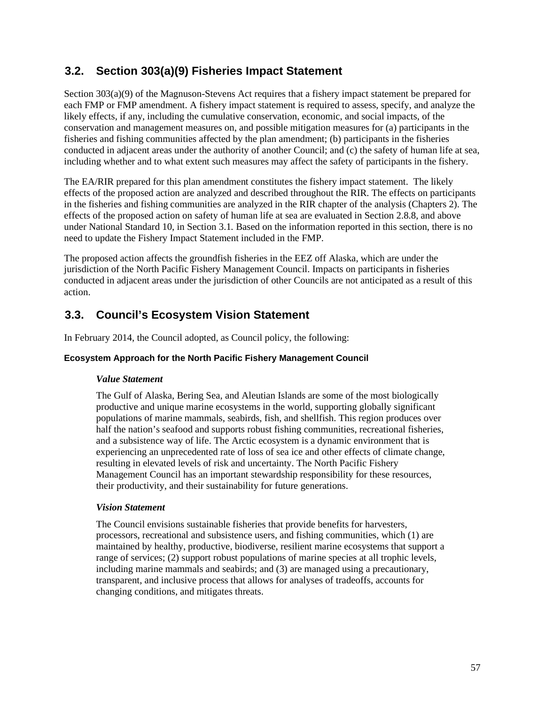## <span id="page-56-0"></span>**3.2. Section 303(a)(9) Fisheries Impact Statement**

Section 303(a)(9) of the Magnuson-Stevens Act requires that a fishery impact statement be prepared for each FMP or FMP amendment. A fishery impact statement is required to assess, specify, and analyze the likely effects, if any, including the cumulative conservation, economic, and social impacts, of the conservation and management measures on, and possible mitigation measures for (a) participants in the fisheries and fishing communities affected by the plan amendment; (b) participants in the fisheries conducted in adjacent areas under the authority of another Council; and (c) the safety of human life at sea, including whether and to what extent such measures may affect the safety of participants in the fishery.

The EA/RIR prepared for this plan amendment constitutes the fishery impact statement. The likely effects of the proposed action are analyzed and described throughout the RIR. The effects on participants in the fisheries and fishing communities are analyzed in the RIR chapter of the analysis (Chapters [2\)](#page-11-0). The effects of the proposed action on safety of human life at sea are evaluated in Section [2.8.8,](#page-50-1) and above under National Standard 10, in Section [3.1](#page-54-1)*.* Based on the information reported in this section, there is no need to update the Fishery Impact Statement included in the FMP.

The proposed action affects the groundfish fisheries in the EEZ off Alaska, which are under the jurisdiction of the North Pacific Fishery Management Council. Impacts on participants in fisheries conducted in adjacent areas under the jurisdiction of other Councils are not anticipated as a result of this action.

## <span id="page-56-1"></span>**3.3. Council's Ecosystem Vision Statement**

In February 2014, the Council adopted, as Council policy, the following:

### **Ecosystem Approach for the North Pacific Fishery Management Council**

### *Value Statement*

The Gulf of Alaska, Bering Sea, and Aleutian Islands are some of the most biologically productive and unique marine ecosystems in the world, supporting globally significant populations of marine mammals, seabirds, fish, and shellfish. This region produces over half the nation's seafood and supports robust fishing communities, recreational fisheries, and a subsistence way of life. The Arctic ecosystem is a dynamic environment that is experiencing an unprecedented rate of loss of sea ice and other effects of climate change, resulting in elevated levels of risk and uncertainty. The North Pacific Fishery Management Council has an important stewardship responsibility for these resources, their productivity, and their sustainability for future generations.

### *Vision Statement*

The Council envisions sustainable fisheries that provide benefits for harvesters, processors, recreational and subsistence users, and fishing communities, which (1) are maintained by healthy, productive, biodiverse, resilient marine ecosystems that support a range of services; (2) support robust populations of marine species at all trophic levels, including marine mammals and seabirds; and (3) are managed using a precautionary, transparent, and inclusive process that allows for analyses of tradeoffs, accounts for changing conditions, and mitigates threats.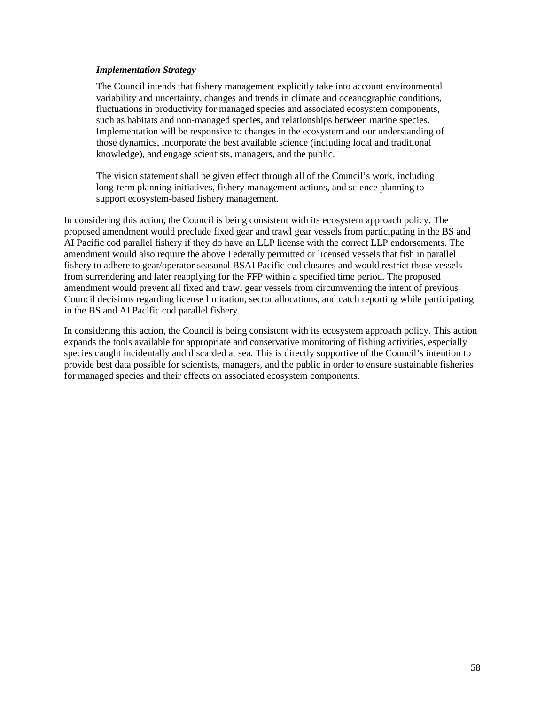#### *Implementation Strategy*

The Council intends that fishery management explicitly take into account environmental variability and uncertainty, changes and trends in climate and oceanographic conditions, fluctuations in productivity for managed species and associated ecosystem components, such as habitats and non-managed species, and relationships between marine species. Implementation will be responsive to changes in the ecosystem and our understanding of those dynamics, incorporate the best available science (including local and traditional knowledge), and engage scientists, managers, and the public.

The vision statement shall be given effect through all of the Council's work, including long-term planning initiatives, fishery management actions, and science planning to support ecosystem-based fishery management.

In considering this action, the Council is being consistent with its ecosystem approach policy. The proposed amendment would preclude fixed gear and trawl gear vessels from participating in the BS and AI Pacific cod parallel fishery if they do have an LLP license with the correct LLP endorsements. The amendment would also require the above Federally permitted or licensed vessels that fish in parallel fishery to adhere to gear/operator seasonal BSAI Pacific cod closures and would restrict those vessels from surrendering and later reapplying for the FFP within a specified time period. The proposed amendment would prevent all fixed and trawl gear vessels from circumventing the intent of previous Council decisions regarding license limitation, sector allocations, and catch reporting while participating in the BS and AI Pacific cod parallel fishery.

In considering this action, the Council is being consistent with its ecosystem approach policy. This action expands the tools available for appropriate and conservative monitoring of fishing activities, especially species caught incidentally and discarded at sea. This is directly supportive of the Council's intention to provide best data possible for scientists, managers, and the public in order to ensure sustainable fisheries for managed species and their effects on associated ecosystem components.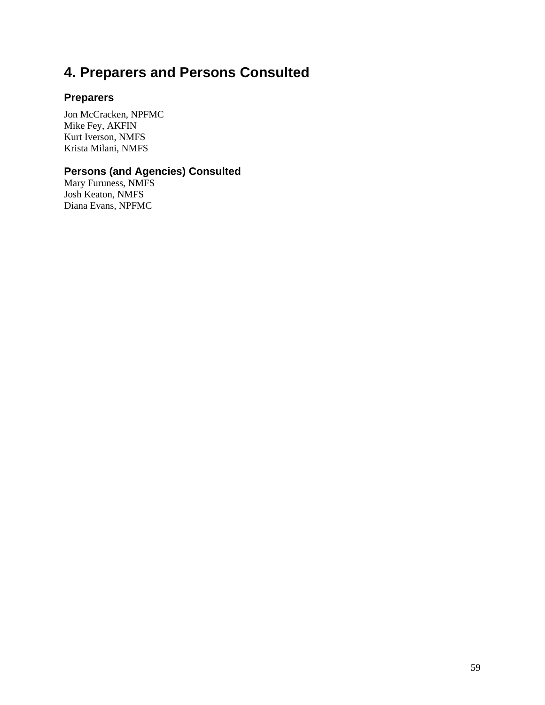# <span id="page-58-0"></span>**4. Preparers and Persons Consulted**

### **Preparers**

Jon McCracken, NPFMC Mike Fey, AKFIN Kurt Iverson, NMFS Krista Milani, NMFS

### **Persons (and Agencies) Consulted**

Mary Furuness, NMFS Josh Keaton, NMFS Diana Evans, NPFMC